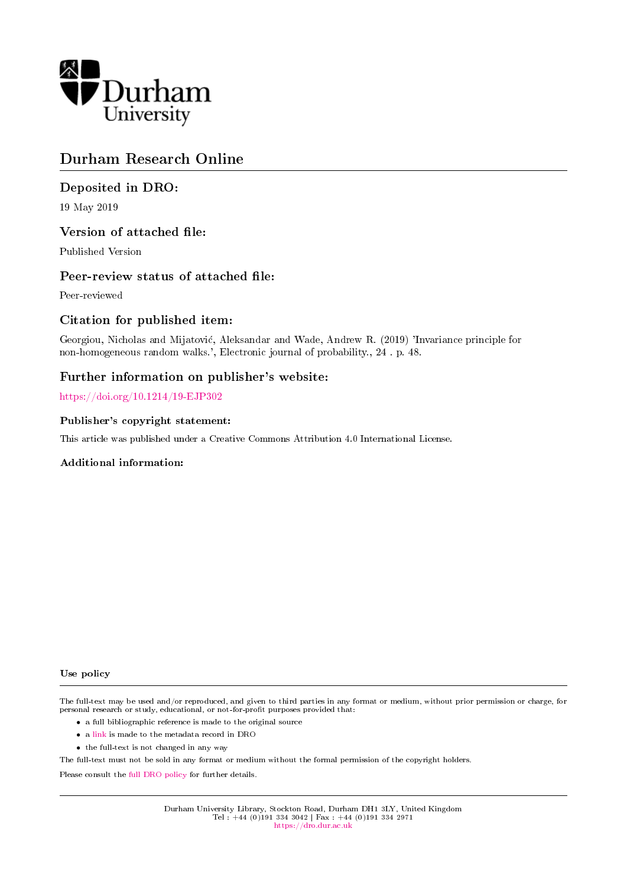

# Durham Research Online

# Deposited in DRO:

19 May 2019

# Version of attached file:

Published Version

# Peer-review status of attached file:

Peer-reviewed

# Citation for published item:

Georgiou, Nicholas and Mijatovic, Aleksandar and Wade, Andrew R. (2019) 'Invariance principle for non-homogeneous random walks.', Electronic journal of probability., 24 . p. 48.

# Further information on publisher's website:

<https://doi.org/10.1214/19-EJP302>

# Publisher's copyright statement:

This article was published under a Creative Commons Attribution 4.0 International License.

# Additional information:

#### Use policy

The full-text may be used and/or reproduced, and given to third parties in any format or medium, without prior permission or charge, for personal research or study, educational, or not-for-profit purposes provided that:

- a full bibliographic reference is made to the original source
- a [link](http://dro.dur.ac.uk/27895/) is made to the metadata record in DRO
- the full-text is not changed in any way

The full-text must not be sold in any format or medium without the formal permission of the copyright holders.

Please consult the [full DRO policy](https://dro.dur.ac.uk/policies/usepolicy.pdf) for further details.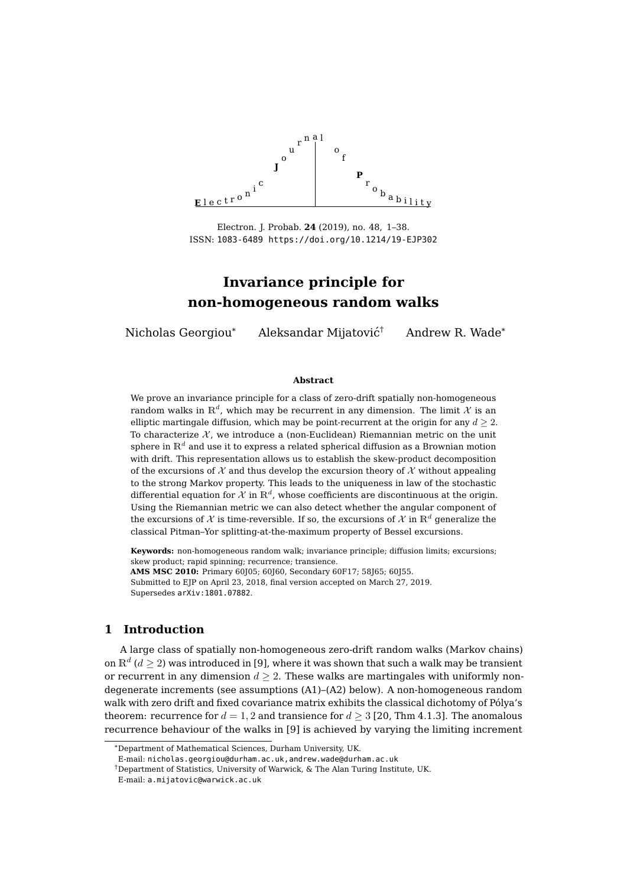

Electron. J. Probab. **24** (2019), no. 48, 1[–38.](#page-38-0) ISSN: [1083-6489](http://www.imstat.org/ejp/)<https://doi.org/10.1214/19-EJP302>

Nicholas Georgiou\* Aleksandar Mijatović<sup>†</sup>

† Andrew R. Wade\*

#### **Abstract**

We prove an invariance principle for a class of zero-drift spatially non-homogeneous random walks in  $\mathbb{R}^d$ , which may be recurrent in any dimension. The limit  $\mathcal X$  is an elliptic martingale diffusion, which may be point-recurrent at the origin for any  $d > 2$ . To characterize  $\mathcal{X}$ , we introduce a (non-Euclidean) Riemannian metric on the unit sphere in  $\mathbb{R}^d$  and use it to express a related spherical diffusion as a Brownian motion with drift. This representation allows us to establish the skew-product decomposition of the excursions of X and thus develop the excursion theory of X without appealing to the strong Markov property. This leads to the uniqueness in law of the stochastic differential equation for  $\mathcal X$  in  $\mathbb R^d$ , whose coefficients are discontinuous at the origin. Using the Riemannian metric we can also detect whether the angular component of the excursions of  $\mathcal X$  is time-reversible. If so, the excursions of  $\mathcal X$  in  $\mathbb R^d$  generalize the classical Pitman–Yor splitting-at-the-maximum property of Bessel excursions.

**Keywords:** non-homogeneous random walk; invariance principle; diffusion limits; excursions; skew product; rapid spinning; recurrence; transience. **AMS MSC 2010:** Primary 60J05; 60J60, Secondary 60F17; 58J65; 60J55. Submitted to EJP on April 23, 2018, final version accepted on March 27, 2019. Supersedes [arXiv:1801.07882](http://arXiv.org/abs/1801.07882).

# **1 Introduction**

A large class of spatially non-homogeneous zero-drift random walks (Markov chains) on  $\mathbb{R}^d$  ( $d\geq 2$ ) was introduced in [\[9\]](#page-37-0), where it was shown that such a walk may be transient or recurrent in any dimension  $d > 2$ . These walks are martingales with uniformly nondegenerate increments (see assumptions [\(A1\)](#page-8-0)–[\(A2\)](#page-8-1) below). A non-homogeneous random walk with zero drift and fixed covariance matrix exhibits the classical dichotomy of Pólya's theorem: recurrence for  $d = 1, 2$  and transience for  $d \geq 3$  [\[20,](#page-38-1) Thm 4.1.3]. The anomalous recurrence behaviour of the walks in [\[9\]](#page-37-0) is achieved by varying the limiting increment

<sup>\*</sup>Department of Mathematical Sciences, Durham University, UK.

E-mail: [nicholas.georgiou@durham.ac.uk,andrew.wade@durham.ac.uk](mailto:nicholas.georgiou@durham.ac.uk,andrew.wade@durham.ac.uk)

<sup>†</sup>Department of Statistics, University of Warwick, & The Alan Turing Institute, UK.

E-mail: [a.mijatovic@warwick.ac.uk](mailto:a.mijatovic@warwick.ac.uk)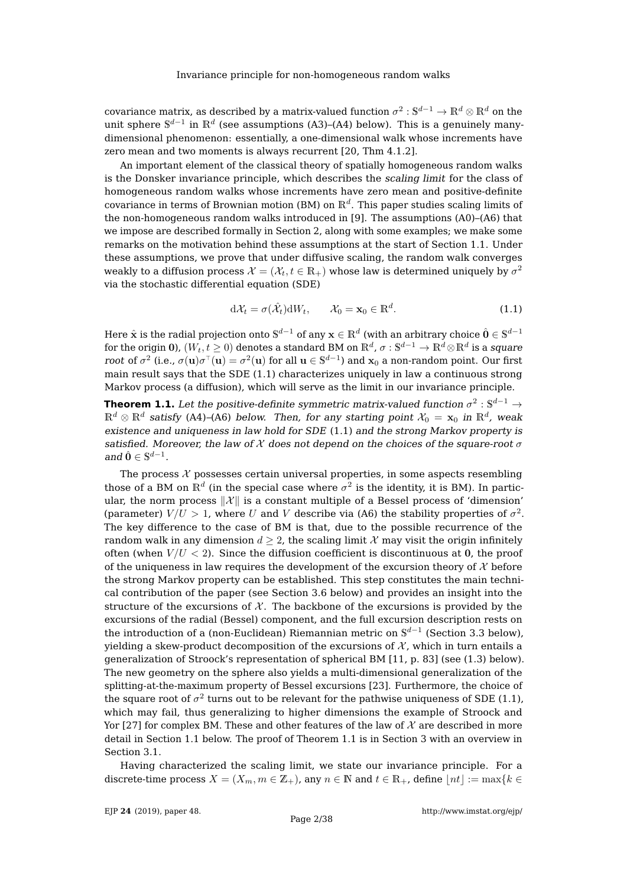covariance matrix, as described by a matrix-valued function  $\sigma^2:\mathbb{S}^{d-1}\to\mathbb{R}^d\otimes\mathbb{R}^d$  on the unit sphere  $\mathbb{S}^{d-1}$  in  $\mathbb{R}^d$  (see assumptions [\(A3\)](#page-8-2)–[\(A4\)](#page-8-3) below). This is a genuinely manydimensional phenomenon: essentially, a one-dimensional walk whose increments have zero mean and two moments is always recurrent [\[20,](#page-38-1) Thm 4.1.2].

An important element of the classical theory of spatially homogeneous random walks is the Donsker invariance principle, which describes the scaling limit for the class of homogeneous random walks whose increments have zero mean and positive-definite covariance in terms of Brownian motion (BM) on  $\mathbb{R}^d$ . This paper studies scaling limits of the non-homogeneous random walks introduced in [\[9\]](#page-37-0). The assumptions [\(A0\)](#page-7-0)–[\(A6\)](#page-8-4) that we impose are described formally in Section [2,](#page-7-1) along with some examples; we make some remarks on the motivation behind these assumptions at the start of Section [1.1.](#page-3-0) Under these assumptions, we prove that under diffusive scaling, the random walk converges weakly to a diffusion process  $\mathcal{X}=(\mathcal{X}_t,t\in\mathbb{R}_+)$  whose law is determined uniquely by  $\sigma^2$ via the stochastic differential equation (SDE)

<span id="page-2-0"></span>
$$
d\mathcal{X}_t = \sigma(\hat{\mathcal{X}}_t)dW_t, \qquad \mathcal{X}_0 = \mathbf{x}_0 \in \mathbb{R}^d.
$$
 (1.1)

Here  $\hat{\bf x}$  is the radial projection onto  $\mathbb{S}^{d-1}$  of any  ${\bf x}\in\mathbb{R}^d$  (with an arbitrary choice  $\hat{\bf 0}\in\mathbb{S}^{d-1}$ for the origin 0),  $(W_t,t\geq 0)$  denotes a standard BM on  $\mathbb{R}^d$ ,  $\sigma:\mathbb{S}^{d-1}\to\mathbb{R}^d\otimes\mathbb{R}^d$  is a *square* root of  $\sigma^2$  (i.e.,  $\sigma({\bf u})\sigma^\top({\bf u})=\sigma^2({\bf u})$  for all  ${\bf u}\in\mathbb{S}^{d-1}$ ) and  ${\bf x}_0$  a non-random point. Our first main result says that the SDE [\(1.1\)](#page-2-0) characterizes uniquely in law a continuous strong Markov process (a diffusion), which will serve as the limit in our invariance principle.

<span id="page-2-1"></span>**Theorem 1.1.** Let the positive-definite symmetric matrix-valued function  $\sigma^2:\mathbb{S}^{d-1}\to$  $\mathbb{R}^d\otimes\mathbb{R}^d$  satisfy [\(A4\)](#page-8-3)–[\(A6\)](#page-8-4) below. Then, for any starting point  $\mathcal{X}_0\,=\,{\bf x}_0$  in  $\mathbb{R}^d$ , weak existence and uniqueness in law hold for SDE [\(1.1\)](#page-2-0) and the strong Markov property is satisfied. Moreover, the law of  $\mathcal X$  does not depend on the choices of the square-root  $\sigma$ and  $\hat{\mathbf{0}} \in \mathbb{S}^{d-1}$ .

The process  $X$  possesses certain universal properties, in some aspects resembling those of a BM on  $\mathbb{R}^d$  (in the special case where  $\sigma^2$  is the identity, it is BM). In particular, the norm process  $\|\mathcal{X}\|$  is a constant multiple of a Bessel process of 'dimension' (parameter)  $V/U > 1$ , where U and V describe via [\(A6\)](#page-8-4) the stability properties of  $\sigma^2$ . The key difference to the case of BM is that, due to the possible recurrence of the random walk in any dimension  $d > 2$ , the scaling limit X may visit the origin infinitely often (when  $V/U < 2$ ). Since the diffusion coefficient is discontinuous at 0, the proof of the uniqueness in law requires the development of the excursion theory of  $\mathcal X$  before the strong Markov property can be established. This step constitutes the main technical contribution of the paper (see Section [3.6](#page-17-0) below) and provides an insight into the structure of the excursions of  $\mathcal{X}$ . The backbone of the excursions is provided by the excursions of the radial (Bessel) component, and the full excursion description rests on the introduction of a (non-Euclidean) Riemannian metric on  $\mathbb{S}^{d-1}$  (Section [3.3](#page-10-0) below), yielding a skew-product decomposition of the excursions of  $\mathcal{X}$ , which in turn entails a generalization of Stroock's representation of spherical BM [\[11,](#page-37-1) p. 83] (see [\(1.3\)](#page-4-0) below). The new geometry on the sphere also yields a multi-dimensional generalization of the splitting-at-the-maximum property of Bessel excursions [\[23\]](#page-38-2). Furthermore, the choice of the square root of  $\sigma^2$  turns out to be relevant for the pathwise uniqueness of SDE [\(1.1\)](#page-2-0), which may fail, thus generalizing to higher dimensions the example of Stroock and Yor [\[27\]](#page-38-3) for complex BM. These and other features of the law of  $\mathcal X$  are described in more detail in Section [1.1](#page-3-0) below. The proof of Theorem [1.1](#page-2-1) is in Section [3](#page-9-0) with an overview in Section [3.1.](#page-9-1)

Having characterized the scaling limit, we state our invariance principle. For a discrete-time process  $X = (X_m, m \in \mathbb{Z}_+)$ , any  $n \in \mathbb{N}$  and  $t \in \mathbb{R}_+$ , define  $|nt| := \max\{k \in \mathbb{N}\}$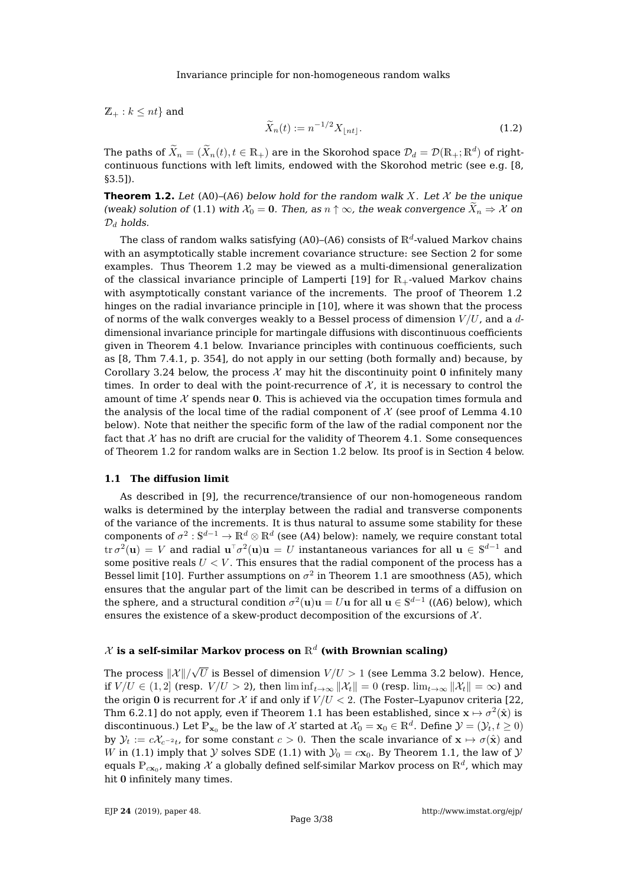$\mathbb{Z}_{+}: k \leq nt$  and

<span id="page-3-2"></span>
$$
\widetilde{X}_n(t) := n^{-1/2} X_{\lfloor nt \rfloor}.
$$
\n(1.2)

The paths of  $\widetilde{X}_n = (\widetilde{X}_n(t), t \in \mathbb{R}_+)$  are in the Skorohod space  $\mathcal{D}_d = \mathcal{D}(\mathbb{R}_+; \mathbb{R}^d)$  of rightcontinuous functions with left limits, endowed with the Skorohod metric (see e.g. [\[8,](#page-37-2) §3.5]).

<span id="page-3-1"></span>**Theorem 1.2.** Let [\(A0\)](#page-7-0)–[\(A6\)](#page-8-4) below hold for the random walk X. Let X be the unique (weak) solution of [\(1.1\)](#page-2-0) with  $\mathcal{X}_0 = 0$ . Then, as  $n \uparrow \infty$ , the weak convergence  $\tilde{X}_n \Rightarrow \mathcal{X}$  on  $\mathcal{D}_d$  holds.

The class of random walks satisfying [\(A0\)](#page-7-0)–[\(A6\)](#page-8-4) consists of  $\mathbb{R}^d$ -valued Markov chains with an asymptotically stable increment covariance structure: see Section [2](#page-7-1) for some examples. Thus Theorem [1.2](#page-3-1) may be viewed as a multi-dimensional generalization of the classical invariance principle of Lamperti [\[19\]](#page-38-4) for  $\mathbb{R}_+$ -valued Markov chains with asymptotically constant variance of the increments. The proof of Theorem [1.2](#page-3-1) hinges on the radial invariance principle in [\[10\]](#page-37-3), where it was shown that the process of norms of the walk converges weakly to a Bessel process of dimension  $V/U$ , and a ddimensional invariance principle for martingale diffusions with discontinuous coefficients given in Theorem [4.1](#page-27-0) below. Invariance principles with continuous coefficients, such as [\[8,](#page-37-2) Thm 7.4.1, p. 354], do not apply in our setting (both formally and) because, by Corollary [3.24](#page-26-0) below, the process  $\mathcal X$  may hit the discontinuity point 0 infinitely many times. In order to deal with the point-recurrence of  $X$ , it is necessary to control the amount of time  $\chi$  spends near 0. This is achieved via the occupation times formula and the analysis of the local time of the radial component of  $\mathcal X$  (see proof of Lemma [4.10](#page-33-0) below). Note that neither the specific form of the law of the radial component nor the fact that  $X$  has no drift are crucial for the validity of Theorem [4.1.](#page-27-0) Some consequences of Theorem [1.2](#page-3-1) for random walks are in Section [1.2](#page-7-2) below. Its proof is in Section [4](#page-26-1) below.

### <span id="page-3-0"></span>**1.1 The diffusion limit**

As described in [\[9\]](#page-37-0), the recurrence/transience of our non-homogeneous random walks is determined by the interplay between the radial and transverse components of the variance of the increments. It is thus natural to assume some stability for these components of  $\sigma^2:{\mathbb S}^{d-1}\to{\mathbb R}^d\otimes{\mathbb R}^d$  (see [\(A4\)](#page-8-3) below): namely, we require constant total  $\mathrm{tr}\, \sigma^2({\bf u})\,=\,V$  and radial  ${\bf u}^\top \sigma^2({\bf u}){\bf u}\,=\,U$  instantaneous variances for all  ${\bf u}\,\in\,\mathbb{S}^{d-1}$  and some positive reals  $U < V$ . This ensures that the radial component of the process has a Bessel limit [\[10\]](#page-37-3). Further assumptions on  $\sigma^2$  in Theorem [1.1](#page-2-1) are smoothness [\(A5\)](#page-8-5), which ensures that the angular part of the limit can be described in terms of a diffusion on the sphere, and a structural condition  $\sigma^2(\mathbf{u})\mathbf{u}=U\mathbf{u}$  for all  $\mathbf{u}\in\mathbb{S}^{d-1}$  ([\(A6\)](#page-8-4) below), which ensures the existence of a skew-product decomposition of the excursions of  $\mathcal{X}$ .

# $\mathcal X$  is a self-similar Markov process on  $\mathbb R^d$  (with Brownian scaling)

The process  $\Vert \mathcal{X} \Vert / \mathcal{X}$ √  $U$  is Bessel of dimension  $V\!/U>1$  (see Lemma [3.2](#page-9-2) below). Hence, if  $V/U \in (1, 2]$  (resp.  $V/U > 2$ ), then  $\liminf_{t\to\infty} ||\mathcal{X}_t|| = 0$  (resp.  $\lim_{t\to\infty} ||\mathcal{X}_t|| = \infty$ ) and the origin 0 is recurrent for X if and only if  $V/U < 2$ . (The Foster–Lyapunov criteria [\[22,](#page-38-5) Thm 6.2.1] do not apply, even if Theorem [1.1](#page-2-1) has been established, since  $\mathbf{x} \mapsto \sigma^2(\hat{\mathbf{x}})$  is discontinuous.) Let  $\mathbb{P}_{\mathbf{x}_0}$  be the law of  $\mathcal X$  started at  $\mathcal X_0=\mathbf{x}_0\in\mathbb R^d$ . Define  $\mathcal Y=(\mathcal Y_t,t\geq0)$ by  $\mathcal{Y}_t:=c\mathcal{X}_{c^{-2}t}$ , for some constant  $c>0.$  Then the scale invariance of  $\mathbf{x}\mapsto\sigma(\hat{\mathbf{x}})$  and W in [\(1.1\)](#page-2-0) imply that Y solves SDE (1.1) with  $\mathcal{Y}_0 = c\mathbf{x}_0$ . By Theorem [1.1,](#page-2-1) the law of Y equals  $\mathbb{P}_{c\mathbf{x}_0}$ , making  $\mathcal X$  a globally defined self-similar Markov process on  $\mathbb{R}^d$ , which may hit 0 infinitely many times.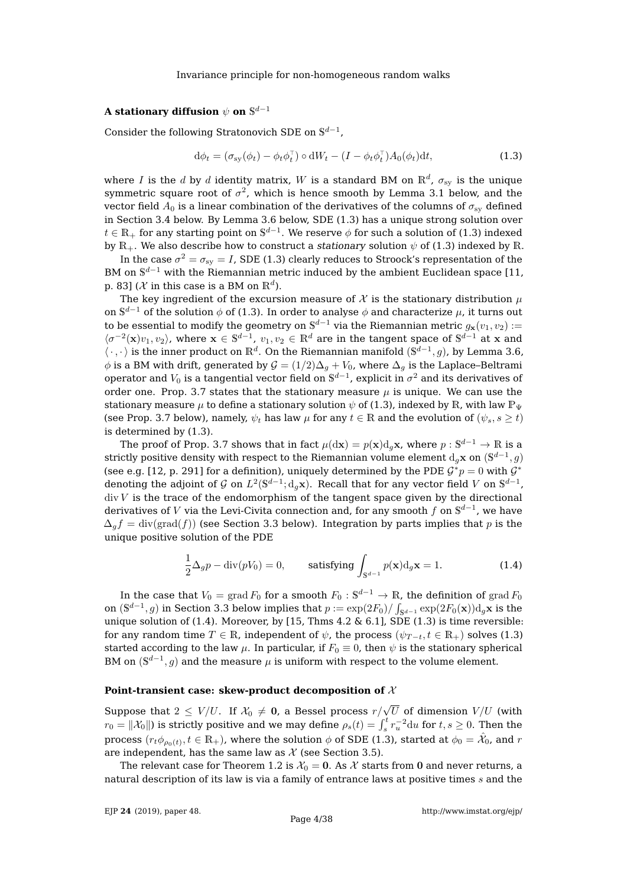# A stationary diffusion  $\psi$  on  $\mathbb{S}^{d-1}$

Consider the following Stratonovich SDE on  $\mathbb{S}^{d-1}$ ,

<span id="page-4-0"></span>
$$
\mathrm{d}\phi_t = (\sigma_{\mathrm{sy}}(\phi_t) - \phi_t \phi_t^\top) \circ \mathrm{d}W_t - (I - \phi_t \phi_t^\top) A_0(\phi_t) \mathrm{d}t,\tag{1.3}
$$

where  $I$  is the  $d$  by  $d$  identity matrix,  $W$  is a standard BM on  $\mathbb{R}^d$ ,  $\sigma_{\mathrm{sy}}$  is the unique symmetric square root of  $\sigma^2$ , which is hence smooth by Lemma [3.1](#page-9-3) below, and the vector field  $A_0$  is a linear combination of the derivatives of the columns of  $\sigma_{sv}$  defined in Section [3.4](#page-12-0) below. By Lemma [3.6](#page-12-1) below, SDE [\(1.3\)](#page-4-0) has a unique strong solution over  $t\in\mathbb{R}_+$  for any starting point on  $\mathbb{S}^{d-1}.$  We reserve  $\phi$  for such a solution of [\(1.3\)](#page-4-0) indexed by  $\mathbb{R}_+$ . We also describe how to construct a stationary solution  $\psi$  of [\(1.3\)](#page-4-0) indexed by  $\mathbb{R}_+$ .

In the case  $\sigma^2=\sigma_{\rm sy}=I$ , SDE [\(1.3\)](#page-4-0) clearly reduces to Stroock's representation of the BM on  $\mathbb{S}^{d-1}$  with the Riemannian metric induced by the ambient Euclidean space [\[11,](#page-37-1) p. 83] ( $\mathcal X$  in this case is a BM on  $\mathbb R^d$ ).

The key ingredient of the excursion measure of X is the stationary distribution  $\mu$ on  $\mathbb{S}^{d-1}$  of the solution  $\phi$  of [\(1.3\)](#page-4-0). In order to analyse  $\phi$  and characterize  $\mu$ , it turns out to be essential to modify the geometry on  $\mathbb{S}^{d-1}$  via the Riemannian metric  $g_{\mathbf{x}}(v_1,v_2)$  :=  $\langle \sigma^{-2}(\mathbf{x})v_1, v_2 \rangle$ , where  $\mathbf{x} \in \mathbb{S}^{d-1}$ ,  $v_1, v_2 \in \mathbb{R}^d$  are in the tangent space of  $\mathbb{S}^{d-1}$  at x and  $\langle \cdot, \cdot \rangle$  is the inner product on  $\mathbb{R}^d$ . On the Riemannian manifold  $(\mathbb{S}^{d-1}, g)$ , by Lemma [3.6,](#page-12-1)  $\phi$  is a BM with drift, generated by  $\mathcal{G} = (1/2)\Delta_g + V_0$ , where  $\Delta_g$  is the Laplace–Beltrami operator and  $V_0$  is a tangential vector field on  $\mathbb{S}^{d-1}$ , explicit in  $\sigma^2$  and its derivatives of order one. Prop. [3.7](#page-13-0) states that the stationary measure  $\mu$  is unique. We can use the stationary measure  $\mu$  to define a stationary solution  $\psi$  of [\(1.3\)](#page-4-0), indexed by R, with law  $\mathbb{P}_{\Psi}$ (see Prop. [3.7](#page-13-0) below), namely,  $\psi_t$  has law  $\mu$  for any  $t \in \mathbb{R}$  and the evolution of  $(\psi_s, s \geq t)$ is determined by [\(1.3\)](#page-4-0).

The proof of Prop. [3.7](#page-13-0) shows that in fact  $\mu(\mathrm{d}\mathbf{x}) = p(\mathbf{x})\mathrm{d}_g\mathbf{x}$ , where  $p:\mathbb{S}^{d-1}\to\mathbb{R}$  is a strictly positive density with respect to the Riemannian volume element  $\mathrm{d}_g\mathbf{x}$  on  $(\mathbb{S}^{d-1},g)$ (see e.g. [\[12,](#page-37-4) p. 291] for a definition), uniquely determined by the PDE  $G^*p = 0$  with  $G^*$ denoting the adjoint of  $\mathcal G$  on  $L^2(\mathbb S^{d-1}; {\mathrm d}_g\mathbf x).$  Recall that for any vector field  $V$  on  $\mathbb S^{d-1}$ ,  $div V$  is the trace of the endomorphism of the tangent space given by the directional derivatives of  $V$  via the Levi-Civita connection and, for any smooth  $f$  on  $\mathbb{S}^{d-1}$ , we have  $\Delta_q f = \text{div}(\text{grad}(f))$  (see Section [3.3](#page-10-0) below). Integration by parts implies that p is the unique positive solution of the PDE

<span id="page-4-1"></span>
$$
\frac{1}{2}\Delta_g p - \text{div}(pV_0) = 0, \quad \text{satisfying } \int_{\mathbb{S}^{d-1}} p(\mathbf{x}) \mathrm{d}_g \mathbf{x} = 1. \tag{1.4}
$$

In the case that  $V_0 = \mathrm{grad}\, F_0$  for a smooth  $F_0 : \mathbb{S}^{d-1} \to \mathbb{R}$ , the definition of  $\mathrm{grad}\, F_0$ on  $(\mathbb{S}^{d-1},g)$  in Section [3.3](#page-10-0) below implies that  $p:=\exp(2F_0)/\int_{\mathbb{S}^{d-1}}\exp(2F_0(\mathbf{x}))\mathrm{d}_g\mathbf{x}$  is the unique solution of [\(1.4\)](#page-4-1). Moreover, by [\[15,](#page-38-6) Thms  $4.2 \& 6.1$ ], SDE [\(1.3\)](#page-4-0) is time reversible: for any random time  $T \in \mathbb{R}$ , independent of  $\psi$ , the process  $(\psi_{T-t}, t \in \mathbb{R}_+)$  solves [\(1.3\)](#page-4-0) started according to the law  $\mu$ . In particular, if  $F_0 \equiv 0$ , then  $\psi$  is the stationary spherical BM on  $(\mathbb{S}^{d-1}, g)$  and the measure  $\mu$  is uniform with respect to the volume element.

#### **Point-transient case: skew-product decomposition of** X

Suppose that  $2\,\leq\,V/U.$  If  $\mathcal{X}_0\,\neq\,{\bf 0}$ , a Bessel process  $r/\sqrt{U}$  of dimension  $V/U$  (with  $r_0 = ||\mathcal{X}_0||$ ) is strictly positive and we may define  $\rho_s(t) = \int_s^t r_u^{-2} \mathrm{d}u$  for  $t, s \ge 0$ . Then the process  $(r_t\phi_{\rho_0(t)},t\in\mathbb R_+)$ , where the solution  $\phi$  of SDE [\(1.3\)](#page-4-0), started at  $\phi_0=\hat{\mathcal X}_0$ , and  $r$ are independent, has the same law as  $\mathcal X$  (see Section [3.5\)](#page-14-0).

The relevant case for Theorem [1.2](#page-3-1) is  $\mathcal{X}_0 = 0$ . As  $\mathcal X$  starts from 0 and never returns, a natural description of its law is via a family of entrance laws at positive times  $s$  and the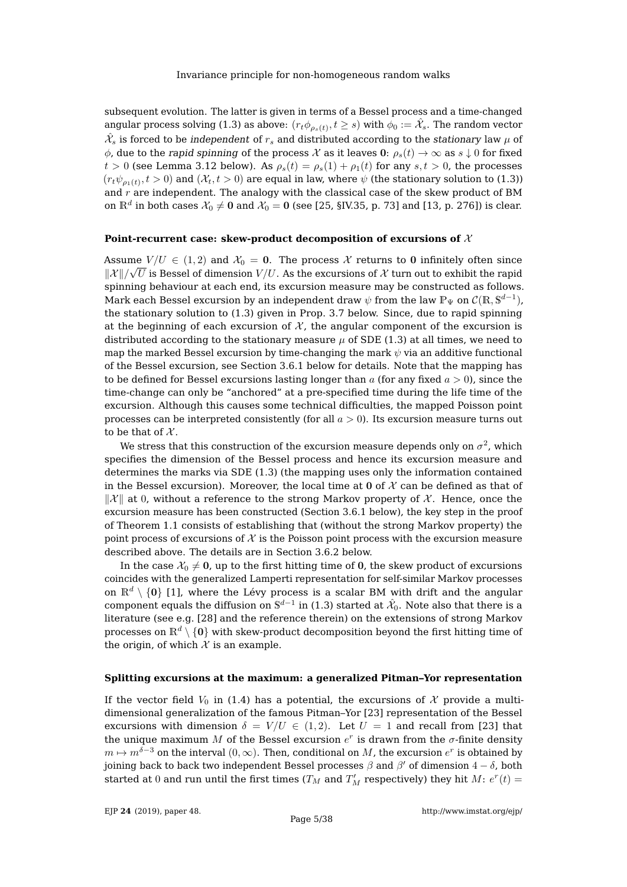subsequent evolution. The latter is given in terms of a Bessel process and a time-changed angular process solving [\(1.3\)](#page-4-0) as above:  $(r_t\phi_{\rho_s(t)},t\geq s)$  with  $\phi_0:=\hat{\mathcal{X}_s}.$  The random vector  $\hat{\mathcal{X}}_s$  is forced to be *independent* of  $r_s$  and distributed according to the *stationary* law  $\mu$  of  $\phi$ , due to the rapid spinning of the process X as it leaves 0:  $\rho_s(t) \to \infty$  as  $s \downarrow 0$  for fixed  $t > 0$  (see Lemma [3.12](#page-16-0) below). As  $\rho_s(t) = \rho_s(1) + \rho_1(t)$  for any  $s, t > 0$ , the processes  $(r_t\psi_{\rho_1(t)},t>0)$  and  $(\mathcal{X}_t,t>0)$  are equal in law, where  $\psi$  (the stationary solution to [\(1.3\)](#page-4-0)) and  $r$  are independent. The analogy with the classical case of the skew product of BM on  $\mathbb{R}^d$  in both cases  $\mathcal{X}_0\neq\mathbf{0}$  and  $\mathcal{X}_0=\mathbf{0}$  (see [\[25,](#page-38-7) §IV.35, p. 73] and [\[13,](#page-37-5) p. 276]) is clear.

#### **Point-recurrent case: skew-product decomposition of excursions of** X

Assume  $V/U \in (1, 2)$  and  $\mathcal{X}_0 = \mathbf{0}$ . The process X returns to 0 infinitely often since  $\| \mathcal{X} \|/\sqrt{U}$  is Bessel of dimension  $V/U.$  As the excursions of  $\mathcal{X}$  turn out to exhibit the rapid spinning behaviour at each end, its excursion measure may be constructed as follows. Mark each Bessel excursion by an independent draw  $\psi$  from the law  $\mathbb{P}_{\Psi}$  on  $\mathcal{C}(\mathbb{R},\mathbb{S}^{d-1})$ , the stationary solution to [\(1.3\)](#page-4-0) given in Prop. [3.7](#page-13-0) below. Since, due to rapid spinning at the beginning of each excursion of  $\mathcal X$ , the angular component of the excursion is distributed according to the stationary measure  $\mu$  of SDE [\(1.3\)](#page-4-0) at all times, we need to map the marked Bessel excursion by time-changing the mark  $\psi$  via an additive functional of the Bessel excursion, see Section [3.6.1](#page-17-1) below for details. Note that the mapping has to be defined for Bessel excursions lasting longer than  $a$  (for any fixed  $a > 0$ ), since the time-change can only be "anchored" at a pre-specified time during the life time of the excursion. Although this causes some technical difficulties, the mapped Poisson point processes can be interpreted consistently (for all  $a > 0$ ). Its excursion measure turns out to be that of  $\mathcal{X}$ .

We stress that this construction of the excursion measure depends only on  $\sigma^2$ , which specifies the dimension of the Bessel process and hence its excursion measure and determines the marks via SDE [\(1.3\)](#page-4-0) (the mapping uses only the information contained in the Bessel excursion). Moreover, the local time at 0 of  $\mathcal X$  can be defined as that of  $\|\mathcal{X}\|$  at 0, without a reference to the strong Markov property of X. Hence, once the excursion measure has been constructed (Section [3.6.1](#page-17-1) below), the key step in the proof of Theorem [1.1](#page-2-1) consists of establishing that (without the strong Markov property) the point process of excursions of  $\mathcal X$  is the Poisson point process with the excursion measure described above. The details are in Section [3.6.2](#page-20-0) below.

In the case  $\mathcal{X}_0 \neq \mathbf{0}$ , up to the first hitting time of 0, the skew product of excursions coincides with the generalized Lamperti representation for self-similar Markov processes on  $\mathbb{R}^d \setminus \{0\}$  [\[1\]](#page-37-6), where the Lévy process is a scalar BM with drift and the angular component equals the diffusion on  $\mathbb{S}^{d-1}$  in [\(1.3\)](#page-4-0) started at  $\hat{\mathcal{X}}_0$ . Note also that there is a literature (see e.g. [\[28\]](#page-38-8) and the reference therein) on the extensions of strong Markov processes on  $\mathbb{R}^d \setminus \{0\}$  with skew-product decomposition beyond the first hitting time of the origin, of which  $X$  is an example.

#### **Splitting excursions at the maximum: a generalized Pitman–Yor representation**

If the vector field  $V_0$  in [\(1.4\)](#page-4-1) has a potential, the excursions of X provide a multidimensional generalization of the famous Pitman–Yor [\[23\]](#page-38-2) representation of the Bessel excursions with dimension  $\delta = V/U \in (1,2)$ . Let  $U = 1$  and recall from [\[23\]](#page-38-2) that the unique maximum M of the Bessel excursion  $e^r$  is drawn from the  $\sigma$ -finite density  $m\mapsto m^{\delta-3}$  on the interval  $(0,\infty).$  Then, conditional on  $M$ , the excursion  $e^r$  is obtained by joining back to back two independent Bessel processes  $\beta$  and  $\beta'$  of dimension  $4-\delta$ , both started at 0 and run until the first times ( $T_M$  and  $T'_M$  respectively) they hit  $M: e^r(t) =$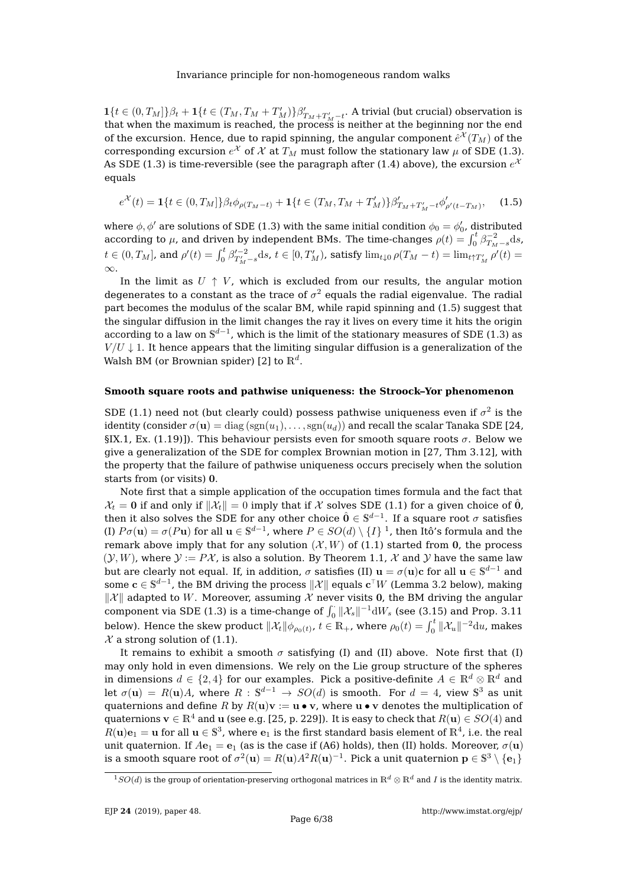$\mathbf{1}\{t \in (0,T_M]\}\beta_t + \mathbf{1}\{t \in (T_M,T_M+T_M')\}\beta'_{T_M+T_M'-t}$ . A trivial (but crucial) observation is that when the maximum is reached, the process is neither at the beginning nor the end of the excursion. Hence, due to rapid spinning, the angular component  $\hat{e}^\mathcal{X}(T_M)$  of the corresponding excursion  $e^{\mathcal{X}}$  of  $\mathcal{X}$  at  $T_M$  must follow the stationary law  $\mu$  of SDE [\(1.3\)](#page-4-0). As SDE [\(1.3\)](#page-4-0) is time-reversible (see the paragraph after [\(1.4\)](#page-4-1) above), the excursion  $e^\lambda$ equals

<span id="page-6-0"></span>
$$
e^{\mathcal{X}}(t) = \mathbf{1}\{t \in (0, T_M]\}\beta_t \phi_{\rho(T_M - t)} + \mathbf{1}\{t \in (T_M, T_M + T'_M)\}\beta'_{T_M + T'_M - t} \phi'_{\rho'(t - T_M)},\tag{1.5}
$$

where  $\phi$ ,  $\phi'$  are solutions of SDE [\(1.3\)](#page-4-0) with the same initial condition  $\phi_0 = \phi'_0$ , distributed according to  $\mu$ , and driven by independent BMs. The time-changes  $\rho(t) = \int_0^t \beta_{T_M-s}^{-2} \mathrm{d}s$ ,  $t \in (0, T_M]$ , and  $\rho'(t) = \int_0^t \beta_{T'_M - s}'^{t-2} ds$ ,  $t \in [0, T'_M)$ , satisfy  $\lim_{t \downarrow 0} \rho(T_M - t) = \lim_{t \uparrow T'_M} \rho'(t) =$ ∞.

In the limit as  $U \uparrow V$ , which is excluded from our results, the angular motion degenerates to a constant as the trace of  $\sigma^2$  equals the radial eigenvalue. The radial part becomes the modulus of the scalar BM, while rapid spinning and [\(1.5\)](#page-6-0) suggest that the singular diffusion in the limit changes the ray it lives on every time it hits the origin according to a law on  $\mathbb{S}^{d-1}$ , which is the limit of the stationary measures of SDE [\(1.3\)](#page-4-0) as  $V/U \downarrow 1$ . It hence appears that the limiting singular diffusion is a generalization of the Walsh BM (or Brownian spider) [\[2\]](#page-37-7) to  $\mathbb{R}^d.$ 

#### **Smooth square roots and pathwise uniqueness: the Stroock–Yor phenomenon**

SDE [\(1.1\)](#page-2-0) need not (but clearly could) possess pathwise uniqueness even if  $\sigma^2$  is the identity (consider  $\sigma(\mathbf{u}) = \text{diag}(\text{sgn}(u_1), \dots, \text{sgn}(u_d))$  and recall the scalar Tanaka SDE [\[24,](#page-38-9) §IX.1, Ex. (1.19)]). This behaviour persists even for smooth square roots  $\sigma$ . Below we give a generalization of the SDE for complex Brownian motion in [\[27,](#page-38-3) Thm 3.12], with the property that the failure of pathwise uniqueness occurs precisely when the solution starts from (or visits) 0.

Note first that a simple application of the occupation times formula and the fact that  $\mathcal{X}_t = 0$  if and only if  $\|\mathcal{X}_t\| = 0$  imply that if X solves SDE [\(1.1\)](#page-2-0) for a given choice of  $\hat{0}$ , then it also solves the SDE for any other choice  $\hat{\mathbf{0}} \in \mathbb{S}^{d-1}.$  If a square root  $\sigma$  satisfies (I)  $P\sigma(\mathbf{u}) = \sigma(P\mathbf{u})$  for all  $\mathbf{u} \in \mathbb{S}^{d-1}$  $\mathbf{u} \in \mathbb{S}^{d-1}$  $\mathbf{u} \in \mathbb{S}^{d-1}$ , where  $P \in SO(d) \setminus \{I\}$ <sup>1</sup>, then Itô's formula and the remark above imply that for any solution  $(X, W)$  of [\(1.1\)](#page-2-0) started from 0, the process  $(Y, W)$ , where  $Y := P X$ , is also a solution. By Theorem [1.1,](#page-2-1) X and Y have the same law but are clearly not equal. If, in addition,  $\sigma$  satisfies (II)  $\mathbf{u}=\sigma(\mathbf{u})\mathbf{c}$  for all  $\mathbf{u}\in\mathbb{S}^{d-1}$  and some  $\mathbf{c}\in\mathbb{S}^{d-1}$ , the BM driving the process  $\|\mathcal{X}\|$  equals  $\mathbf{c}^\top W$  (Lemma [3.2](#page-9-2) below), making  $\|\mathcal{X}\|$  adapted to W. Moreover, assuming X never visits 0, the BM driving the angular component via SDE [\(1.3\)](#page-4-0) is a time-change of  $\int_0^1 {\|\mathcal{X}_s\|}^{-1} dW_s$  (see [\(3.15\)](#page-15-0) and Prop. [3.11](#page-15-1) below). Hence the skew product  $\|\mathcal{X}_t\| \phi_{\rho_0(t)}$ ,  $t\in \mathbb{R}_+$ , where  $\rho_0(t)=\int_0^t \|\mathcal{X}_u\|^{-2}\mathrm{d} u$ , makes  $\mathcal{X}$  a strong solution of [\(1.1\)](#page-2-0).

It remains to exhibit a smooth  $\sigma$  satisfying (I) and (II) above. Note first that (I) may only hold in even dimensions. We rely on the Lie group structure of the spheres in dimensions  $d \in \{2, 4\}$  for our examples. Pick a positive-definite  $A \in \mathbb{R}^d \otimes \mathbb{R}^d$  and let  $\sigma(\mathbf{u}) = R(\mathbf{u})A$ , where  $R : \mathbb{S}^{d-1} \to SO(d)$  is smooth. For  $d = 4$ , view  $\mathbb{S}^3$  as unit quaternions and define R by  $R(\mathbf{u})\mathbf{v} := \mathbf{u} \bullet \mathbf{v}$ , where  $\mathbf{u} \bullet \mathbf{v}$  denotes the multiplication of quaternions  $\mathbf{v} \in \mathbb{R}^4$  and u (see e.g. [\[25,](#page-38-7) p. 229]). It is easy to check that  $R(\mathbf{u}) \in SO(4)$  and  $R({\bf u}){\bf e}_1={\bf u}$  for all  ${\bf u}\in\mathbb{S}^3$ , where  ${\bf e}_1$  is the first standard basis element of  $\mathbb{R}^4$ , i.e. the real unit quaternion. If  $Ae_1 = e_1$  (as is the case if [\(A6\)](#page-8-4) holds), then (II) holds. Moreover,  $\sigma(\mathbf{u})$ is a smooth square root of  $\sigma^2({\bf u})=R({\bf u})A^2R({\bf u})^{-1}.$  Pick a unit quaternion  ${\bf p}\in\mathbb{S}^3\setminus\{{\bf e}_1\}$ 

<span id="page-6-1"></span> $1SO(d)$  is the group of orientation-preserving orthogonal matrices in  $\mathbb{R}^d \otimes \mathbb{R}^d$  and I is the identity matrix.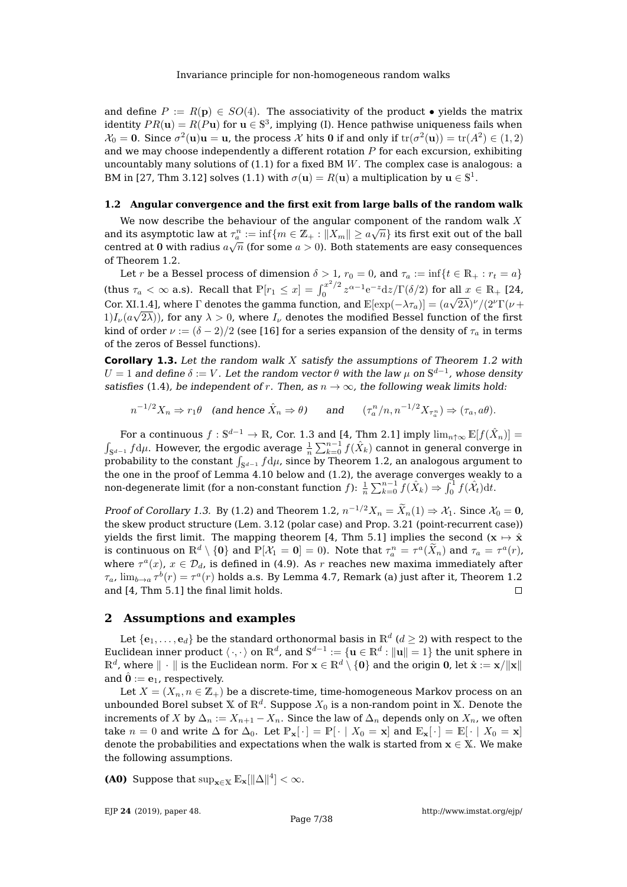and define  $P := R(\mathbf{p}) \in SO(4)$ . The associativity of the product • yields the matrix identity  $PR(\mathbf{u}) = R(P\mathbf{u})$  for  $\mathbf{u} \in \mathbb{S}^3$ , implying (I). Hence pathwise uniqueness fails when  $\mathcal{X}_0=\mathbf{0}.$  Since  $\sigma^2(\mathbf{u})\mathbf{u}=\mathbf{u}$ , the process  $\mathcal X$  hits  $\mathbf 0$  if and only if  $\mathrm{tr}(\sigma^2(\mathbf{u}))=\mathrm{tr}(A^2)\in(1,2)$ and we may choose independently a different rotation  $P$  for each excursion, exhibiting uncountably many solutions of  $(1.1)$  for a fixed BM W. The complex case is analogous: a BM in [\[27,](#page-38-3) Thm 3.12] solves [\(1.1\)](#page-2-0) with  $\sigma(\mathbf{u}) = R(\mathbf{u})$  a multiplication by  $\mathbf{u} \in \mathbb{S}^1$ .

#### <span id="page-7-2"></span>**1.2 Angular convergence and the first exit from large balls of the random walk**

We now describe the behaviour of the angular component of the random walk X and its asymptotic law at  $\tau_a^n := \inf \{ m \in \mathbb{Z}_+ : ||X_m|| \ge a\sqrt{n} \}$  its first exit out of the ball centred at 0 with radius  $a\sqrt{n}$  (for some  $a>0$ ). Both statements are easy consequences of Theorem [1.2.](#page-3-1)

Let r be a Bessel process of dimension  $\delta > 1$ ,  $r_0 = 0$ , and  $\tau_a := \inf\{t \in \mathbb{R}_+ : r_t = a\}$ (thus  $\tau_a < \infty$  a.s). Recall that  $\mathbb{P}[\tau_1 \leq x] = \int_0^{x^2/2}$  $\int_0^{x^2/2} z^{\alpha-1} e^{-z} dz / \Gamma(\delta/2)$  for all  $x \in \mathbb{R}_+$  [\[24,](#page-38-9) Cor. XI.1.4], where  $\Gamma$  denotes the gamma function, and  $\mathbb{E}[\exp(-\lambda \tau_a)] = (a\sqrt{2\lambda})^{\nu}/(2^{\nu}\Gamma(\nu +$  $1)I_{\nu}(a\sqrt{2\lambda}))$ , for any  $\lambda>0$ , where  $I_{\nu}$  denotes the modified Bessel function of the first kind of order  $\nu := (\delta - 2)/2$  (see [\[16\]](#page-38-10) for a series expansion of the density of  $\tau_a$  in terms of the zeros of Bessel functions).

<span id="page-7-3"></span>**Corollary 1.3.** Let the random walk X satisfy the assumptions of Theorem [1.2](#page-3-1) with  $U=1$  and define  $\delta:=V.$  Let the random vector  $\theta$  with the law  $\mu$  on  $\mathbb{S}^{d-1}$ , whose density satisfies [\(1.4\)](#page-4-1), be independent of r. Then, as  $n \to \infty$ , the following weak limits hold:

$$
n^{-1/2}X_n \Rightarrow r_1\theta \quad \text{(and hence } \hat{X}_n \Rightarrow \theta) \qquad \text{and} \qquad (\tau_a^n/n, n^{-1/2}X_{\tau_a^n}) \Rightarrow (\tau_a, a\theta).
$$

For a continuous  $f:\mathbb{S}^{d-1}\to\mathbb{R}$ , Cor. [1.3](#page-7-3) and [\[4,](#page-37-8) Thm 2.1] imply  $\lim_{n\uparrow\infty}\mathbb{E}[f(\hat{X}_n)]=$  $\int_{\mathbb{S}^{d-1}} f \mathrm{d} \mu$ . However, the ergodic average  $\frac{1}{n} \sum_{k=0}^{n-1} f(\hat{X}_k)$  cannot in general converge in probability to the constant  $\int_{\mathbb{S}^{d-1}} f \mathrm{d} \mu$ , since by Theorem [1.2,](#page-3-1) an analogous argument to the one in the proof of Lemma [4.10](#page-33-0) below and [\(1.2\)](#page-3-2), the average converges weakly to a non-degenerate limit (for a non-constant function  $f$ ):  $\frac{1}{n}\sum_{k=0}^{n-1}\tilde{f}(\hat{X}_k) \Rightarrow \int_0^1 f(\hat{\mathcal{X}}_t)\mathrm{d}t.$ 

Proof of Corollary [1.3.](#page-7-3) By [\(1.2\)](#page-3-2) and Theorem [1.2,](#page-3-1)  $n^{-1/2}X_n = \tilde{X}_n(1) \Rightarrow X_1$ . Since  $X_0 = 0$ , the skew product structure (Lem. [3.12](#page-16-0) (polar case) and Prop. [3.21](#page-23-0) (point-recurrent case)) yields the first limit. The mapping theorem [\[4,](#page-37-8) Thm 5.1] implies the second ( $x \mapsto \hat{x}$ is continuous on  $\mathbb{R}^d \setminus \{0\}$  and  $\mathbb{P}[\mathcal{X}_1 = 0] = 0$ ). Note that  $\tau_a^n = \tau^a(\tilde{X}_n)$  and  $\tau_a = \tau^a(r)$ , where  $\tau^a(x)$ ,  $x \in \mathcal{D}_d$ , is defined in [\(4.9\)](#page-29-0). As r reaches new maxima immediately after  $\tau_a$ ,  $\lim_{b\to a}\tau^b(r)=\tau^a(r)$  holds a.s. By Lemma [4.7,](#page-30-0) Remark (a) just after it, Theorem [1.2](#page-3-1) and [\[4,](#page-37-8) Thm 5.1] the final limit holds.  $\Box$ 

### <span id="page-7-1"></span>**2 Assumptions and examples**

Let  $\{{\bf e}_1,\ldots,{\bf e}_d\}$  be the standard orthonormal basis in  $\mathbb{R}^d$  ( $d\geq 2$ ) with respect to the Euclidean inner product  $\langle \cdot, \cdot \rangle$  on  $\mathbb{R}^d$ , and  $\mathbb{S}^{d-1} := \{ \mathbf{u} \in \mathbb{R}^d : \| \mathbf{u} \| = 1 \}$  the unit sphere in  $\mathbb{R}^d$ , where  $\|\,\cdot\,\|$  is the Euclidean norm. For  $\mathbf{x}\in\mathbb{R}^d\setminus\{\mathbf{0}\}$  and the origin  $\mathbf{0}$ , let  $\hat{\mathbf{x}}:=\mathbf{x}/\|\mathbf{x}\|$ and  $\hat{\mathbf{0}} := \mathbf{e}_1$ , respectively.

Let  $X = (X_n, n \in \mathbb{Z}_+)$  be a discrete-time, time-homogeneous Markov process on an unbounded Borel subset  $\mathbb X$  of  $\mathbb R^d.$  Suppose  $X_0$  is a non-random point in  $\mathbb X.$  Denote the increments of X by  $\Delta_n := X_{n+1} - X_n$ . Since the law of  $\Delta_n$  depends only on  $X_n$ , we often take  $n = 0$  and write  $\Delta$  for  $\Delta_0$ . Let  $\mathbb{P}_x[\cdot] = \mathbb{P}[\cdot | X_0 = x]$  and  $\mathbb{E}_x[\cdot] = \mathbb{E}[\cdot | X_0 = x]$ denote the probabilities and expectations when the walk is started from  $x \in X$ . We make the following assumptions.

<span id="page-7-0"></span>**(A0)** Suppose that  $\sup_{\mathbf{x}\in\mathbb{X}} \mathbb{E}_{\mathbf{x}}[\|\Delta\|^4] < \infty$ .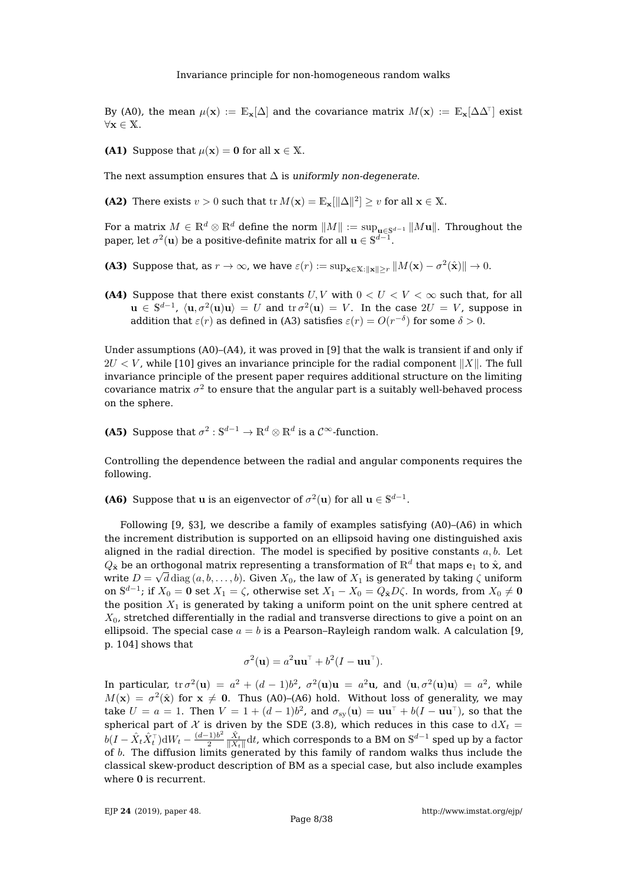By [\(A0\)](#page-7-0), the mean  $\mu(\mathbf{x}) := \mathbb{E}_{\mathbf{x}}[\Delta]$  and the covariance matrix  $M(\mathbf{x}) := \mathbb{E}_{\mathbf{x}}[\Delta \Delta^{\!\top}]$  exist ∀x ∈ X.

<span id="page-8-0"></span>**(A1)** Suppose that  $\mu(\mathbf{x}) = \mathbf{0}$  for all  $\mathbf{x} \in \mathbb{X}$ .

The next assumption ensures that  $\Delta$  is uniformly non-degenerate.

<span id="page-8-1"></span>**(A2)** There exists  $v > 0$  such that tr  $M(\mathbf{x}) = \mathbb{E}_{\mathbf{x}}[\|\Delta\|^2] \geq v$  for all  $\mathbf{x} \in \mathbb{X}$ .

For a matrix  $M \in \mathbb{R}^d \otimes \mathbb{R}^d$  define the norm  $||M|| := \sup_{\mathbf{u} \in \mathbb{S}^{d-1}} ||M\mathbf{u}||$ . Throughout the paper, let  $\sigma^2(\textbf{u})$  be a positive-definite matrix for all  $\textbf{u}\in\mathbb{S}^{d-1}.$ 

<span id="page-8-2"></span>**(A3)** Suppose that, as  $r \to \infty$ , we have  $\varepsilon(r) := \sup_{\mathbf{x} \in \mathbb{X}: \|\mathbf{x}\| \ge r} \|M(\mathbf{x}) - \sigma^2(\hat{\mathbf{x}})\| \to 0$ .

<span id="page-8-3"></span>**(A4)** Suppose that there exist constants  $U, V$  with  $0 < U < V < \infty$  such that, for all  $u \in \mathbb{S}^{d-1}$ ,  $\langle u, \sigma^2(u)u \rangle = U$  and  $\text{tr} \sigma^2(u) = V$ . In the case  $2U = V$ , suppose in addition that  $\varepsilon(r)$  as defined in [\(A3\)](#page-8-2) satisfies  $\varepsilon(r) = O(r^{-\delta})$  for some  $\delta > 0$ .

Under assumptions [\(A0\)](#page-7-0)–[\(A4\)](#page-8-3), it was proved in [\[9\]](#page-37-0) that the walk is transient if and only if  $2U < V$ , while [\[10\]](#page-37-3) gives an invariance principle for the radial component  $||X||$ . The full invariance principle of the present paper requires additional structure on the limiting covariance matrix  $\sigma^2$  to ensure that the angular part is a suitably well-behaved process on the sphere.

<span id="page-8-5"></span>**(A5)** Suppose that  $\sigma^2 : \mathbb{S}^{d-1} \to \mathbb{R}^d \otimes \mathbb{R}^d$  is a  $\mathcal{C}^{\infty}$ -function.

Controlling the dependence between the radial and angular components requires the following.

<span id="page-8-4"></span>**(A6)** Suppose that **u** is an eigenvector of  $\sigma^2(\mathbf{u})$  for all  $\mathbf{u} \in \mathbb{S}^{d-1}$ .

Following [\[9,](#page-37-0) §3], we describe a family of examples satisfying [\(A0\)](#page-7-0)–[\(A6\)](#page-8-4) in which the increment distribution is supported on an ellipsoid having one distinguished axis aligned in the radial direction. The model is specified by positive constants  $a, b$ . Let  $Q_{\hat{\mathbf{x}}}$  be an orthogonal matrix representing a transformation of  $\mathbb{R}^d$  that maps  $\mathbf{e}_1$  to  $\hat{\mathbf{x}}$ , and write  $D=\sqrt{d}\,{\rm diag}\,(a,b,\ldots,b).$  Given  $X_0$ , the law of  $X_1$  is generated by taking  $\zeta$  uniform on  $\mathbb{S}^{d-1}$ ; if  $X_0 = \mathbf{0}$  set  $X_1 = \zeta$ , otherwise set  $X_1 - X_0 = Q_{\hat{\mathbf{x}}} D \zeta$ . In words, from  $X_0 \neq \mathbf{0}$ the position  $X_1$  is generated by taking a uniform point on the unit sphere centred at  $X_0$ , stretched differentially in the radial and transverse directions to give a point on an ellipsoid. The special case  $a = b$  is a Pearson–Rayleigh random walk. A calculation [\[9,](#page-37-0) p. 104] shows that

$$
\sigma^2(\mathbf{u}) = a^2 \mathbf{u} \mathbf{u}^\top + b^2 (I - \mathbf{u} \mathbf{u}^\top).
$$

In particular,  $\mathrm{tr}\,\sigma^2(\mathbf{u})\,=\,a^2\,+\,(d-1)b^2$ ,  $\sigma^2(\mathbf{u})\mathbf{u}\,=\,a^2\mathbf{u}$ , and  $\langle \mathbf{u}, \sigma^2(\mathbf{u})\mathbf{u}\rangle\,=\,a^2$ , while  $M(x) = \sigma^2(\hat{x})$  for  $x \neq 0$ . Thus [\(A0\)](#page-7-0)–[\(A6\)](#page-8-4) hold. Without loss of generality, we may take  $U = a = 1$ . Then  $V = 1 + (d-1)b^2$ , and  $\sigma_{sy}(\mathbf{u}) = \mathbf{u}\mathbf{u}^\top + b(I - \mathbf{u}\mathbf{u}^\top)$ , so that the spherical part of  $\mathcal X$  is driven by the SDE [\(3.8\)](#page-12-2), which reduces in this case to  $dX_t =$  $b(I-\hat{X}_t\hat{X}_t^\top)\mathrm{d}W_t-\frac{(d-1)b^2}{2}$  $\frac{1+b^2}{2}\frac{\hat{X}_t}{\|X_t\|} {\rm d} t$ , which corresponds to a BM on  $\mathbb{S}^{d-1}$  sped up by a factor of  $b$ . The diffusion limits generated by this family of random walks thus include the classical skew-product description of BM as a special case, but also include examples where 0 is recurrent.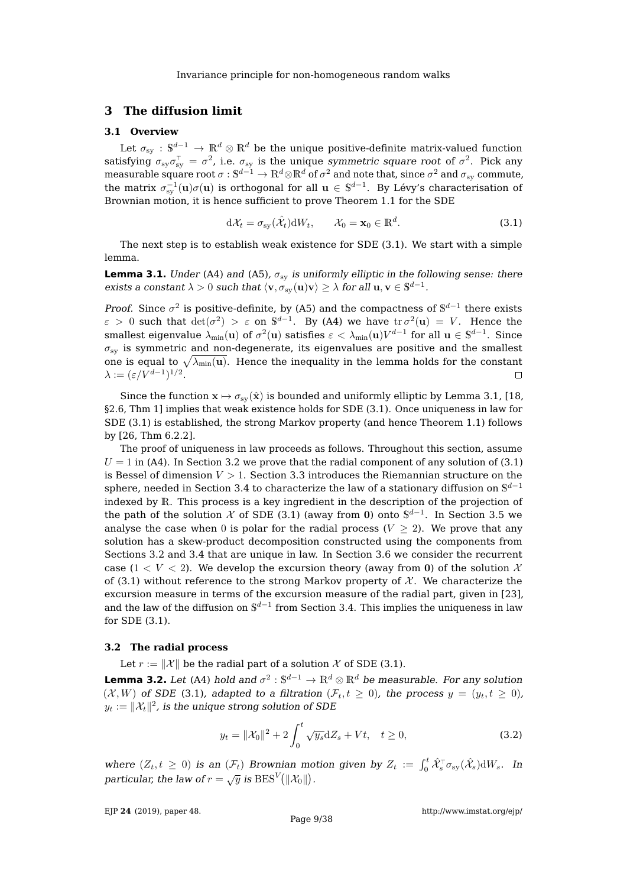# <span id="page-9-0"></span>**3 The diffusion limit**

### <span id="page-9-1"></span>**3.1 Overview**

Let  $\sigma_{\rm sy}:\mathbb S^{d-1}\to\mathbb R^d\otimes\mathbb R^d$  be the unique positive-definite matrix-valued function satisfying  $\sigma_{\rm sy}\sigma_{\rm sy}^\top=\sigma^2$ , i.e.  $\sigma_{\rm sy}$  is the unique symmetric square root of  $\sigma^2$ . Pick any measurable square root  $\sigma:\mathbb S^{d-1}\to\mathbb R^d\otimes\mathbb R^d$  of  $\sigma^2$  and note that, since  $\sigma^2$  and  $\sigma_{\rm sy}$  commute, the matrix  $\sigma_{\rm sy}^{-1}({\bf u})\sigma({\bf u})$  is orthogonal for all  ${\bf u}\in\mathbb S^{d-1}.$  By Lévy's characterisation of Brownian motion, it is hence sufficient to prove Theorem [1.1](#page-2-1) for the SDE

<span id="page-9-4"></span>
$$
d\mathcal{X}_t = \sigma_{sy}(\hat{\mathcal{X}}_t)dW_t, \qquad \mathcal{X}_0 = \mathbf{x}_0 \in \mathbb{R}^d.
$$
 (3.1)

The next step is to establish weak existence for SDE [\(3.1\)](#page-9-4). We start with a simple lemma.

<span id="page-9-3"></span>**Lemma 3.1.** Under [\(A4\)](#page-8-3) and [\(A5\)](#page-8-5),  $\sigma_{sv}$  is uniformly elliptic in the following sense: there exists a constant  $\lambda > 0$  such that  $\langle v, \sigma_{sy}(u)v \rangle \ge \lambda$  for all  $u, v \in \mathbb{S}^{d-1}$ .

*Proof.* Since  $\sigma^2$  is positive-definite, by [\(A5\)](#page-8-5) and the compactness of  $\mathbb{S}^{d-1}$  there exists  $\varepsilon > 0$  such that  $\det(\sigma^2) > \varepsilon$  on  $\mathbb{S}^{d-1}$ . By [\(A4\)](#page-8-3) we have  $\text{tr } \sigma^2(\mathbf{u}) = V$ . Hence the smallest eigenvalue  $\lambda_{\min}({\bf u})$  of  $\sigma^2({\bf u})$  satisfies  $\varepsilon<\lambda_{\min}({\bf u})V^{d-1}$  for all  ${\bf u}\in\mathbb S^{d-1}.$  Since  $\sigma_{sy}$  is symmetric and non-degenerate, its eigenvalues are positive and the smallest one is equal to  $\sqrt{\lambda_{\min}(\mathbf{u})}$ . Hence the inequality in the lemma holds for the constant  $\lambda := (\varepsilon/V^{d-1})^{1/2}.$  $\Box$ 

Since the function  $\mathbf{x} \mapsto \sigma_{sy}(\hat{\mathbf{x}})$  is bounded and uniformly elliptic by Lemma [3.1,](#page-9-3) [\[18,](#page-38-11) §2.6, Thm 1] implies that weak existence holds for SDE [\(3.1\)](#page-9-4). Once uniqueness in law for SDE [\(3.1\)](#page-9-4) is established, the strong Markov property (and hence Theorem [1.1\)](#page-2-1) follows by [\[26,](#page-38-12) Thm 6.2.2].

The proof of uniqueness in law proceeds as follows. Throughout this section, assume  $U = 1$  in [\(A4\)](#page-8-3). In Section [3.2](#page-9-5) we prove that the radial component of any solution of [\(3.1\)](#page-9-4) is Bessel of dimension  $V > 1$ . Section [3.3](#page-10-0) introduces the Riemannian structure on the sphere, needed in Section [3.4](#page-12-0) to characterize the law of a stationary diffusion on  $\mathbb{S}^{d-1}$ indexed by R. This process is a key ingredient in the description of the projection of the path of the solution  $\mathcal X$  of SDE [\(3.1\)](#page-9-4) (away from 0) onto  $\mathbb S^{d-1}$ . In Section [3.5](#page-14-0) we analyse the case when 0 is polar for the radial process ( $V \ge 2$ ). We prove that any solution has a skew-product decomposition constructed using the components from Sections [3.2](#page-9-5) and [3.4](#page-12-0) that are unique in law. In Section [3.6](#page-17-0) we consider the recurrent case  $(1 < V < 2)$ . We develop the excursion theory (away from 0) of the solution X of [\(3.1\)](#page-9-4) without reference to the strong Markov property of  $X$ . We characterize the excursion measure in terms of the excursion measure of the radial part, given in [\[23\]](#page-38-2), and the law of the diffusion on  $\mathbb{S}^{d-1}$  from Section [3.4.](#page-12-0) This implies the uniqueness in law for SDE [\(3.1\)](#page-9-4).

#### <span id="page-9-5"></span>**3.2 The radial process**

Let  $r := ||\mathcal{X}||$  be the radial part of a solution X of SDE [\(3.1\)](#page-9-4).

<span id="page-9-2"></span>**Lemma 3.2.** Let [\(A4\)](#page-8-3) hold and  $\sigma^2 : \mathbb{S}^{d-1} \to \mathbb{R}^d \otimes \mathbb{R}^d$  be measurable. For any solution  $(\mathcal{X}, W)$  of SDE [\(3.1\)](#page-9-4), adapted to a filtration  $(\mathcal{F}_t, t \geq 0)$ , the process  $y = (y_t, t \geq 0)$ ,  $y_t := \|\mathcal{X}_t\|^2$ , is the unique strong solution of SDE

<span id="page-9-6"></span>
$$
y_t = ||\mathcal{X}_0||^2 + 2\int_0^t \sqrt{y_s} \, dZ_s + Vt, \quad t \ge 0,
$$
\n(3.2)

where  $(Z_t, t \geq 0)$  is an  $(\mathcal{F}_t)$  Brownian motion given by  $Z_t := \int_0^t \hat{\mathcal{X}}_s^{\top} \sigma_{sy}(\hat{\mathcal{X}}_s) dW_s$ . In particular, the law of  $r = \sqrt{y}$  is  $BES^V(||\mathcal{X}_0||)$ .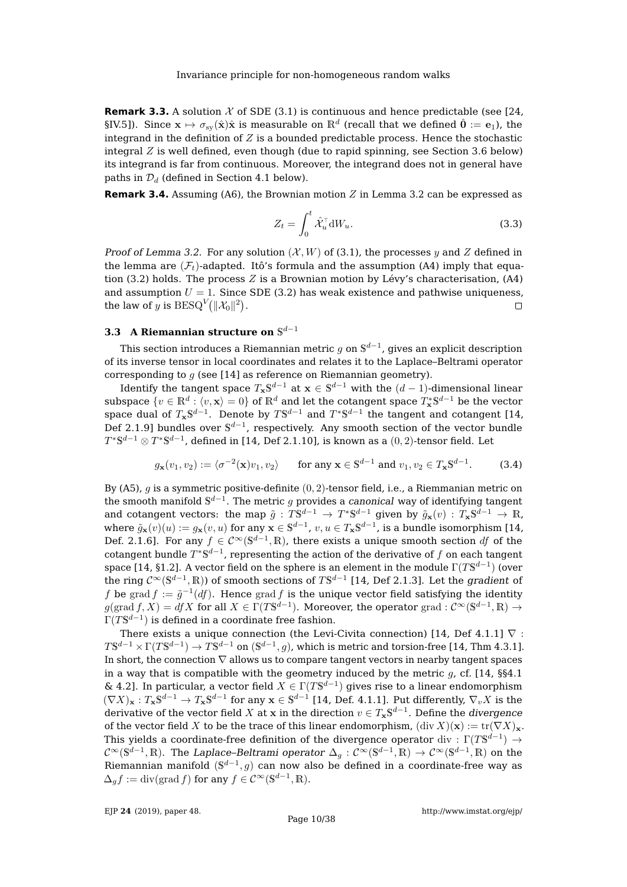**Remark 3.3.** A solution  $\mathcal X$  of SDE [\(3.1\)](#page-9-4) is continuous and hence predictable (see [\[24,](#page-38-9) §IV.5]). Since  ${\bf x} \mapsto \sigma_{\rm sy}(\hat{\bf x})\hat{\bf x}$  is measurable on  $\mathbb{R}^d$  (recall that we defined  $\hat{\bf 0}:= {\bf e}_1$ ), the integrand in the definition of  $Z$  is a bounded predictable process. Hence the stochastic integral  $Z$  is well defined, even though (due to rapid spinning, see Section [3.6](#page-17-0) below) its integrand is far from continuous. Moreover, the integrand does not in general have paths in  $\mathcal{D}_d$  (defined in Section [4.1](#page-26-2) below).

**Remark 3.4.** Assuming [\(A6\)](#page-8-4), the Brownian motion  $Z$  in Lemma [3.2](#page-9-2) can be expressed as

<span id="page-10-2"></span>
$$
Z_t = \int_0^t \hat{\mathcal{X}}_u^\top \mathrm{d}W_u.
$$
 (3.3)

Proof of Lemma [3.2.](#page-9-2) For any solution  $(\mathcal{X}, W)$  of [\(3.1\)](#page-9-4), the processes y and Z defined in the lemma are  $(\mathcal{F}_t)$ -adapted. Itô's formula and the assumption [\(A4\)](#page-8-3) imply that equa-tion [\(3.2\)](#page-9-6) holds. The process  $Z$  is a Brownian motion by Lévy's characterisation, [\(A4\)](#page-8-3) and assumption  $U = 1$ . Since SDE [\(3.2\)](#page-9-6) has weak existence and pathwise uniqueness, the law of  $y$  is  $\text{BESQ}^V(\|\mathcal{X}_0\|^2).$  $\Box$ 

# <span id="page-10-0"></span>**3.3** A Riemannian structure on  $\mathbb{S}^{d-1}$

This section introduces a Riemannian metric  $g$  on  $\mathbb{S}^{d-1}$ , gives an explicit description of its inverse tensor in local coordinates and relates it to the Laplace–Beltrami operator corresponding to  $q$  (see [\[14\]](#page-37-9) as reference on Riemannian geometry).

Identify the tangent space  $T_{\mathbf{x}}\mathbb{S}^{d-1}$  at  $\mathbf{x}\in\mathbb{S}^{d-1}$  with the  $(d-1)\textrm{-dimensional linear}$ subspace  $\{v\in\mathbb{R}^d:\langle v,{\bf x}\rangle=0\}$  of  $\mathbb{R}^d$  and let the cotangent space  $T^*_{\bf x} \mathbb{S}^{d-1}$  be the vector space dual of  $T_{\mathbf{x}}\mathbb{S}^{d-1}.$  Denote by  $T\mathbb{S}^{d-1}$  and  $T^*\mathbb{S}^{d-1}$  the tangent and cotangent [\[14,](#page-37-9) Def 2.1.9] bundles over  $\mathbb{S}^{d-1}$ , respectively. Any smooth section of the vector bundle  $T^*\mathbb{S}^{d-1}\otimes T^*\mathbb{S}^{d-1}$ , defined in [\[14,](#page-37-9) Def 2.1.10], is known as a  $(0,2)$ -tensor field. Let

<span id="page-10-1"></span>
$$
g_{\mathbf{x}}(v_1, v_2) := \langle \sigma^{-2}(\mathbf{x})v_1, v_2 \rangle \quad \text{for any } \mathbf{x} \in \mathbb{S}^{d-1} \text{ and } v_1, v_2 \in T_{\mathbf{x}}\mathbb{S}^{d-1}.
$$
 (3.4)

By [\(A5\)](#page-8-5), g is a symmetric positive-definite  $(0, 2)$ -tensor field, i.e., a Riemmanian metric on the smooth manifold  $\mathbb{S}^{d-1}.$  The metric  $g$  provides a *canonical* way of identifying tangent and cotangent vectors: the map  ${\tilde g}: T\mathbb{S}^{d-1}\to T^*\mathbb{S}^{d-1}$  given by  ${\tilde g}_{\mathbf{x}}(v): T_{\mathbf{x}}\mathbb{S}^{d-1}\to \mathbb{R}$ , where  $\tilde{g}_{{\bf x}}(v)(u):=g_{{\bf x}}(v,u)$  for any  ${\bf x}\in\mathbb S^{d-1}$ ,  $v,u\in T_{{\bf x}}\mathbb S^{d-1}$ , is a bundle isomorphism [\[14,](#page-37-9) Def. 2.1.6]. For any  $f \in C^{\infty}(\mathbb{S}^{d-1}, \mathbb{R})$ , there exists a unique smooth section df of the cotangent bundle  $T^*\mathbb{S}^{d-1}$ , representing the action of the derivative of  $f$  on each tangent space [\[14,](#page-37-9) §1.2]. A vector field on the sphere is an element in the module  $\Gamma(T\mathbb{S}^{d-1})$  (over the ring  $\mathcal{C}^\infty(\mathbb{S}^{d-1},\mathbb{R})$ ) of smooth sections of  $T\mathbb{S}^{d-1}$  [\[14,](#page-37-9) Def 2.1.3]. Let the *gradient* of f be grad  $f := \tilde{g}^{-1}(df)$ . Hence grad f is the unique vector field satisfying the identity  $g(\text{grad } f, X) = dfX$  for all  $X \in \Gamma(T\mathbb{S}^{d-1})$ . Moreover, the operator grad :  $\mathcal{C}^{\infty}(\mathbb{S}^{d-1}, \mathbb{R}) \to$  $\Gamma(T{\bf S}^{d-1})$  is defined in a coordinate free fashion.

There exists a unique connection (the Levi-Civita connection) [\[14,](#page-37-9) Def 4.1.1]  $\nabla$  :  $T\mathbb{S}^{d-1}\times\Gamma(T\mathbb{S}^{d-1})\to T\mathbb{S}^{d-1}$  on  $(\mathbb{S}^{d-1},g)$ , which is metric and torsion-free [\[14,](#page-37-9) Thm 4.3.1]. In short, the connection  $\nabla$  allows us to compare tangent vectors in nearby tangent spaces in a way that is compatible with the geometry induced by the metric  $g$ , cf. [\[14,](#page-37-9) §§4.1 & 4.2]. In particular, a vector field  $X \in \Gamma(T\mathbb{S}^{d-1})$  gives rise to a linear endomorphism  $(\nabla X)_\mathbf{x}: T_\mathbf{x} \mathbb{S}^{d-1} \to T_\mathbf{x} \mathbb{S}^{d-1}$  for any  $\mathbf{x} \in \mathbb{S}^{d-1}$  [\[14,](#page-37-9) Def. 4.1.1]. Put differently,  $\nabla_v X$  is the derivative of the vector field  $X$  at  ${\bf x}$  in the direction  $v\in T_{\bf x}\mathbb{S}^{d-1}.$  Define the *divergence* of the vector field X to be the trace of this linear endomorphism,  $(\text{div } X)(\mathbf{x}) := \text{tr}(\nabla X)_{\mathbf{x}}$ . This yields a coordinate-free definition of the divergence operator  $\mathrm{div}:\Gamma(T\mathbb{S}^{d-1})\rightarrow$  $\mathcal{C}^\infty(\mathbb{S}^{d-1},\mathbb{R})$ . The Laplace–Beltrami operator  $\Delta_g: \mathcal{C}^\infty(\mathbb{S}^{d-1},\mathbb{R})\to \mathcal{C}^\infty(\mathbb{S}^{d-1},\mathbb{R})$  on the Riemannian manifold  $(\mathbb{S}^{d-1}, g)$  can now also be defined in a coordinate-free way as  $\Delta_g f := \text{div}(\text{grad } f)$  for any  $f \in C^\infty(\mathbb{S}^{d-1}, \mathbb{R})$ .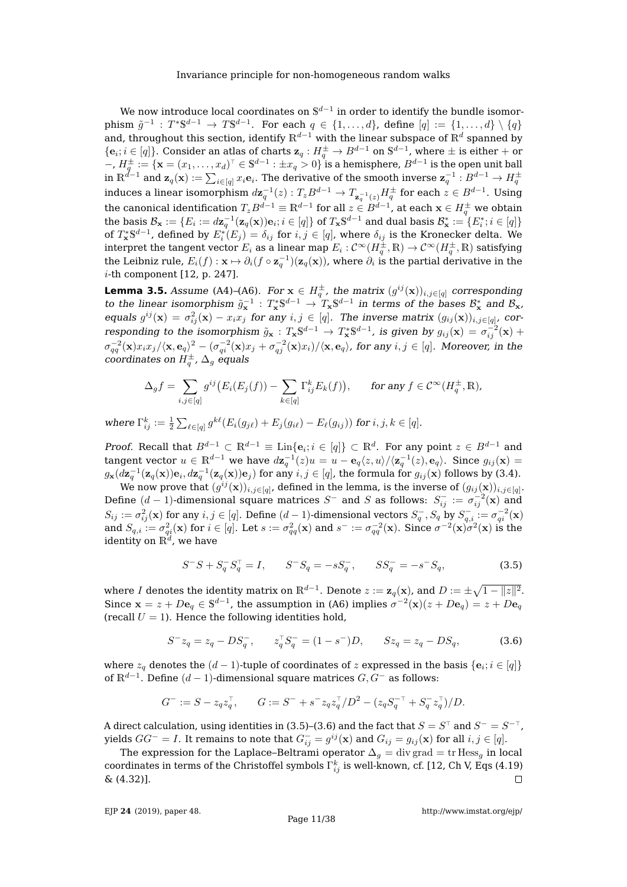We now introduce local coordinates on  $\mathbb{S}^{d-1}$  in order to identify the bundle isomorphism  $\tilde{g}^{-1}: T^* \mathbb{S}^{d-1} \to T \mathbb{S}^{d-1}$ . For each  $q \in \{1, ..., d\}$ , define  $[q] := \{1, ..., d\} \setminus \{q\}$ and, throughout this section, identify  $\mathbb{R}^{d-1}$  with the linear subspace of  $\mathbb{R}^d$  spanned by  $\{{\bf e}_i; i\in[q]\}.$  Consider an atlas of charts  ${\bf z}_q: H^\pm_q\to B^{d-1}$  on  $\mathbb{S}^{d-1}$ , where  $\pm$  is either  $+$  or  $-$ ,  $H^{\pm}_q:=\{\mathbf{x}=(x_1,\ldots,x_d)^\top\in\mathbb{S}^{d-1}:\pm x_q>0\}$  is a hemisphere,  $B^{d-1}$  is the open unit ball in  $\mathbb{R}^{d-1}$  and  $\mathbf{z}_q(\mathbf{x}) := \sum_{i \in [q]} x_i \mathbf{e}_i.$  The derivative of the smooth inverse  $\mathbf{z}_q^{-1}: B^{d-1} \to H_q^\pm$ induces a linear isomorphism  $d\mathbf{z}_q^{-1}(z): T_zB^{d-1}\to T_{\mathbf{z}_q^{-1}(z)}H_q^\pm$  for each  $z\in B^{d-1}.$  Using the canonical identification  $T_zB^{d-1}\equiv\mathbb{R}^{d-1}$  for all  $z\in B^{d-1}$ , at each  $\mathbf{x}\in H_q^\pm$  we obtain the basis  $\mathcal{B}_{\mathbf{x}}:=\{E_i:=d\mathbf{z}_q^{-1}(\mathbf{z}_q(\mathbf{x}))\mathbf{e}_i;i\in[q]\}$  of  $T_{\mathbf{x}}\mathbb{S}^{d-1}$  and dual basis  $\mathcal{B}^*_{\mathbf{x}}:=\{E^*_i;i\in[q]\}$ of  $T^{*}_{\mathbf{x}}\mathbb{S}^{d-1}$ , defined by  $E^{*}_{i}(E_{j})=\delta_{ij}$  for  $i,j\in[q]$ , where  $\delta_{ij}$  is the Kronecker delta. We interpret the tangent vector  $E_i$  as a linear map  $E_i:\mathcal{C}^\infty(H_q^\pm,\R)\to \mathcal{C}^\infty(H_q^\pm,\R)$  satisfying the Leibniz rule,  $E_i(f):{\bf x}\mapsto \partial_i(f\circ {\bf z}_q^{-1})({\bf z}_q({\bf x}))$ , where  $\partial_i$  is the partial derivative in the i-th component [\[12,](#page-37-4) p. 247].

<span id="page-11-2"></span>**Lemma 3.5.** Assume [\(A4\)](#page-8-3)–[\(A6\)](#page-8-4). For  $\mathbf{x} \in H_q^{\pm}$ , the matrix  $(g^{ij}(\mathbf{x}))_{i,j \in [q]}$  corresponding to the linear isomorphism  $\tilde{g}_x^{-1}: T^{*}_{x} \mathbb{S}^{d-1} \to T^{*}_{x} \mathbb{S}^{d-1}$  in terms of the bases  $\mathcal{B}^{*}_{x}$  and  $\mathcal{B}_{x}$ , equals  $g^{ij}(\mathbf{x}) = \sigma_{ij}^2(\mathbf{x}) - x_i x_j$  for any  $i, j \in [q]$ . The inverse matrix  $(g_{ij}(\mathbf{x}))_{i, j \in [q]}$ , corresponding to the isomorphism  $\tilde{g}_{\bf x}: T_{\bf x}\mathbb{S}^{d-1}\to T_{\bf x}^*\mathbb{S}^{d-1}$ , is given by  $g_{ij}({\bf x})=\sigma_{ij}^{-2}({\bf x})+$  $\sigma_{qq}^{-2}(\textbf{x}) x_i x_j/\langle \textbf{x}, \textbf{e}_q \rangle^2 - (\sigma_{qi}^{-2}(\textbf{x}) x_j + \sigma_{qj}^{-2}(\textbf{x}) x_i)/\langle \textbf{x}, \textbf{e}_q \rangle$ , for any  $i,j \in [q].$  Moreover, in the coordinates on  $H_q^{\pm}$ ,  $\Delta_g$  equals

$$
\Delta_g f = \sum_{i,j \in [q]} g^{ij} \big( E_i(E_j(f)) - \sum_{k \in [q]} \Gamma_{ij}^k E_k(f) \big), \quad \text{for any } f \in C^\infty(H_q^{\pm}, \mathbb{R}),
$$

where  $\Gamma_{ij}^k := \frac{1}{2} \sum_{\ell \in [q]} g^{k\ell} (E_i(g_{j\ell}) + E_j(g_{i\ell}) - E_\ell(g_{ij}))$  for  $i, j, k \in [q]$ .

Proof. Recall that  $B^{d-1} \subset \mathbb{R}^{d-1} \equiv \text{Lin}\{\mathbf{e}_i; i \in [q]\} \subset \mathbb{R}^d$ . For any point  $z \in B^{d-1}$  and tangent vector  $u \in \mathbb{R}^{d-1}$  we have  $d\mathbf{z}_q^{-1}(z)u = u - \mathbf{e}_q\langle z, u\rangle/\langle \mathbf{z}_q^{-1}(z), \mathbf{e}_q\rangle.$  Since  $g_{ij}(\mathbf{x}) =$  $g_{\bf x}(d{\bf z}_q^{-1}({\bf z}_q({\bf x})) {\bf e}_i, d{\bf z}_q^{-1}({\bf z}_q({\bf x})) {\bf e}_j)$  for any  $i,j \in [q]$ , the formula for  $g_{ij}({\bf x})$  follows by [\(3.4\)](#page-10-1).

We now prove that  $(g^{ij}(\mathbf{x}))_{i,j \in [q]}$ , defined in the lemma, is the inverse of  $(g_{ij}(\mathbf{x}))_{i,j \in [q]}$ . Define  $(d-1)$ -dimensional square matrices  $S^-$  and S as follows:  $S_{ij}^- := \sigma_{ij}^{-2}(\mathbf{x})$  and  $S_{ij}:=\sigma_{ij}^2(\mathbf{x})$  for any  $i,j\in[q].$  Define  $(d-1)$ -dimensional vectors  $S_q^-,S_q$  by  $S_{q,i}^-:=\sigma_{qi}^{-2}(\mathbf{x})$ and  $S_{q,i} := \sigma_{qi}^2(\mathbf{x})$  for  $i \in [q]$ . Let  $s := \sigma_{qq}^2(\mathbf{x})$  and  $s^- := \sigma_{qq}^{-2}(\mathbf{x})$ . Since  $\sigma^{-2}(\mathbf{x})\sigma^2(\mathbf{x})$  is the identity on  $\mathbb{R}^d$ , we have

<span id="page-11-0"></span>
$$
S^{-}S + S_{q}^{-}S_{q}^{\top} = I, \qquad S^{-}S_{q} = -sS_{q}^{-}, \qquad SS_{q}^{-} = -s^{-}S_{q}, \tag{3.5}
$$

where  $I$  denotes the identity matrix on  $\mathbb{R}^{d-1}.$  Denote  $z:=\mathbf{z}_q(\mathbf{x})$ , and  $D:=\pm \sqrt{1-\|z\|^2}.$ Since  $\mathbf{x} = z + D\mathbf{e}_q \in \mathbb{S}^{d-1}$ , the assumption in [\(A6\)](#page-8-4) implies  $\sigma^{-2}(\mathbf{x})(z + D\mathbf{e}_q) = z + D\mathbf{e}_q$ (recall  $U = 1$ ). Hence the following identities hold,

<span id="page-11-1"></span>
$$
S^{-}z_{q} = z_{q} - DS_{q}^{-}, \qquad z_{q}^{\top}S_{q}^{-} = (1 - s^{-})D, \qquad Sz_{q} = z_{q} - DS_{q}, \tag{3.6}
$$

where  $z_q$  denotes the  $(d-1)$ -tuple of coordinates of  $z$  expressed in the basis  $\{{\bf e}_i; i \in [q]\}$ of  $\mathbb{R}^{d-1}.$  Define  $(d-1)$ -dimensional square matrices  $G, G^-$  as follows:

$$
G^- := S - z_q z_q^\top, \qquad G := S^- + s^- z_q z_q^\top / D^2 - (z_q S_q^{-\top} + S_q^ - z_q^\top) / D.
$$

A direct calculation, using identities in [\(3.5\)](#page-11-0)–[\(3.6\)](#page-11-1) and the fact that  $S=S^\top$  and  $S^-=S^{-\top}$ , yields  $GG^- = I$ . It remains to note that  $G^-_{ij} = g^{ij}(\mathbf{x})$  and  $G_{ij} = g_{ij}(\mathbf{x})$  for all  $i,j \in [q].$ 

The expression for the Laplace–Beltrami operator  $\Delta_g = \text{div grad} = \text{tr Hess}_g$  in local coordinates in terms of the Christoffel symbols  $\Gamma_{ij}^k$  is well-known, cf. [\[12,](#page-37-4) Ch V, Eqs (4.19) & (4.32)].  $\Box$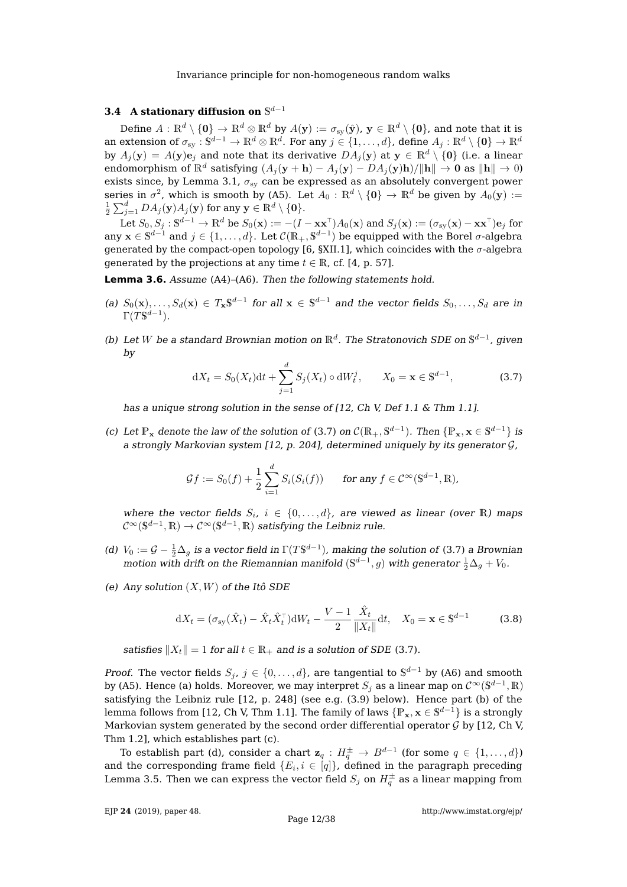# <span id="page-12-0"></span>**3.4** A stationary diffusion on  $\mathbb{S}^{d-1}$

Define  $A: \mathbb{R}^d \setminus \{0\} \to \mathbb{R}^d \otimes \mathbb{R}^d$  by  $A(y) := \sigma_{sv}(\hat{y}), y \in \mathbb{R}^d \setminus \{0\}$ , and note that it is an extension of  $\sigma_{\rm sy}:{\mathbb S}^{d-1}\to{\mathbb R}^d\otimes{\mathbb R}^d.$  For any  $j\in\{1,\ldots,d\}$ , define  $A_j:{\mathbb R}^d\setminus\{{\bf 0}\}\to{\mathbb R}^d$ by  $A_j(y) = A(y)e_j$  and note that its derivative  $DA_j(y)$  at  $y \in \mathbb{R}^d \setminus \{0\}$  (i.e. a linear endomorphism of  $\mathbb{R}^d$  satisfying  $(A_j(\mathbf{y} + \mathbf{h}) - A_j(\mathbf{y}) - DA_j(\mathbf{y})\mathbf{h})/\|\mathbf{h}\| \to \mathbf{0}$  as  $\|\mathbf{h}\| \to 0$ ) exists since, by Lemma [3.1,](#page-9-3)  $\sigma_{\rm sv}$  can be expressed as an absolutely convergent power series in  $\sigma^2$ , which is smooth by [\(A5\)](#page-8-5). Let  $A_0: \mathbb{R}^d \setminus \{\mathbf{0}\} \to \mathbb{R}^d$  be given by  $A_0(\mathbf{y}) :=$  $\frac{1}{2} \sum_{j=1}^d DA_j(\mathbf{y}) A_j(\mathbf{y})$  for any  $\mathbf{y} \in \mathbb{R}^d \setminus \{\mathbf{0}\}.$ 

Let  $S_0, S_j:\mathbb{S}^{d-1}\to\mathbb{R}^d$  be  $S_0(\mathbf{x}):=-(I-\mathbf{x}\mathbf{x}^\top)A_0(\mathbf{x})$  and  $S_j(\mathbf{x}):=(\sigma_{\text{sy}}(\mathbf{x})-\mathbf{x}\mathbf{x}^\top)\mathbf{e}_j$  for any  $\mathbf{x} \in \mathbb{S}^{d-1}$  and  $j \in \{1,\ldots,d\}$ . Let  $\mathcal{C}(\mathbb{R}_+, \mathbb{S}^{d-1})$  be equipped with the Borel  $\sigma$ -algebra generated by the compact-open topology [\[6,](#page-37-10) §XII.1], which coincides with the  $\sigma$ -algebra generated by the projections at any time  $t \in \mathbb{R}$ , cf. [\[4,](#page-37-8) p. 57].

<span id="page-12-1"></span>**Lemma 3.6.** Assume [\(A4\)](#page-8-3)–[\(A6\)](#page-8-4). Then the following statements hold.

- <span id="page-12-4"></span>(a)  $S_0(\mathbf{x}), \ldots, S_d(\mathbf{x}) \in T_{\mathbf{x}} \mathbb{S}^{d-1}$  for all  $\mathbf{x} \in \mathbb{S}^{d-1}$  and the vector fields  $S_0, \ldots, S_d$  are in  $\Gamma(T\mathbb{S}^{d-1}).$
- <span id="page-12-5"></span>(b) Let W be a standard Brownian motion on  $\mathbb{R}^d$ . The Stratonovich SDE on  $\mathbb{S}^{d-1}$ , given by

<span id="page-12-3"></span>
$$
dX_t = S_0(X_t)dt + \sum_{j=1}^d S_j(X_t) \circ dW_t^j, \qquad X_0 = \mathbf{x} \in \mathbb{S}^{d-1},
$$
 (3.7)

has a unique strong solution in the sense of [\[12,](#page-37-4) Ch V, Def 1.1 & Thm 1.1].

<span id="page-12-6"></span>(c) Let  $\mathbb{P}_x$  denote the law of the solution of [\(3.7\)](#page-12-3) on  $\mathcal{C}(\mathbb{R}_+, \mathbb{S}^{d-1})$ . Then  $\{\mathbb{P}_x, x \in \mathbb{S}^{d-1}\}\)$  is a strongly Markovian system [\[12,](#page-37-4) p. 204], determined uniquely by its generator  $\mathcal{G}$ ,

$$
\mathcal{G}f := S_0(f) + \frac{1}{2} \sum_{i=1}^d S_i(S_i(f)) \quad \text{for any } f \in \mathcal{C}^\infty(\mathbb{S}^{d-1}, \mathbb{R}).
$$

where the vector fields  $S_i$ ,  $i \in \{0, ..., d\}$ , are viewed as linear (over R) maps  $\mathcal{C}^\infty(\mathbb{S}^{d-1}, \mathbb{R}) \to \mathcal{C}^\infty(\mathbb{S}^{d-1}, \mathbb{R})$  satisfying the Leibniz rule.

- <span id="page-12-7"></span>(d)  $V_0 := \mathcal{G} - \frac{1}{2}\Delta_g$  is a vector field in  $\Gamma(T\mathbb{S}^{d-1})$ , making the solution of [\(3.7\)](#page-12-3) a Brownian motion with drift on the Riemannian manifold  $(\mathbb{S}^{d-1}, g)$  with generator  $\frac{1}{2}\Delta_g + V_0$ .
- <span id="page-12-8"></span>(e) Any solution  $(X, W)$  of the Itô SDE

<span id="page-12-2"></span>
$$
dX_t = (\sigma_{sy}(\hat{X}_t) - \hat{X}_t \hat{X}_t^\top) dW_t - \frac{V - 1}{2} \frac{\hat{X}_t}{\|X_t\|} dt, \quad X_0 = \mathbf{x} \in \mathbb{S}^{d-1}
$$
(3.8)

satisfies  $||X_t|| = 1$  for all  $t \in \mathbb{R}_+$  and is a solution of SDE [\(3.7\)](#page-12-3).

*Proof.* The vector fields  $S_j$ ,  $j \in \{0, ..., d\}$ , are tangential to  $\mathbb{S}^{d-1}$  by [\(A6\)](#page-8-4) and smooth by [\(A5\)](#page-8-5). Hence [\(a\)](#page-12-4) holds. Moreover, we may interpret  $S_j$  as a linear map on  $\mathcal{C}^\infty(\mathbb{S}^{d-1},\mathbb{R})$ satisfying the Leibniz rule [\[12,](#page-37-4) p. 248] (see e.g. [\(3.9\)](#page-13-1) below). Hence part [\(b\)](#page-12-5) of the lemma follows from [\[12,](#page-37-4) Ch V, Thm 1.1]. The family of laws  $\{\mathbb P_{\mathbf x}, \mathbf x \in \mathbb S^{d-1}\}$  is a strongly Markovian system generated by the second order differential operator  $\mathcal G$  by [\[12,](#page-37-4) Ch V, Thm 1.2], which establishes part [\(c\)](#page-12-6).

To establish part [\(d\)](#page-12-7), consider a chart  $\mathbf{z}_q : H^{\pm}_q \to B^{d-1}$  (for some  $q \in \{1, \dots, d\}$ ) and the corresponding frame field  $\{E_i, i\in [q]\}$ , defined in the paragraph preceding Lemma [3.5.](#page-11-2) Then we can express the vector field  $S_j$  on  $H^\pm_q$  as a linear mapping from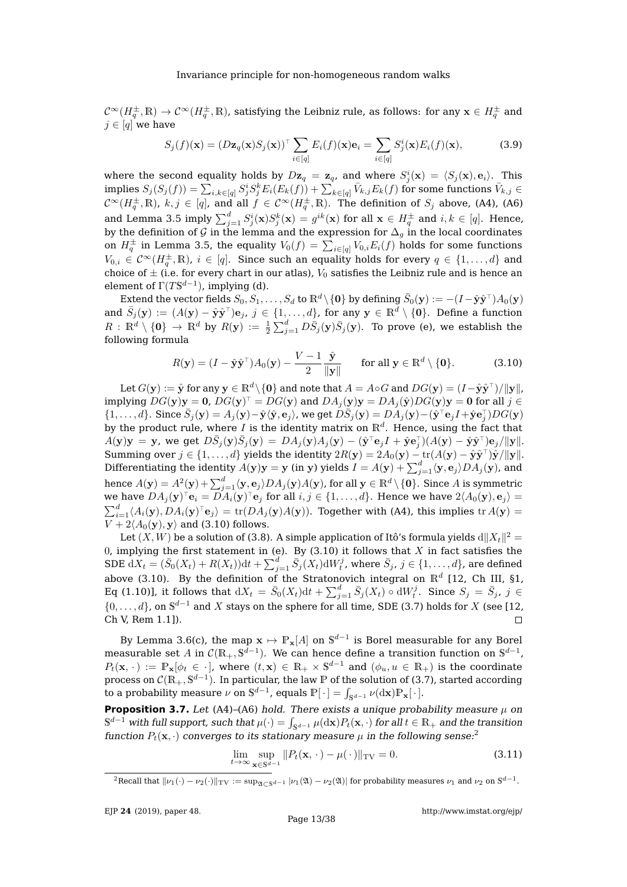$\mathcal{C}^\infty(H_q^\pm,\R)\to \mathcal{C}^\infty(H_q^\pm,\R)$ , satisfying the Leibniz rule, as follows: for any  $\mathbf{x}\in H_q^\pm$  and  $j \in [q]$  we have

<span id="page-13-1"></span>
$$
S_j(f)(\mathbf{x}) = (D\mathbf{z}_q(\mathbf{x})S_j(\mathbf{x}))^\top \sum_{i \in [q]} E_i(f)(\mathbf{x})\mathbf{e}_i = \sum_{i \in [q]} S_j^i(\mathbf{x})E_i(f)(\mathbf{x}), \tag{3.9}
$$

where the second equality holds by  $D\mathbf{z}_q = \mathbf{z}_q$ , and where  $S^i_j(\mathbf{x}) = \langle S_j(\mathbf{x}), \mathbf{e}_i \rangle$ . This implies  $S_j(S_j(f))=\sum_{i,k \in [q]} S_j^iS_j^kE_i(E_k(f)) + \sum_{k \in [q]} \bar{V}_{k,j}E_k(f)$  for some functions  $\bar{V}_{k,j} \in$  $\mathcal{C}^\infty(H_q^\pm,\R)$ ,  $k,j\in [q]$ , and all  $f\in \mathcal{C}^\infty(H_q^\pm,\R)$ . The definition of  $S_j$  above, [\(A4\)](#page-8-3), [\(A6\)](#page-8-4) and Lemma [3.5](#page-11-2) imply  $\sum_{j=1}^d S^i_j({\bf x})S^k_j({\bf x})=g^{ik}({\bf x})$  for all  ${\bf x}\in H_q^\pm$  and  $i,k\in[q].$  Hence, by the definition of G in the lemma and the expression for  $\Delta_g$  in the local coordinates on  $H_q^{\pm}$  in Lemma [3.5,](#page-11-2) the equality  $V_0(f) = \sum_{i \in [q]} V_{0,i} E_i(f)$  holds for some functions  $V_{0,i} \in \mathcal{C}^{\infty}(H_q^{\pm}, \mathbb{R})$ ,  $i \in [q]$ . Since such an equality holds for every  $q \in \{1, \ldots, d\}$  and choice of  $\pm$  (i.e. for every chart in our atlas),  $V_0$  satisfies the Leibniz rule and is hence an element of  $\Gamma(T\mathbb{S}^{d-1})$ , implying [\(d\)](#page-12-7).

Extend the vector fields  $S_0, S_1, \ldots, S_d$  to  $\R^d\backslash\{{\bf 0}\}$  by defining  $\bar S_0({\bf y}):=-(I-\hat {\bf y}\hat {\bf y}^\top)A_0({\bf y})$ and  $\bar{S}_j(\mathbf{y}) := (A(\mathbf{y}) - \hat{\mathbf{y}}\hat{\mathbf{y}}^\top)\mathbf{e}_j, \ j \in \{1, \dots, d\}$ , for any  $\mathbf{y} \in \mathbb{R}^d \setminus \{\mathbf{0}\}.$  Define a function  $R\,:\,\mathbb{R}^d\setminus\{\mathbf{0}\}\,\to\,\mathbb{R}^d$  by  $R(\mathbf{y})\,:=\,\frac{1}{2}\sum_{j=1}^d D\bar{S}_j(\mathbf{y})\bar{S}_j(\mathbf{y}).\,$  To prove [\(e\)](#page-12-8), we establish the following formula

<span id="page-13-2"></span>
$$
R(\mathbf{y}) = (I - \hat{\mathbf{y}}\hat{\mathbf{y}}^{\top})A_0(\mathbf{y}) - \frac{V - 1}{2} \frac{\hat{\mathbf{y}}}{\|\mathbf{y}\|} \quad \text{for all } \mathbf{y} \in \mathbb{R}^d \setminus \{\mathbf{0}\}. \tag{3.10}
$$

Let  $G(\mathbf{y}) := \hat{\mathbf{y}}$  for any  $\mathbf{y} \in \mathbb{R}^d \setminus \{\mathbf{0}\}$  and note that  $A = A \circ G$  and  $DG(\mathbf{y}) = (I - \hat{\mathbf{y}}\hat{\mathbf{y}}^\top)/\|\mathbf{y}\|$  , implying  $DG({\bf y}){\bf y}={\bf 0}$ ,  $DG({\bf y})^\top=DG({\bf y})$  and  $DA_j({\bf y}){\bf y}=DA_j(\hat{{\bf y}})DG({\bf y}){\bf y}={\bf 0}$  for all  $j\in$  $\{1,\ldots,d\}.$  Since  $\bar{S}_j(\mathbf{y})=A_j(\mathbf{y})-\hat{\mathbf{y}}\langle\hat{\mathbf{y}},\mathbf{e}_j\rangle$ , we get  $D\bar{S}_j(\mathbf{y})=DA_j(\mathbf{y})-(\hat{\mathbf{y}}^\top\mathbf{e}_jI+\hat{\mathbf{y}}\mathbf{e}_j^\top)DG(\mathbf{y})$ by the product rule, where I is the identity matrix on  $\mathbb{R}^d$ . Hence, using the fact that  $A(\mathbf{y})\mathbf{y} = \mathbf{y}$ , we get  $D\bar{S}_j(\mathbf{y})\bar{S}_j(\mathbf{y}) = DA_j(\mathbf{y})A_j(\mathbf{y}) - (\hat{\mathbf{y}}^\top \mathbf{e}_j I + \hat{\mathbf{y}} \mathbf{e}_j^\top)(A(\mathbf{y}) - \hat{\mathbf{y}}\hat{\mathbf{y}}^\top)\mathbf{e}_j / \|\mathbf{y}\|.$ Summing over  $j \in \{1, ..., d\}$  yields the identity  $2R(\mathbf{y}) = 2A_0(\mathbf{y}) - \text{tr}(A(\mathbf{y}) - \hat{\mathbf{y}}\hat{\mathbf{y}}^\top)\hat{\mathbf{y}}/\Vert\mathbf{y}\Vert$ . Differentiating the identity  $A(\mathbf{y})\mathbf{y}=\mathbf{y}$  (in  $\mathbf{y})$  yields  $I=A(\mathbf{y})+\sum_{j=1}^d\langle\mathbf{y},\mathbf{e}_j\rangle DA_j(\mathbf{y})$ , and hence  $A(\mathbf{y})=A^2(\mathbf{y})+\sum_{j=1}^d\langle\mathbf{y},\mathbf{e}_j\rangle DA_j(\mathbf{y})A(\mathbf{y})$ , for all  $\mathbf{y}\in\mathbb{R}^d\setminus\{\mathbf{0}\}.$  Since  $A$  is symmetric we have  $DA_j({\bf y})^\top {\bf e}_i = D A_i({\bf y})^\top {\bf e}_j$  for all  $i,j\in\{1,\ldots,d\}.$  Hence we have  $2\langle A_0({\bf y}),{\bf e}_j\rangle=$  $\sum_{i=1}^d\langle A_i(\mathbf{y}), DA_i(\mathbf{y})^\top \mathbf{e}_j\rangle =\text{tr}(DA_j(\mathbf{y})A(\mathbf{y})).$  Together with [\(A4\)](#page-8-3), this implies  $\text{tr}\,A(\mathbf{y})=$  $V + 2\langle A_0(\mathbf{y}), \mathbf{y} \rangle$  and [\(3.10\)](#page-13-2) follows.

Let  $(X,W)$  be a solution of [\(3.8\)](#page-12-2). A simple application of Itô's formula yields  ${\rm d} \|X_t\|^2 =$ 0, implying the first statement in [\(e\)](#page-12-8). By  $(3.10)$  it follows that  $X$  in fact satisfies the SDE  $\mathrm{d}X_t=(\bar{S}_0(X_t)+R(X_t))\mathrm{d}t+\sum_{j=1}^d\bar{S}_j(X_t)\mathrm{d}W_t^j$ , where  $\bar{S}_j$ ,  $j\in\{1,\ldots,d\}$ , are defined above [\(3.10\)](#page-13-2). By the definition of the Stratonovich integral on  $\mathbb{R}^d$  [\[12,](#page-37-4) Ch III, §1, Eq (1.10)], it follows that  $\mathrm{d}X_t\,=\,\bar S_0(X_t)\mathrm{d}t+\sum_{j=1}^d\bar S_j(X_t)\circ \mathrm{d}W_t^j.$  Since  $S_j\,=\,\bar S_j$ ,  $j\,\in\,$  $\{0, \ldots, d\}$ , on  $\mathbb{S}^{d-1}$  and X stays on the sphere for all time, SDE [\(3.7\)](#page-12-3) holds for X (see [\[12,](#page-37-4) Ch V, Rem 1.1]).  $\Box$ 

By Lemma [3.6](#page-12-1)[\(c\)](#page-12-6), the map  $\mathbf{x} \mapsto \mathbb{P}_\mathbf{x}[A]$  on  $\mathbb{S}^{d-1}$  is Borel measurable for any Borel measurable set  $A$  in  $\mathcal{C}(\mathbb{R}_+, \mathbb{S}^{d-1}).$  We can hence define a transition function on  $\mathbb{S}^{d-1}$ ,  $P_t(\mathbf{x},\cdot) := \mathbb{P}_{\mathbf{x}}[\phi_t \in \cdot]$ , where  $(t,\mathbf{x}) \in \mathbb{R}_+ \times \mathbb{S}^{d-1}$  and  $(\phi_u, u \in \mathbb{R}_+)$  is the coordinate process on  $\mathcal{C}(\mathbb{R}_+, \mathbb{S}^{d-1}).$  In particular, the law  $\mathbb P$  of the solution of [\(3.7\)](#page-12-3), started according to a probability measure  $\nu$  on  $\mathbb{S}^{d-1}$ , equals  $\mathbb{P}[\,\cdot\,]=\int_{\mathbb{S}^{d-1}}\nu(\mathrm{d}\mathbf{x})\mathbb{P}_{\mathbf{x}}[\,\cdot\,].$ 

<span id="page-13-0"></span>**Proposition 3.7.** Let [\(A4\)](#page-8-3)–[\(A6\)](#page-8-4) hold. There exists a unique probability measure  $\mu$  on  $\mathbb{S}^{d-1}$  with full support, such that  $\mu(\cdot)=\int_{\mathbb{S}^{d-1}}\mu(\mathrm{d}\mathbf{x})P_t(\mathbf{x},\cdot)$  for all  $t\in\mathbb{R}_+$  and the transition function  $P_t(\mathbf{x},\cdot)$  converges to its stationary measure  $\mu$  in the following sense:

<span id="page-13-4"></span>
$$
\lim_{t \to \infty} \sup_{\mathbf{x} \in \mathbb{S}^{d-1}} \| P_t(\mathbf{x}, \cdot) - \mu(\cdot) \|_{\text{TV}} = 0.
$$
\n(3.11)

<span id="page-13-3"></span> $^2$ Recall that  $\|\nu_1(\cdot)-\nu_2(\cdot)\|_{\text{TV}}:=\sup_{\mathfrak{A}\subset \mathbb{S}^{d-1}}|\nu_1(\mathfrak{A})-\nu_2(\mathfrak{A})|$  for probability measures  $\nu_1$  and  $\nu_2$  on  $\mathbb{S}^{d-1}.$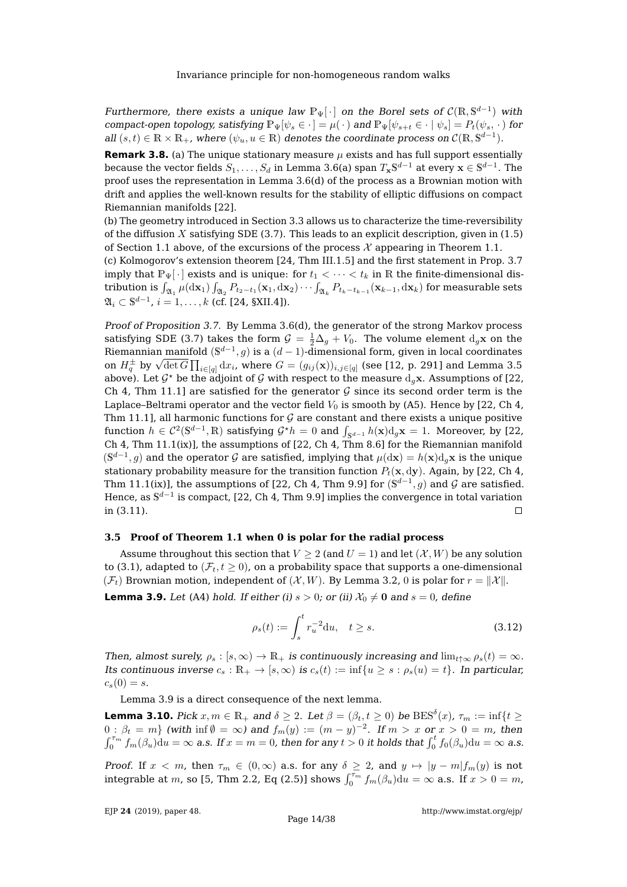Furthermore, there exists a unique law  $\mathbb{P}_{\Psi}[\cdot]$  on the Borel sets of  $\mathcal{C}(\mathbb{R}, \mathbb{S}^{d-1})$  with compact-open topology, satisfying  $\mathbb{P}_{\Psi}[\psi_s \in \cdot] = \mu(\cdot)$  and  $\mathbb{P}_{\Psi}[\psi_{s+t} \in \cdot | \psi_s] = P_t(\psi_s, \cdot)$  for all  $(s,t) \in \mathbb{R} \times \mathbb{R}_+$ , where  $(\psi_u, u \in \mathbb{R})$  denotes the coordinate process on  $\mathcal{C}(\mathbb{R}, \mathbb{S}^{d-1})$ .

**Remark 3.8.** (a) The unique stationary measure  $\mu$  exists and has full support essentially because the vector fields  $S_1,\ldots,S_d$  in Lemma [3.6\(](#page-12-1)[a\)](#page-12-4) span  $T_{\mathbf{x}}\mathbb{S}^{d-1}$  at every  $\mathbf{x}\in\mathbb{S}^{d-1}.$  The proof uses the representation in Lemma [3.6](#page-12-1)[\(d\)](#page-12-7) of the process as a Brownian motion with drift and applies the well-known results for the stability of elliptic diffusions on compact Riemannian manifolds [\[22\]](#page-38-5).

(b) The geometry introduced in Section [3.3](#page-10-0) allows us to characterize the time-reversibility of the diffusion X satisfying SDE  $(3.7)$ . This leads to an explicit description, given in  $(1.5)$ of Section [1.1](#page-3-0) above, of the excursions of the process  $\mathcal X$  appearing in Theorem [1.1.](#page-2-1)

(c) Kolmogorov's extension theorem [\[24,](#page-38-9) Thm III.1.5] and the first statement in Prop. [3.7](#page-13-0) imply that  $\mathbb{P}_{\Psi}[\cdot]$  exists and is unique: for  $t_1 < \cdots < t_k$  in R the finite-dimensional distribution is  $\int_{\mathfrak{A}_1}\mu(\mathrm{d} \mathbf{x}_1)\int_{\mathfrak{A}_2}P_{t_2-t_1}(\mathbf{x}_1,\mathrm{d}\mathbf{x}_2)\cdots\int_{\mathfrak{A}_k}P_{t_k-t_{k-1}}(\mathbf{x}_{k-1},\mathrm{d}\mathbf{x}_k)$  for measurable sets  $\mathfrak{A}_i \subset \mathbb{S}^{d-1}$ ,  $i = 1, \ldots, k$  (cf. [\[24,](#page-38-9) §XII.4]).

Proof of Proposition [3.7.](#page-13-0) By Lemma [3.6\(](#page-12-1)[d\)](#page-12-7), the generator of the strong Markov process satisfying SDE [\(3.7\)](#page-12-3) takes the form  $\mathcal{G} = \frac{1}{2}\Delta_g + V_0$ . The volume element  $d_g\mathbf{x}$  on the Riemannian manifold  $(\mathbb{S}^{d-1}, g)$  is a  $(d-1)$ -dimensional form, given in local coordinates Remannian manifold  $(S^2, g)$  is a  $(a-1)$ -dimensional form, given in local coordinates<br>on  $H_q^{\pm}$  by  $\sqrt{\det G} \prod_{i \in [q]} dx_i$ , where  $G = (g_{ij}(\mathbf{x}))_{i,j \in [q]}$  (see [\[12,](#page-37-4) p. 291] and Lemma [3.5](#page-11-2) above). Let  $\mathcal{G}^*$  be the adjoint of  $\mathcal G$  with respect to the measure  $d_g\mathbf{x}$ . Assumptions of [\[22,](#page-38-5) Ch 4, Thm 11.1] are satisfied for the generator  $\mathcal G$  since its second order term is the Laplace–Beltrami operator and the vector field  $V_0$  is smooth by [\(A5\)](#page-8-5). Hence by [\[22,](#page-38-5) Ch 4, Thm 11.1], all harmonic functions for  $\mathcal G$  are constant and there exists a unique positive function  $h\in\mathcal{C}^2(\mathbb{S}^{d-1},\mathbb{R})$  satisfying  $\mathcal{G}^\star h=0$  and  $\int_{\mathbb{S}^{d-1}}h(\mathbf{x})\mathrm{d}_g\mathbf{x}=1.$  Moreover, by [\[22,](#page-38-5) Ch 4, Thm 11.1(ix)], the assumptions of  $[22, Ch 4, Thm 8.6]$  $[22, Ch 4, Thm 8.6]$  for the Riemannian manifold  $(\mathbb{S}^{d-1}, g)$  and the operator  $\mathcal G$  are satisfied, implying that  $\mu(\mathrm{d}\mathbf{x}) = h(\mathbf{x})\mathrm{d}_g\mathbf{x}$  is the unique stationary probability measure for the transition function  $P_t(\mathbf{x}, \mathrm{d}\mathbf{y})$ . Again, by [\[22,](#page-38-5) Ch 4, Thm 11.1(ix)], the assumptions of [\[22,](#page-38-5) Ch 4, Thm 9.9] for  $(\mathbb{S}^{d-1},g)$  and  ${\cal G}$  are satisfied. Hence, as  $\mathbb{S}^{d-1}$  is compact, [\[22,](#page-38-5) Ch 4, Thm 9.9] implies the convergence in total variation in [\(3.11\)](#page-13-4).  $\Box$ 

#### <span id="page-14-0"></span>**3.5 Proof of Theorem [1.1](#page-2-1) when 0 is polar for the radial process**

Assume throughout this section that  $V \ge 2$  (and  $U = 1$ ) and let  $(X, W)$  be any solution to [\(3.1\)](#page-9-4), adapted to  $(\mathcal{F}_t, t \geq 0)$ , on a probability space that supports a one-dimensional  $(\mathcal{F}_t)$  Brownian motion, independent of  $(\mathcal{X}, W)$ . By Lemma [3.2,](#page-9-2) 0 is polar for  $r = ||\mathcal{X}||$ .

<span id="page-14-1"></span>**Lemma 3.9.** Let [\(A4\)](#page-8-3) hold. If either (i)  $s > 0$ ; or (ii)  $\mathcal{X}_0 \neq 0$  and  $s = 0$ , define

<span id="page-14-2"></span>
$$
\rho_s(t) := \int_s^t r_u^{-2} \, du, \quad t \ge s. \tag{3.12}
$$

Then, almost surely,  $\rho_s : [s, \infty) \to \mathbb{R}_+$  is continuously increasing and  $\lim_{t \to \infty} \rho_s(t) = \infty$ . Its continuous inverse  $c_s : \mathbb{R}_+ \to [s, \infty)$  is  $c_s(t) := \inf\{u \geq s : \rho_s(u) = t\}$ . In particular,  $c_s(0) = s.$ 

Lemma [3.9](#page-14-1) is a direct consequence of the next lemma.

<span id="page-14-3"></span>**Lemma 3.10.** Pick  $x, m \in \mathbb{R}_+$  and  $\delta \geq 2$ . Let  $\beta = (\beta_t, t \geq 0)$  be  $\text{BES}^{\delta}(x)$ ,  $\tau_m := \inf\{t \geq 0\}$  $0: \beta_t = m$ } (with  $\inf \emptyset = \infty$ ) and  $f_m(y) := (m - y)^{-2}$ . If  $m > x$  or  $x > 0 = m$ , then  $\int_0^{\tau_m} f_m(\beta_u) \mathrm{d}u = \infty$  a.s. If  $x=m=0$ , then for any  $t>0$  it holds that  $\int_0^t f_0(\beta_u) \mathrm{d}u = \infty$  a.s.

Proof. If  $x < m$ , then  $\tau_m \in (0,\infty)$  a.s. for any  $\delta \geq 2$ , and  $y \mapsto |y-m|f_m(y)$  is not integrable at m, so [\[5,](#page-37-11) Thm 2.2, Eq (2.5)] shows  $\int_0^{\overline{\tau_m}} f_m(\beta_u) du = \infty$  a.s. If  $x > 0 = m$ ,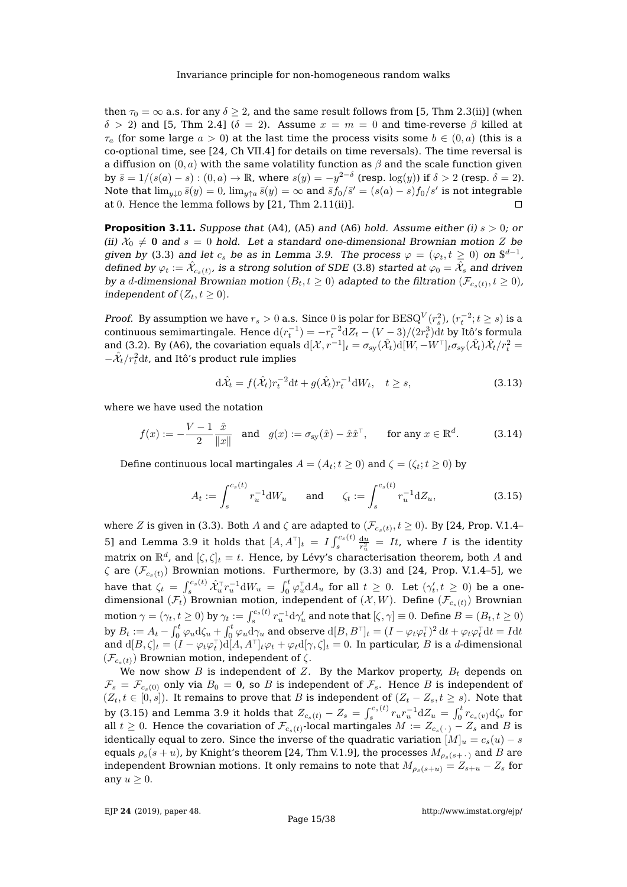then  $\tau_0 = \infty$  a.s. for any  $\delta > 2$ , and the same result follows from [\[5,](#page-37-11) Thm 2.3(ii)] (when  $\delta > 2$ ) and [\[5,](#page-37-11) Thm 2.4] ( $\delta = 2$ ). Assume  $x = m = 0$  and time-reverse  $\beta$  killed at  $\tau_a$  (for some large  $a > 0$ ) at the last time the process visits some  $b \in (0, a)$  (this is a co-optional time, see [\[24,](#page-38-9) Ch VII.4] for details on time reversals). The time reversal is a diffusion on  $(0, a)$  with the same volatility function as  $\beta$  and the scale function given by  $\bar{s} = 1/(s(a) - s) : (0, a) \to \mathbb{R}$ , where  $s(y) = -y^{2-\delta}$  (resp.  $\log(y)$ ) if  $\delta > 2$  (resp.  $\delta = 2$ ). Note that  $\lim_{y\downarrow 0} \bar{s}(y) = 0$ ,  $\lim_{y\uparrow a} \bar{s}(y) = \infty$  and  $\bar{s}f_0/\bar{s}' = (s(a) - s)f_0/s'$  is not integrable at 0. Hence the lemma follows by [\[21,](#page-38-13) Thm 2.11(ii)].

<span id="page-15-1"></span>**Proposition 3.11.** Suppose that [\(A4\)](#page-8-3), [\(A5\)](#page-8-5) and [\(A6\)](#page-8-4) hold. Assume either (i)  $s > 0$ ; or (ii)  $\mathcal{X}_0 \neq 0$  and  $s = 0$  hold. Let a standard one-dimensional Brownian motion Z be given by [\(3.3\)](#page-10-2) and let  $c_s$  be as in Lemma [3.9.](#page-14-1) The process  $\varphi = (\varphi_t, t \ge 0)$  on  $\mathbb{S}^{d-1}$ , defined by  $\varphi_t:=\hat{\mathcal{X}}_{c_s(t)}$ , is a strong solution of SDE [\(3.8\)](#page-12-2) started at  $\varphi_0=\hat{\mathcal{X}}_s$  and driven by a  $d$ -dimensional Brownian motion  $(B_t, t \geq 0)$  adapted to the filtration  $(\mathcal{F}_{c_s(t)}, t \geq 0)$ , independent of  $(Z_t, t \geq 0)$ .

*Proof.* By assumption we have  $r_s > 0$  a.s. Since  $0$  is polar for  $\text{BESQ}^V(r_s^2)$ ,  $(r_t^{-2}; t \geq s)$  is a continuous semimartingale. Hence  $d(r_t^{-1}) = -r_t^{-2} dZ_t - (V-3)/(2 r_t^3) dt$  by Itô's formula and [\(3.2\)](#page-9-6). By [\(A6\)](#page-8-4), the covariation equals  $\mathrm{d}[\mathcal{X},r^{-1}]_t = \sigma_{\text{sy}}(\hat{\mathcal{X}}_t)\mathrm{d}[W,-W^\top]_t\sigma_{\text{sy}}(\hat{\mathcal{X}}_t)\hat{\mathcal{X}}_t/r_t^2 =$  $-\hat{\mathcal{X}}_t/r_t^2\mathrm{d}t$ , and Itô's product rule implies

<span id="page-15-2"></span>
$$
\mathrm{d}\hat{\mathcal{X}}_t = f(\hat{\mathcal{X}}_t) r_t^{-2} \mathrm{d}t + g(\hat{\mathcal{X}}_t) r_t^{-1} \mathrm{d}W_t, \quad t \ge s,\tag{3.13}
$$

where we have used the notation

<span id="page-15-3"></span>
$$
f(x) := -\frac{V - 1}{2} \frac{\hat{x}}{\|x\|} \quad \text{and} \quad g(x) := \sigma_{\text{sy}}(\hat{x}) - \hat{x}\hat{x}^{\top}, \qquad \text{for any } x \in \mathbb{R}^d. \tag{3.14}
$$

Define continuous local martingales  $A = (A_t; t \ge 0)$  and  $\zeta = (\zeta_t; t \ge 0)$  by

<span id="page-15-0"></span>
$$
A_t := \int_s^{c_s(t)} r_u^{-1} dW_u \quad \text{and} \quad \zeta_t := \int_s^{c_s(t)} r_u^{-1} dZ_u,
$$
 (3.15)

where  $Z$  is given in [\(3.3\)](#page-10-2). Both  $A$  and  $\zeta$  are adapted to  $(\mathcal{F}_{c_s(t)},t\geq 0).$  By [\[24,](#page-38-9) Prop. V.1.4– 5] and Lemma [3.9](#page-14-1) it holds that  $[A, A^\top]_t = I \int_s^{c_s(t)} \frac{du}{r_u^2} = It$ , where I is the identity matrix on  $\mathbb{R}^d$ , and  $[\zeta,\zeta]_t = t$ . Hence, by Lévy's characterisation theorem, both  $A$  and  $\zeta$  are  $(\mathcal{F}_{c_s(t)})$  Brownian motions. Furthermore, by [\(3.3\)](#page-10-2) and [\[24,](#page-38-9) Prop. V.1.4–5], we have that  $\zeta_t\ =\ \int_s^{c_s(t)}\hat{\mathcal{X}}_u^\top r_u^{-1}\mathrm{d} W_u\ =\ \int_0^t\varphi_u^\top \mathrm{d} A_u$  for all  $t\ \geq\ 0.$  Let  $(\gamma'_t,t\ \geq\ 0)$  be a onedimensional  $(\mathcal{F}_t)$  Brownian motion, independent of  $(\mathcal{X}, W)$ . Define  $(\mathcal{F}_{c_s(t)})$  Brownian motion  $\gamma=(\gamma_t,t\geq 0)$  by  $\gamma_t:=\int_s^{c_s(t)}r_u^{-1}{\rm d}\gamma_u'$  and note that  $[\zeta,\gamma]\equiv 0.$  Define  $B=(B_t,t\geq 0)$ by  $B_t:=A_t-\int_0^t\varphi_u\mathrm{d}\zeta_u+\int_0^t\varphi_u\mathrm{d}\gamma_u$  and observe  $\mathrm{d}[B,B^\top]_t=(I-\varphi_t\varphi_t^\top)^2\,\mathrm{d} t+\varphi_t\varphi_t^\top\mathrm{d} t=Idt$ and  $\mathrm{d}[B,\zeta]_t=(I-\varphi_t\varphi_t^\top)\mathrm{d}[A,A^\top]_t\varphi_t+\varphi_t\mathrm{d}[\gamma,\zeta]_t=0.$  In particular,  $B$  is a  $d$ -dimensional  $(\mathcal{F}_{c_s(t)})$  Brownian motion, independent of  $\zeta$ .

We now show B is independent of Z. By the Markov property,  $B_t$  depends on  $\mathcal{F}_s = \mathcal{F}_{c_s(0)}$  only via  $B_0 = 0$ , so B is independent of  $\mathcal{F}_s$ . Hence B is independent of  $(Z_t, t \in [0, s])$ . It remains to prove that B is independent of  $(Z_t - Z_s, t \ge s)$ . Note that by [\(3.15\)](#page-15-0) and Lemma [3.9](#page-14-1) it holds that  $Z_{c_s(t)} - Z_s = \int_s^{c_s(t)} r_u r_u^{-1} \mathrm{d} Z_u = \int_0^t r_{c_s(v)} \mathrm{d}\zeta_v$  for all  $t\geq 0.$  Hence the covariation of  $\mathcal{F}_{c_s(t)}$ -local martingales  $M:=Z_{c_s(\,\cdot\,)}-Z_s$  and  $B$  is identically equal to zero. Since the inverse of the quadratic variation  $[M]_u = c_s(u) - s$ equals  $\rho_s(s+u)$ , by Knight's theorem [\[24,](#page-38-9) Thm V.1.9], the processes  $M_{\rho_s(s+1)}$  and B are independent Brownian motions. It only remains to note that  $M_{\rho_s(s+u)} = Z_{s+u} - Z_s$  for any  $u \geq 0$ .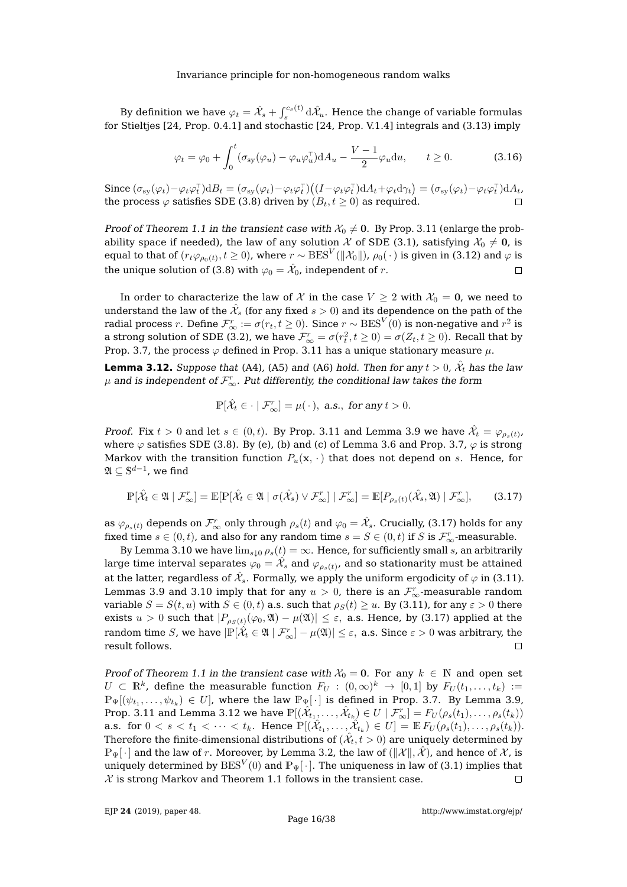By definition we have  $\varphi_t=\hat{\mathcal{X}}_s+\int_s^{c_s(t)}\mathrm{d}\hat{\mathcal{X}}_u.$  Hence the change of variable formulas for Stieltjes [\[24,](#page-38-9) Prop. 0.4.1] and stochastic [\[24,](#page-38-9) Prop. V.1.4] integrals and [\(3.13\)](#page-15-2) imply

$$
\varphi_t = \varphi_0 + \int_0^t (\sigma_{sy}(\varphi_u) - \varphi_u \varphi_u^{\top}) dA_u - \frac{V - 1}{2} \varphi_u du, \qquad t \ge 0.
$$
 (3.16)

Since  $(\sigma_{sy}(\varphi_t) - \varphi_t \varphi_t^{\top}) dB_t = (\sigma_{sy}(\varphi_t) - \varphi_t \varphi_t^{\top}) ((I - \varphi_t \varphi_t^{\top}) dA_t + \varphi_t d\gamma_t) = (\sigma_{sy}(\varphi_t) - \varphi_t \varphi_t^{\top}) dA_t$ the process  $\varphi$  satisfies SDE [\(3.8\)](#page-12-2) driven by  $(B_t, t \ge 0)$  as required.

Proof of Theorem [1.1](#page-2-1) in the transient case with  $\mathcal{X}_0 \neq 0$ . By Prop. [3.11](#page-15-1) (enlarge the probability space if needed), the law of any solution  $\mathcal X$  of SDE [\(3.1\)](#page-9-4), satisfying  $\mathcal X_0\neq \mathbf 0$ , is equal to that of  $(r_t\varphi_{\rho_0(t)},t\ge0)$ , where  $r\sim \text{BES}^V(\|\mathcal{X}_0\|)$ ,  $\rho_0(\,\cdot\,)$  is given in [\(3.12\)](#page-14-2) and  $\varphi$  is the unique solution of [\(3.8\)](#page-12-2) with  $\varphi_0=\hat{\mathcal{X}}_0$ , independent of  $r.$  $\Box$ 

In order to characterize the law of X in the case  $V \geq 2$  with  $\mathcal{X}_0 = 0$ , we need to understand the law of the  $\hat{\mathcal{X}}_s$  (for any fixed  $s>0$ ) and its dependence on the path of the radial process  $r.$  Define  $\mathcal{F}_{\infty}^r:=\sigma(r_t,t\geq 0).$  Since  $r\sim \text{BES}^V(0)$  is non-negative and  $r^2$  is a strong solution of SDE [\(3.2\)](#page-9-6), we have  $\mathcal{F}_{\infty}^r = \sigma(r_t^2,t\geq 0) = \sigma(Z_t,t\geq 0)$ . Recall that by Prop. [3.7,](#page-13-0) the process  $\varphi$  defined in Prop. [3.11](#page-15-1) has a unique stationary measure  $\mu$ .

<span id="page-16-0"></span>**Lemma 3.12.** Suppose that [\(A4\)](#page-8-3), [\(A5\)](#page-8-5) and [\(A6\)](#page-8-4) hold. Then for any  $t > 0$ ,  $\hat{\mathcal{X}}_t$  has the law  $\mu$  and is independent of  $\mathcal{F}^r_\infty.$  Put differently, the conditional law takes the form

<span id="page-16-1"></span>
$$
\mathbb{P}[\hat{\mathcal{X}}_t \in \cdot \mid \mathcal{F}_{\infty}^r] = \mu(\cdot), \text{ a.s., for any } t > 0.
$$

*Proof.* Fix  $t > 0$  and let  $s \in (0,t)$ . By Prop. [3.11](#page-15-1) and Lemma [3.9](#page-14-1) we have  $\hat{\mathcal{X}}_t = \varphi_{\rho_s(t)}$ , where  $\varphi$  satisfies SDE [\(3.8\)](#page-12-2). By [\(e\)](#page-12-8), [\(b\)](#page-12-5) and [\(c\)](#page-12-6) of Lemma [3.6](#page-12-1) and Prop. [3.7,](#page-13-0)  $\varphi$  is strong Markov with the transition function  $P_u(\mathbf{x}, \cdot)$  that does not depend on s. Hence, for  $\mathfrak{A} \subseteq \mathbb{S}^{d-1}$ , we find

$$
\mathbb{P}[\hat{\mathcal{X}}_t \in \mathfrak{A} \mid \mathcal{F}_{\infty}^r] = \mathbb{E}[\mathbb{P}[\hat{\mathcal{X}}_t \in \mathfrak{A} \mid \sigma(\hat{\mathcal{X}}_s) \vee \mathcal{F}_{\infty}^r] \mid \mathcal{F}_{\infty}^r] = \mathbb{E}[P_{\rho_s(t)}(\hat{\mathcal{X}}_s, \mathfrak{A}) \mid \mathcal{F}_{\infty}^r],\tag{3.17}
$$

as  $\varphi_{\rho_s(t)}$  depends on  $\mathcal F_{\infty}^r$  only through  $\rho_s(t)$  and  $\varphi_0=\hat{\mathcal X}_s.$  Crucially, [\(3.17\)](#page-16-1) holds for any fixed time  $s \in (0, t)$ , and also for any random time  $s = S \in (0, t)$  if S is  $\mathcal{F}_{\infty}^r$ -measurable.

By Lemma [3.10](#page-14-3) we have  $\lim_{s\downarrow 0} \rho_s(t) = \infty$ . Hence, for sufficiently small s, an arbitrarily large time interval separates  $\varphi_0=\hat{\mathcal{X}}_s$  and  $\varphi_{\rho_s(t)}$ , and so stationarity must be attained at the latter, regardless of  $\hat{\mathcal{X}}_s.$  Formally, we apply the uniform ergodicity of  $\varphi$  in [\(3.11\)](#page-13-4). Lemmas [3.9](#page-14-1) and [3.10](#page-14-3) imply that for any  $u > 0$ , there is an  $\mathcal{F}_{\infty}^{r}$ -measurable random variable  $S = S(t, u)$  with  $S \in (0, t)$  a.s. such that  $\rho_S(t) \geq u$ . By [\(3.11\)](#page-13-4), for any  $\varepsilon > 0$  there exists  $u > 0$  such that  $|P_{\rho_S(t)}(\varphi_0, \mathfrak{A}) - \mu(\mathfrak{A})| \leq \varepsilon$ , a.s. Hence, by [\(3.17\)](#page-16-1) applied at the random time  $S$ , we have  $|\mathbb{P}[\hat{\mathcal{X}}_t\in\mathfrak{A}\mid\mathcal{F}^r_\infty]-\mu(\mathfrak{A})|\leq\varepsilon, \text{ a.s. Since }\varepsilon>0$  was arbitrary, the result follows.  $\Box$ 

Proof of Theorem [1.1](#page-2-1) in the transient case with  $\mathcal{X}_0 = 0$ . For any  $k \in \mathbb{N}$  and open set  $U\, \subset\, \mathbb{R}^k$ , define the measurable function  $F_U\,:\, (0,\infty)^k\,\to\,[0,1]$  by  $F_U(t_1,\ldots,t_k)\,:=$  $\mathbb{P}_{\Psi}[(\psi_{t_1},\ldots,\psi_{t_k})\in U]$ , where the law  $\mathbb{P}_{\Psi}[\cdot]$  is defined in Prop. [3.7.](#page-13-0) By Lemma [3.9,](#page-14-1) Prop. [3.11](#page-15-1) and Lemma [3.12](#page-16-0) we have  $\mathbb{P}[(\hat{\mathcal{X}}_{t_1},\ldots,\hat{\mathcal{X}}_{t_k})\in U\mid \mathcal{F}_{\infty}^r]=F_U(\rho_s(t_1),\ldots,\rho_s(t_k))$ a.s. for  $0 < s < t_1 < \cdots < t_k$ . Hence  $\mathbb{P}[(\hat{X}_{t_1},\ldots,\hat{X}_{t_k}) \in U] = \mathbb{E} F_U(\rho_s(t_1),\ldots,\rho_s(t_k)).$ Therefore the finite-dimensional distributions of  $(\hat{\mathcal{X}}_t, t>0)$  are uniquely determined by  $\mathbb{P}_{\Psi}[\cdot]$  and the law of r. Moreover, by Lemma [3.2,](#page-9-2) the law of  $(\|\mathcal{X}\|, \hat{\mathcal{X}})$ , and hence of  $\mathcal{X}$ , is uniquely determined by  $\mathrm{BES}^V(0)$  and  $\mathbb{P}_{\Psi}[\,\cdot\,].$  The uniqueness in law of [\(3.1\)](#page-9-4) implies that  $X$  is strong Markov and Theorem [1.1](#page-2-1) follows in the transient case.  $\Box$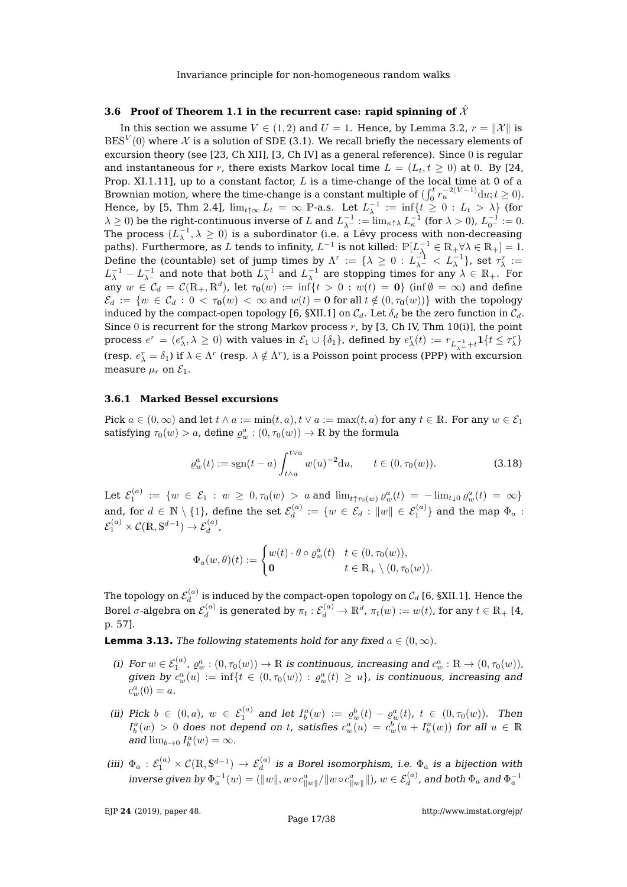### <span id="page-17-0"></span>**3.6 Proof of Theorem [1.1](#page-2-1) in the recurrent case: rapid spinning of**  $\hat{\mathcal{X}}$

In this section we assume  $V \in (1,2)$  and  $U = 1$ . Hence, by Lemma [3.2,](#page-9-2)  $r = ||\mathcal{X}||$  is  $\mathrm{BES}^V(0)$  where  $\mathcal X$  is a solution of SDE [\(3.1\)](#page-9-4). We recall briefly the necessary elements of excursion theory (see [\[23,](#page-38-2) Ch XII], [\[3,](#page-37-12) Ch IV] as a general reference). Since 0 is regular and instantaneous for r, there exists Markov local time  $L = (L_t, t \ge 0)$  at 0. By [\[24,](#page-38-9) Prop. XI.1.11], up to a constant factor,  $L$  is a time-change of the local time at 0 of a Brownian motion, where the time-change is a constant multiple of  $(\int_0^t r_u^{-2(V-1)} \mathrm{d}u; t \ge 0)$ . Hence, by [\[5,](#page-37-11) Thm 2.4],  $\lim_{t\uparrow\infty}L_t = \infty$  P-a.s. Let  $L_{\lambda}^{-1} := \inf\{t \geq 0 : L_t > \lambda\}$  (for  $\lambda \geq 0$ ) be the right-continuous inverse of L and  $L_{\lambda^{-1}}^{-1} := \lim_{\kappa \uparrow \lambda} L_{\kappa}^{-1}$  (for  $\lambda > 0$ ),  $L_{0^{-1}}^{-1} := 0$ .<br>The process  $(L^{-1}, \lambda > 0)$  is a subordinator (i.e. a Lévy process with pop decreasing The process  $(L_{\lambda}^{-1}, \lambda \geq 0)$  is a subordinator (i.e. a Lévy process with non-decreasing paths). Furthermore, as  $L$  tends to infinity,  $L^{-1}$  is not killed:  $\mathbb{P}[L_{\lambda}^{-1}\in \mathbb{R}_+\forall \lambda\in \mathbb{R}_+]=1.$ Define the (countable) set of jump times by  $\Lambda^r := \{\lambda \geq 0 : L_{\lambda^-}^{-1} < L_{\lambda}^{-1}\}$ , set  $\tau_\lambda^r :=$  $L_{\lambda}^{-1}-L_{\lambda^{-}}^{-1}$  and note that both  $L_{\lambda}^{-1}$  and  $L_{\lambda^{-}}^{-1}$  are stopping times for any  $\lambda\in\mathbb{R}_{+}.$  For  $\hat{\rm any}\,\,w\,\in\, \mathcal{C}_d\,=\,\mathcal{C}(\mathbb{R}_+,\mathbb{R}^d)$ , let  $\tau_{\bf 0}(w)\,:=\,\inf\{t\,>\,0\,:\,w(t)\,=\,{\bf 0}\}$  (inf $\emptyset\,=\,\infty$ ) and define  $\mathcal{E}_d := \{w \in \mathcal{C}_d : 0 < \tau_0(w) < \infty \text{ and } w(t) = 0 \text{ for all } t \notin (0, \tau_0(w))\}$  with the topology induced by the compact-open topology [\[6,](#page-37-10) §XII.1] on  $C_d$ . Let  $\delta_d$  be the zero function in  $C_d$ . Since 0 is recurrent for the strong Markov process  $r$ , by [\[3,](#page-37-12) Ch IV, Thm 10(i)], the point process  $e^r=(e^r_\lambda,\lambda\geq 0)$  with values in  $\mathcal{E}_1\cup\{\delta_1\}$ , defined by  $e^r_\lambda(t):=r_{L_{\lambda^{-1}}^{-1}+t}\mathbf{1}\{t\leq \tau^r_\lambda\}$ (resp.  $e_{\lambda}^r = \delta_1$ ) if  $\lambda \in \Lambda^r$  (resp.  $\lambda \notin \Lambda^r$ ), is a Poisson point process (PPP) with excursion measure  $\mu_r$  on  $\mathcal{E}_1$ .

#### <span id="page-17-1"></span>**3.6.1 Marked Bessel excursions**

Pick  $a \in (0, \infty)$  and let  $t \wedge a := \min(t, a), t \vee a := \max(t, a)$  for any  $t \in \mathbb{R}$ . For any  $w \in \mathcal{E}_1$ satisfying  $\tau_0(w) > a$ , define  $\varrho_w^a : (0, \tau_0(w)) \to \mathbb{R}$  by the formula

<span id="page-17-6"></span>
$$
\varrho_w^a(t) := \text{sgn}(t-a) \int_{t \wedge a}^{t \vee a} w(u)^{-2} \mathrm{d}u, \qquad t \in (0, \tau_0(w)). \tag{3.18}
$$

Let  $\mathcal{E}_1^{(a)} \ := \ \{ w \ \in \ \mathcal{E}_1 \ : \ w \ \geq \ 0, \tau_0(w) \ > \ a \text{ and } \lim_{t \uparrow \tau_0(w)} \varrho_w^a(t) \ = \ - \lim_{t \downarrow 0} \varrho_w^a(t) \ = \ \infty \}$ and, for  $d \in \mathbb{N} \setminus \{1\}$ , define the set  $\mathcal{E}_d^{(a)}$  $\mathcal{C}_d^{(a)}:=\{w\in\mathcal{E}_d:\|w\|\in\mathcal{E}_1^{(a)}\}$  and the map  $\Phi_a$  :  $\mathcal{E}_1^{(a)} \times \mathcal{C}(\mathbb{R}, \mathbb{S}^{d-1}) \to \mathcal{E}_d^{(a)}$ ,

$$
\Phi_a(w,\theta)(t) := \begin{cases} w(t) \cdot \theta \circ \varrho_w^a(t) & t \in (0,\tau_0(w)), \\ \mathbf{0} & t \in \mathbb{R}_+ \setminus (0,\tau_0(w)). \end{cases}
$$

The topology on  $\mathcal{E}_d^{(a)}$  $\mathcal{C}_d^{(a)}$  is induced by the compact-open topology on  $\mathcal{C}_d$  [\[6,](#page-37-10) §XII.1]. Hence the Borel  $\sigma$ -algebra on  $\mathcal{E}_d^{(a)}$  $d_d^{(a)}$  is generated by  $\pi_t: \mathcal{E}_d^{(a)} \to \mathbb{R}^d$ ,  $\pi_t(w) := w(t)$ , for any  $t \in \mathbb{R}_+$  [\[4,](#page-37-8) p. 57].

<span id="page-17-2"></span>**Lemma 3.13.** The following statements hold for any fixed  $a \in (0, \infty)$ .

- <span id="page-17-4"></span>(i) For  $w \in \mathcal{E}_1^{(a)}$ ,  $\varrho_w^a : (0, \tau_0(w)) \to \mathbb{R}$  is continuous, increasing and  $c_w^a : \mathbb{R} \to (0, \tau_0(w))$ , given by  $c_w^a(u) := \inf\{t \in (0, \tau_0(w)) : \varrho_w^a(t) \geq u\}$ , is continuous, increasing and  $c_w^a(0) = a.$
- <span id="page-17-5"></span>(ii) Pick  $b \in (0, a)$ ,  $w \in \mathcal{E}_1^{(a)}$  and let  $I_b^a(w) := \varrho_w^b(t) - \varrho_w^a(t)$ ,  $t \in (0, \tau_0(w))$ . Then  $I_b^a(w) > 0$  does not depend on t, satisfies  $c_w^a(u) = c_w^b(u + I_b^a(w))$  for all  $u \in \mathbb{R}$ and  $\lim_{b\to 0} I_b^a(w) = \infty$ .
- <span id="page-17-3"></span>(iii)  $\Phi_a:\mathcal{E}^{(a)}_1\times\mathcal{C}(\mathbb{R},\mathbb{S}^{d-1})\to\mathcal{E}^{(a)}_d$  is a Borel isomorphism, i.e.  $\Phi_a$  is a bijection with inverse given by  $\Phi_a^{-1}(w)=(\|w\|, w\circ c^a_{\|w\|}/\|w\circ c^a_{\|w\|}\|)$ ,  $w\in \mathcal{E}_d^{(a)}$ , and both  $\Phi_a$  and  $\Phi_a^{-1}$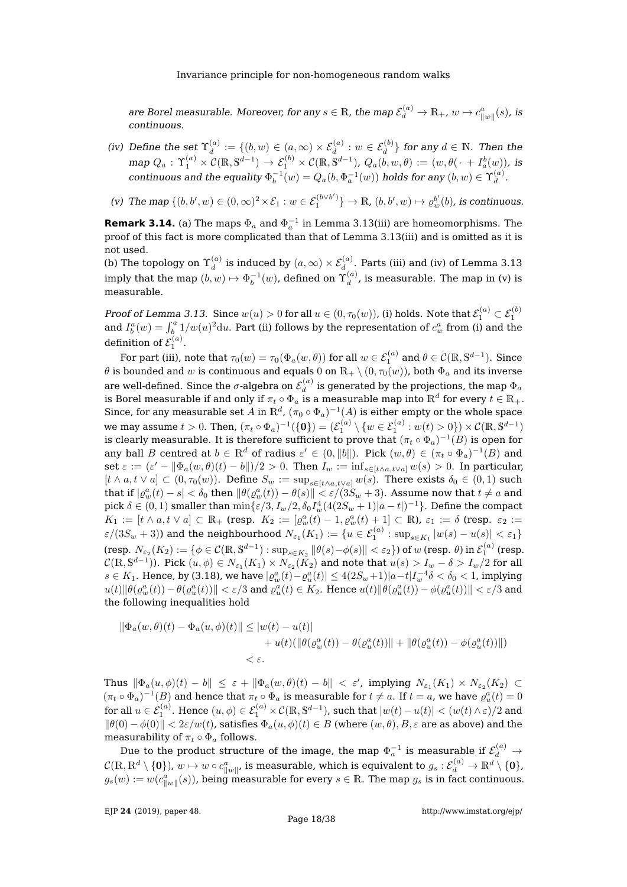are Borel measurable. Moreover, for any  $s\in\mathbb R$ , the map  $\mathcal E^{(a)}_d\to\mathbb R_+$ ,  $w\mapsto c^a_{\|w\|}(s)$ , is continuous.

- <span id="page-18-0"></span>(iv) Define the set  $\Upsilon_d^{(a)}$  $\mathcal{C}_d^{(a)}:=\{(b,w)\in (a,\infty)\times\mathcal{E}_d^{(a)}: w\in\mathcal{E}_d^{(b)}\}$  for any  $d\in\mathbb{N}.$  Then the  $\text{map } Q_a\,:\, \Upsilon_1^{(a)}\times \mathcal{C}(\mathbb{R},\mathbb{S}^{d-1}) \,\to\, \mathcal{E}_1^{(b)}\times \mathcal{C}(\mathbb{R},\mathbb{S}^{d-1}),\,Q_a(b,w,\theta)\,:=\, (w,\theta(\,\cdot\,+I_a^b(w)),\,\text{is}$ continuous and the equality  $\Phi_b^{-1}(w) = Q_a(b,\Phi_a^{-1}(w))$  holds for any  $(b,w) \in \Upsilon_d^{(a)}$  $\mathcal{L}^{(u)}$ .
- <span id="page-18-1"></span>(v) The map  $\{(b, b', w) \in (0, \infty)^2 \times \mathcal{E}_1 : w \in \mathcal{E}_1^{(b \vee b')} \} \to \mathbb{R}$ ,  $(b, b', w) \mapsto \varrho_w^{b'}(b)$ , is continuous.

**Remark 3.14.** (a) The maps  $\Phi_a$  and  $\Phi_a^{-1}$  in Lemma [3.13](#page-17-2)[\(iii\)](#page-17-3) are homeomorphisms. The proof of this fact is more complicated than that of Lemma [3.13](#page-17-2)[\(iii\)](#page-17-3) and is omitted as it is not used.

(b) The topology on  $\Upsilon_d^{(a)}$  $\mathcal{E}_d^{(a)}$  is induced by  $(a,\infty)\times\mathcal{E}_d^{(a)}.$  Parts [\(iii\)](#page-17-3) and [\(iv\)](#page-18-0) of Lemma [3.13](#page-17-2) imply that the map  $(b,w)\mapsto \Phi_b^{-1}(w)$ , defined on  $\Upsilon_d^{(a)}$  $\frac{d^{(u)}}{dt}$ , is measurable. The map in [\(v\)](#page-18-1) is measurable.

Proof of Lemma [3.13.](#page-17-2) Since  $w(u) > 0$  for all  $u \in (0, \tau_0(w))$ , [\(i\)](#page-17-4) holds. Note that  $\mathcal{E}_1^{(a)} \subset \mathcal{E}_1^{(b)}$ and  $I_b^a(w) = \int_b^a 1/w(u)^2 du$ . Part [\(ii\)](#page-17-5) follows by the representation of  $c_w^a$  from [\(i\)](#page-17-4) and the definition of  $\mathcal{E}_1^{(a)}$ .

For part [\(iii\)](#page-17-3), note that  $\tau_0(w)=\tau_{\bf 0}(\Phi_a(w,\theta))$  for all  $w\in {\cal E}_1^{(a)}$  and  $\theta\in {\cal C}(\mathbb{R},\mathbb{S}^{d-1}).$  Since  $\theta$  is bounded and w is continuous and equals 0 on  $\mathbb{R}_+ \setminus (0, \tau_0(w))$ , both  $\Phi_a$  and its inverse are well-defined. Since the  $\sigma$ -algebra on  $\mathcal{E}_d^{(a)}$  $\mathcal{U}_d^{(a)}$  is generated by the projections, the map  $\Phi_a$ is Borel measurable if and only if  $\pi_t \circ \Phi_a$  is a measurable map into  $\mathbb{R}^d$  for every  $t \in \mathbb{R}_+.$ Since, for any measurable set A in  $\mathbb{R}^d$ ,  $(\pi_0 \circ \Phi_a)^{-1}(A)$  is either empty or the whole space we may assume  $t>0.$  Then,  $(\pi_t \circ \Phi_a)^{-1}(\{\mathbf{0}\}) = (\mathcal{E}_1^{(a)} \setminus \{w \in \mathcal{E}_1^{(a)} : w(t) > 0\}) \times \mathcal{C}(\mathbb{R}, \mathbb{S}^{d-1})$ is clearly measurable. It is therefore sufficient to prove that  $(\pi_t \circ \Phi_a)^{-1}(B)$  is open for any ball B centred at  $b \in \mathbb{R}^d$  of radius  $\varepsilon' \in (0, \|b\|)$ . Pick  $(w, \theta) \in (\pi_t \circ \Phi_a)^{-1}(B)$  and set  $\varepsilon := (\varepsilon' - ||\Phi_a(w, \theta)(t) - b||)/2 > 0$ . Then  $I_w := \inf_{s \in [t \wedge a, t \vee a]} w(s) > 0$ . In particular,  $[t \wedge a, t \vee a] \subset (0, \tau_0(w))$ . Define  $S_w := \sup_{s \in [t \wedge a, t \vee a]} w(s)$ . There exists  $\delta_0 \in (0, 1)$  such that if  $|\varrho_w^a(t)-s|<\delta_0$  then  $\|\theta(\varrho_w^a(t))-\theta(s)\|<\varepsilon/(3S_w+3).$  Assume now that  $t\neq a$  and pick  $\delta \in (0,1)$  smaller than  $\min\{\varepsilon/3, I_w/2, \delta_0 I_w^4 (4(2S_w+1)|a-t|)^{-1}\}$ . Define the compact  $K_1 := [t \wedge a, t \vee a] \subset \mathbb{R}_+$  (resp.  $K_2 := [\varrho_w^a(t) - 1, \varrho_w^a(t) + 1] \subset \mathbb{R}$ ),  $\varepsilon_1 := \delta$  (resp.  $\varepsilon_2 :=$  $\varepsilon/(3S_w+3))$  and the neighbourhood  $N_{\varepsilon_1}(K_1):=\{u\in\mathcal{E}_1^{(a)}:\sup_{s\in K_1}|w(s)-u(s)|<\varepsilon_1\}$  $(\text{resp. }N_{\varepsilon_2}(K_2):=\{\phi\in\mathcal{C}(\mathbb{R},\mathbb{S}^{d-1}):\sup_{s\in K_2}\|\theta(s)-\phi(s)\|<\varepsilon_2\})\text{ of }w\text{ (resp. }\theta)\text{ in }\mathcal{E}_1^{(a)}\text{ (resp. }0)$  $\mathcal{C}(\mathbb{R},\mathbb{S}^{d-1})$ ). Pick  $(u,\phi)\in N_{\varepsilon_1}(K_1)\times N_{\varepsilon_2}(\tilde{K_2})$  and note that  $u(s)>I_w-\delta>I_w/2$  for all  $s\in K_1.$  Hence, by [\(3.18\)](#page-17-6), we have  $|\varrho_w^a(t)-\varrho_u^a(t)|\leq 4(2S_w+1)|a-t|I_w^{-4}\delta<\delta_0< 1$ , implying  $\|u(t)\|\theta(\varrho^a_w(t))-\theta(\varrho^a_u(t))\|<\varepsilon/3$  and  $\varrho^a_u(t)\in K_2.$  Hence  $u(t)\|\theta(\varrho^a_u(t))-\phi(\varrho^a_u(t))\|<\varepsilon/3$  and the following inequalities hold

$$
\|\Phi_a(w,\theta)(t) - \Phi_a(u,\phi)(t)\| \le |w(t) - u(t)|
$$
  
+ 
$$
u(t)(\|\theta(\varrho_w^a(t)) - \theta(\varrho_u^a(t))\| + \|\theta(\varrho_u^a(t)) - \phi(\varrho_u^a(t))\|)
$$
  
< 
$$
< \varepsilon.
$$

Thus  $\|\Phi_a(u, \phi)(t) - b\| \leq \varepsilon + \|\Phi_a(w, \theta)(t) - b\| < \varepsilon'$ , implying  $N_{\varepsilon_1}(K_1) \times N_{\varepsilon_2}(K_2) \subset$  $(\pi_t \circ \Phi_a)^{-1}(B)$  and hence that  $\pi_t \circ \Phi_a$  is measurable for  $t \neq a$ . If  $t = a$ , we have  $\varrho^a_u(t) = 0$ for all  $u\in \mathcal{E}_1^{(a)}$ . Hence  $(u,\phi)\in \mathcal{E}_1^{(a)}\times\mathcal{C}(\mathbb{R},\mathbb{S}^{d-1})$ , such that  $|w(t)-u(t)|< (w(t)\wedge\varepsilon)/2$  and  $\|\theta(0)-\phi(0)\|<2\varepsilon/w(t)$ , satisfies  $\Phi_a(u,\phi)(t)\in B$  (where  $(w,\theta), B, \varepsilon$  are as above) and the measurability of  $\pi_t \circ \Phi_a$  follows.

Due to the product structure of the image, the map  $\Phi_a^{-1}$  is measurable if  $\mathcal{E}_d^{(a)} \to$  $\mathcal{C}(\mathbb{R},\mathbb{R}^d\setminus\{{\bf 0}\}),\, w\mapsto w\circ c^a_{\|w\|'}$  is measurable, which is equivalent to  $g_s: \mathcal{E}_d^{(a)}\to \mathbb{R}^d\setminus\{{\bf 0}\},$  $g_s(w) := w(c_{\|w\|}^a(s))$ , being measurable for every  $s \in \mathbb{R}$ . The map  $g_s$  is in fact continuous.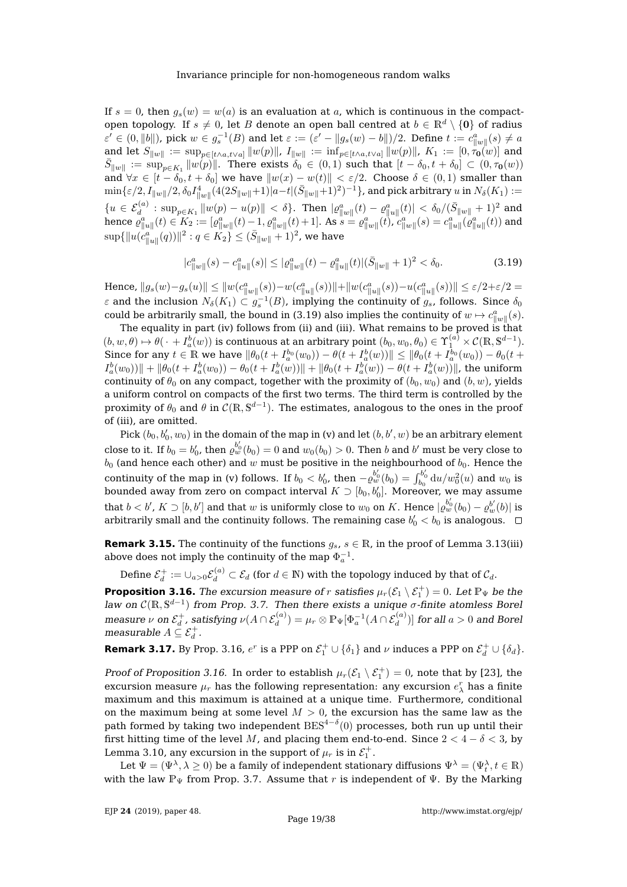If  $s = 0$ , then  $q_s(w) = w(a)$  is an evaluation at a, which is continuous in the compactopen topology. If  $s \neq 0$ , let B denote an open ball centred at  $b \in \mathbb{R}^d \setminus \{0\}$  of radius  $\varepsilon'\in(0,\|b\|)$ , pick  $w\in g_s^{-1}(B)$  and let  $\varepsilon:=(\varepsilon'-\|g_s(w)-b\|)/2.$  Define  $t:=c^a_{\|w\|}(s)\neq a$ and let  $S_{\|w\|} := \sup_{p \in [t \wedge a, t \vee a]} \|w(p)\|$ ,  $I_{\|w\|} := \inf_{p \in [t \wedge a, t \vee a]} \|w(p)\|$ ,  $K_1 := [0, \tau_0(w)]$  and  $\bar{S}_{\|w\|} := \sup_{p \in K_1} \|w(p)\|$ . There exists  $\delta_0 \in (0,1)$  such that  $[t - \delta_0, t + \delta_0] \subset (0, \tau_0(w))$ and  $\forall x \in [t - \delta_0, t + \delta_0]$  we have  $||w(x) - w(t)|| < \varepsilon/2$ . Choose  $\delta \in (0, 1)$  smaller than  $\min\{\varepsilon/2, I_{\|w\|}/2, \delta_0I_{\|w\|}^4(4(2S_{\|w\|}+1)|a-t|(\bar S_{\|w\|}+1)^2)^{-1}\},$  and pick arbitrary  $u$  in  $N_\delta(K_1):=$  $\{u \in \mathcal{E}_d^{(a)}: \sup_{p \in K_1} ||w(p) - u(p)|| < \delta\}$ . Then  $|\varrho_{||w||}^a(t) - \varrho_{||u||}^a(t)| < \delta_0/(\bar{S}_{||w||} + 1)^2$  and hence  $\varrho^a_{\|u\|}(t)\in K_2:= [\varrho^a_{\|w\|}(t)-1,\varrho^a_{\|w\|}(t)+1].$  As  $s=\varrho^a_{\|w\|}(t)$ ,  $c^a_{\|w\|}(s)=c^a_{\|u\|}(\varrho^a_{\|u\|}(t))$  and  $\sup\{\|u(\stackrel{a}{c}^a_{\|u\|}(q))\|^2: q\in K_2\}\leq (\bar{S}_{\|w\|}+1)^2$ , we have

<span id="page-19-0"></span>
$$
|c_{\|w\|}^a(s) - c_{\|u\|}^a(s)| \le |c_{\|w\|}^a(t) - c_{\|u\|}^a(t)|(\bar{S}_{\|w\|} + 1)^2 < \delta_0. \tag{3.19}
$$

Hence,  $||g_s(w) - g_s(u)|| \le ||w(c_{||w||}^a(s)) - w(c_{||u||}^a(s))|| + ||w(c_{||u||}^a(s)) - u(c_{||u||}^a(s))|| \le \varepsilon/2 + \varepsilon/2 =$  $\varepsilon$  and the inclusion  $N_{\delta}(K_1) \subset g_s^{-1}(B)$ , implying the continuity of  $g_s$ , follows. Since  $\delta_0$ could be arbitrarily small, the bound in [\(3.19\)](#page-19-0) also implies the continuity of  $w \mapsto c_{\|w\|}^a(s)$ .

The equality in part [\(iv\)](#page-18-0) follows from [\(ii\)](#page-17-5) and [\(iii\)](#page-17-3). What remains to be proved is that  $(b, w, \theta) \mapsto \theta(\,\cdot\,+I_a^b(w))$  is continuous at an arbitrary point  $(b_0,w_0,\theta_0)\in \Upsilon_1^{(a)}\times\mathcal{C}(\mathbb{R},\mathbb{S}^{d-1}).$ Since for any  $t \in \mathbb{R}$  we have  $\|\theta_0(t + I_a^{b_0}(w_0)) - \theta(t + I_a^{b}(w))\| \le \|\theta_0(t + I_a^{b_0}(w_0)) - \theta_0(t + I_a^{b}(w_0))\|$  $I_a^b(w_0))\| + \|\theta_0(t+I_a^b(w_0)) - \theta_0(t+I_a^b(w))\| + \|\theta_0(t+I_a^b(w)) - \theta(t+I_a^b(w))\|$ , the uniform continuity of  $\theta_0$  on any compact, together with the proximity of  $(b_0, w_0)$  and  $(b, w)$ , yields a uniform control on compacts of the first two terms. The third term is controlled by the proximity of  $\theta_0$  and  $\theta$  in  $\mathcal{C}(\mathbb{R},\mathbb{S}^{d-1}).$  The estimates, analogous to the ones in the proof of [\(iii\)](#page-17-3), are omitted.

Pick  $(b_0, b'_0, w_0)$  in the domain of the map in [\(v\)](#page-18-1) and let  $(b, b', w)$  be an arbitrary element close to it. If  $b_0=b_0'$ , then  $\varrho_w^{b_0'}(b_0)=0$  and  $w_0(b_0)>0.$  Then  $b$  and  $b'$  must be very close to  $b_0$  (and hence each other) and w must be positive in the neighbourhood of  $b_0$ . Hence the continuity of the map in [\(v\)](#page-18-1) follows. If  $b_0 < b'_0$ , then  $-b_w^{b'_0}(b_0) = \int_{b_0}^{b'_0} \mathrm{d}u/w_0^2(u)$  and  $w_0$  is bounded away from zero on compact interval  $K \supset [b_0, b'_0].$  Moreover, we may assume that  $b < b'$ ,  $K \supset [b, b']$  and that  $w$  is uniformly close to  $w_0$  on  $K$ . Hence  $|\varrho_w^{b_0'}(b_0) - \varrho_w^{b'}(b)|$  is arbitrarily small and the continuity follows. The remaining case  $b_{0}^{\prime} < b_{0}$  is analogous.

**Remark 3.15.** The continuity of the functions  $g_s$ ,  $s \in \mathbb{R}$ , in the proof of Lemma [3.13\(](#page-17-2)[iii\)](#page-17-3) above does not imply the continuity of the map  $\Phi_a^{-1}.$ 

Define  $\mathcal{E}_d^+:=\cup_{a>0}\mathcal{E}_d^{(a)}\subset\mathcal{E}_d$  (for  $d\in\mathbb{N}$ ) with the topology induced by that of  $\mathcal{C}_d$ .

<span id="page-19-1"></span>**Proposition 3.16.** The excursion measure of r satisfies  $\mu_r(\mathcal{E}_1 \setminus \mathcal{E}_1^+) = 0$ . Let  $\mathbb{P}_{\Psi}$  be the law on  $\mathcal{C}(\mathbb{R}, \mathbb{S}^{d-1})$  from Prop. [3.7.](#page-13-0) Then there exists a unique  $\sigma$ -finite atomless Borel measure  $\nu$  on  $\mathcal{E}_d^+$ , satisfying  $\nu(A\cap\mathcal{E}_d^{(a)})=\mu_r\otimes\mathbb{P}_\Psi[\Phi_a^{-1}(A\cap\mathcal{E}_d^{(a)})]$  for all  $a>0$  and Borel measurable  $A \subseteq \mathcal{E}_d^+$ .

**Remark 3.17.** By Prop. [3.16,](#page-19-1)  $e^r$  is a PPP on  $\mathcal{E}_1^+ \cup \{\delta_1\}$  and  $\nu$  induces a PPP on  $\mathcal{E}_d^+ \cup \{\delta_d\}$ .

Proof of Proposition [3.16.](#page-19-1) In order to establish  $\mu_r(\mathcal{E}_1 \setminus \mathcal{E}_1^+) = 0$ , note that by [\[23\]](#page-38-2), the excursion measure  $\mu_r$  has the following representation: any excursion  $e_\lambda^r$  has a finite maximum and this maximum is attained at a unique time. Furthermore, conditional on the maximum being at some level  $M > 0$ , the excursion has the same law as the path formed by taking two independent  $\text{BES}^{4-\delta}(0)$  processes, both run up until their first hitting time of the level M, and placing them end-to-end. Since  $2 < 4 - \delta < 3$ , by Lemma [3.10,](#page-14-3) any excursion in the support of  $\mu_r$  is in  $\mathcal{E}_1^+$ .

Let  $\Psi=(\Psi^\lambda,\lambda\geq 0)$  be a family of independent stationary diffusions  $\Psi^\lambda=(\Psi_t^\lambda,t\in\mathbb{R})$ with the law  $\mathbb{P}_{\Psi}$  from Prop. [3.7.](#page-13-0) Assume that r is independent of  $\Psi$ . By the Marking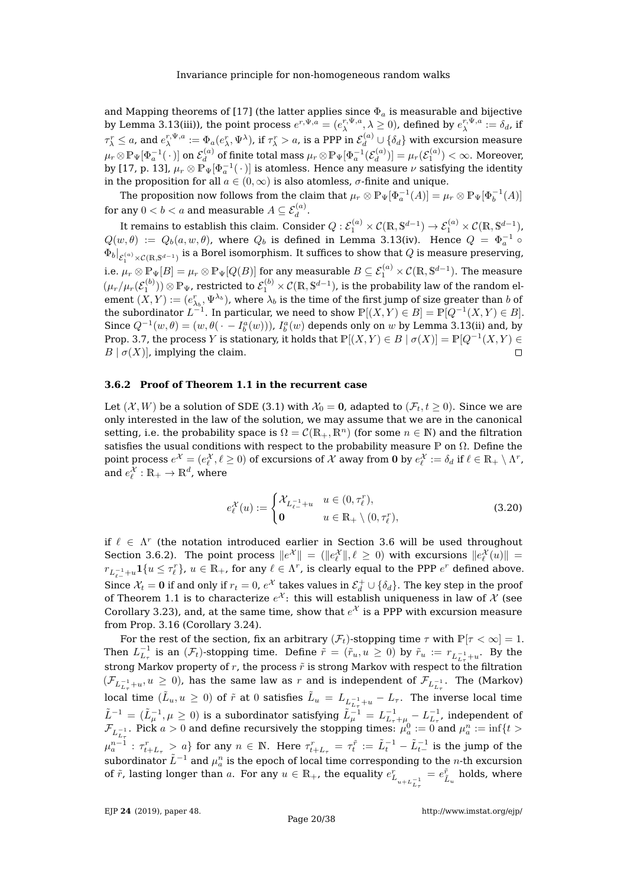and Mapping theorems of [\[17\]](#page-38-14) (the latter applies since  $\Phi_a$  is measurable and bijective by Lemma [3.13](#page-17-2)[\(iii\)](#page-17-3)), the point process  $e^{r,\Psi,a}=(e^{r,\Psi,a}_\lambda,\lambda\geq 0)$ , defined by  $e^{r,\Psi,a}_\lambda:=\delta_d$ , if  $\tau_\lambda^r \leq a$ , and  $e_\lambda^{r,\Psi,a}:=\Phi_a(e_\lambda^r,\Psi^\lambda)$ , if  $\tau_\lambda^r>a$ , is a PPP in  $\mathcal E^{(a)}_d\cup\{\delta_d\}$  with excursion measure  $\mu_r\!\otimes\!\mathbb{P}_{\Psi}[\Phi_a^{-1}(\,\cdot\,)]$  on  $\mathcal{E}_d^{(a)}$  $\mathcal{H}_d^{(a)}$  of finite total mass  $\mu_r\otimes \mathbb{P}_{\Psi}[\Phi_a^{-1}(\mathcal{E}_d^{(a)})]$  $\mu^{(a)}_d)] = \mu_r(\mathcal{E}^{(a)}_1) < \infty.$  Moreover, by [\[17,](#page-38-14) p. 13],  $\mu_r\otimes \tilde{\mathbb{P}_\Psi}[\Phi_a^{-1}(\,\cdot\,)]$  is atomless. Hence any measure  $\nu$  satisfying the identity in the proposition for all  $a \in (0, \infty)$  is also atomless,  $\sigma$ -finite and unique.

The proposition now follows from the claim that  $\mu_r \otimes \mathbb{P}_{\Psi}[\Phi_a^{-1}(A)] = \mu_r \otimes \mathbb{P}_{\Psi}[\Phi_b^{-1}(A)]$ for any  $0 < b < a$  and measurable  $A \subseteq \mathcal{E}_d^{(a)}.$ 

It remains to establish this claim. Consider  $Q:\mathcal{E}_1^{(a)}\times\mathcal{C}(\mathbb{R},\mathbb{S}^{d-1})\to\mathcal{E}_1^{(a)}\times\mathcal{C}(\mathbb{R},\mathbb{S}^{d-1})$ ,  $Q(w, \theta) := Q_b(a, w, \theta)$ , where  $Q_b$  is defined in Lemma [3.13\(](#page-17-2)[iv\)](#page-18-0). Hence  $Q = \Phi_a^{-1} \circ$  $\Phi_b|_{\mathcal{E}^{(a)}_1\times\mathcal{C}(\mathbb{R},\mathbb{S}^{d-1})}$  is a Borel isomorphism. It suffices to show that  $Q$  is measure preserving, i.e.  $\mu_r\otimes \mathbb{P}_\Psi[B]=\mu_r\otimes \mathbb{P}_\Psi[Q(B)]$  for any measurable  $B\subseteq \mathcal{E}^{(a)}_1\times \mathcal{C}(\mathbb{R},\mathbb{S}^{d-1}).$  The measure  $(\mu_r/\mu_r(\mathcal{E}^{(b)}_1))\otimes\mathbb{P}_{\Psi}$ , restricted to  $\mathcal{E}^{(b)}_1\times\mathcal{C}(\mathbb{R},\mathbb{S}^{d-1})$ , is the probability law of the random element  $(X,Y):=(e_{\lambda_b}^r,\Psi^{\lambda_b})$ , where  $\lambda_b$  is the time of the first jump of size greater than  $b$  of the subordinator  $L^{-1}.$  In particular, we need to show  $\mathbb{P}[(X,Y) \in B] = \mathbb{P}[Q^{-1}(X,Y) \in B].$ Since  $Q^{-1}(w, \theta) = (w, \theta(\cdot - I_b^a(w))), I_b^a(w)$  depends only on w by Lemma [3.13](#page-17-2)[\(ii\)](#page-17-5) and, by Prop. [3.7,](#page-13-0) the process Y is stationary, it holds that  $\mathbb{P}[(X,Y) \in B \mid \sigma(X)] = \mathbb{P}[Q^{-1}(X,Y) \in B]$  $B | \sigma(X)$ , implying the claim.  $\Box$ 

### <span id="page-20-0"></span>**3.6.2 Proof of Theorem [1.1](#page-2-1) in the recurrent case**

Let  $(X, W)$  be a solution of SDE [\(3.1\)](#page-9-4) with  $\mathcal{X}_0 = 0$ , adapted to  $(\mathcal{F}_t, t \geq 0)$ . Since we are only interested in the law of the solution, we may assume that we are in the canonical setting, i.e. the probability space is  $\Omega = \mathcal{C}(\mathbb{R}_+, \mathbb{R}^n)$  (for some  $n \in \mathbb{N}$ ) and the filtration satisfies the usual conditions with respect to the probability measure P on  $\Omega$ . Define the point process  $e^{\mathcal{X}}=(e^{\mathcal{X}}_{\ell},\ell\geq 0)$  of excursions of  $\mathcal X$  away from  ${\bf 0}$  by  $e^{\mathcal{X}}_{\ell}:=\delta_d$  if  $\ell\in\mathbb R_+\setminus \Lambda^r$ , and  $e^{\mathcal{X}}_{\ell}:\mathbb{R}_{+}\to\mathbb{R}^{d}$ , where

<span id="page-20-1"></span>
$$
e_{\ell}^{\mathcal{X}}(u) := \begin{cases} \mathcal{X}_{L_{\ell-1}^{-1}+u} & u \in (0, \tau_{\ell}^{r}), \\ \mathbf{0} & u \in \mathbb{R}_{+} \setminus (0, \tau_{\ell}^{r}), \end{cases}
$$
(3.20)

if  $\ell \in \Lambda^r$  (the notation introduced earlier in Section [3.6](#page-17-0) will be used throughout Section [3.6.2\)](#page-20-0). The point process  $||e^{\mathcal{X}}|| = (||e^{\mathcal{X}}_{\ell}||, \ell \ge 0)$  with excursions  $||e^{\mathcal{X}}_{\ell}(u)|| =$  $r_{L_{\ell-}^{-1}+u}1\{u\leq \tau_{\ell}^{r}\},~u\in\mathbb{R}_{+}$ , for any  $\ell\in\Lambda^{r}$ , is clearly equal to the PPP  $e^{r}$  defined above. Since  $\mathcal{X}_t = 0$  if and only if  $r_t = 0$ ,  $e^{\mathcal{X}}$  takes values in  $\mathcal{E}_d^+ \cup \{\delta_d\}$ . The key step in the proof of Theorem [1.1](#page-2-1) is to characterize  $e^{\mathcal{X}}$ : this will establish uniqueness in law of  $\mathcal{X}$  (see Corollary [3.23\)](#page-25-0), and, at the same time, show that  $e^{\mathcal{X}}$  is a PPP with excursion measure from Prop. [3.16](#page-19-1) (Corollary [3.24\)](#page-26-0).

For the rest of the section, fix an arbitrary  $(\mathcal{F}_t)$ -stopping time  $\tau$  with  $\mathbb{P}[\tau < \infty] = 1$ . Then  $L_{L_{\tau}}^{-1}$  is an  $(\mathcal{F}_{t})$ -stopping time. Define  $\tilde{r} = (\tilde{r}_{u}, u \ge 0)$  by  $\tilde{r}_{u} := r_{L_{L_{\tau}}^{-1} + u}$ . By the strong Markov property of r, the process  $\tilde{r}$  is strong Markov with respect to the filtration  $(\mathcal{F}_{L_{L_{\tau}}^{-1}+u}, u\geq 0)$ , has the same law as  $r$  and is independent of  $\mathcal{F}_{L_{L_{\tau}}^{-1}}$ . The (Markov) local time  $(\tilde{L}_u, u \geq 0)$  of  $\tilde{r}$  at  $0$  satisfies  $\tilde{L}_u = L_{L_{L_\tau}^{-1}+u} - L_\tau.$  The inverse local time  $\tilde{L}^{-1}=(\tilde{L}_{\mu}^{-1},\mu\geq 0)$  is a subordinator satisfying  $\tilde{L}_{\mu}^{-1}=L_{L_{\tau}+\mu_{\tau}}^{-1}-L_{L_{\tau}}^{-1},$  independent of  $\mathcal{F}_{L_{L_{\tau}}^{-1}}.$  Pick  $a>0$  and define recursively the stopping times:  $\mu_a^0:=0$  and  $\mu_a^n:=\inf\{t>0\}$  $\mu_a^{n-1}:\tau_{t+L_\tau}^r>a\}$  for any  $n\in\mathbb{N}.$  Here  $\tau_{t+L_\tau}^r=\tau_t^{\tilde{r}}:=\tilde{L}_t^{-1}-\tilde{L}_{t-}^{-1}$  is the jump of the subordinator  $\tilde{L}^{-1}$  and  $\mu_a^n$  is the epoch of local time corresponding to the  $n$ -th excursion of  $\tilde{r}$ , lasting longer than a. For any  $u \in \mathbb{R}_+$ , the equality  $e_{L_{u+L_{L_{\tau}}^{-1}}}^{r}$  $= e^{\tilde{r}}_{\tilde{L}_u}$  holds, where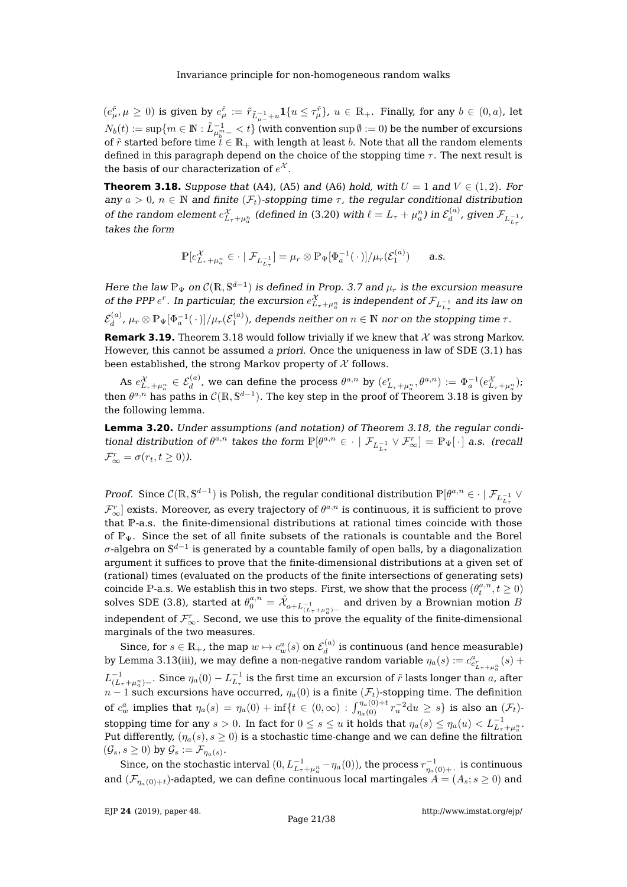$(e^{\tilde{r}}_{\mu},\mu\geq 0)$  is given by  $e^{\tilde{r}}_{\mu}:=\tilde{r}_{\tilde{L}_{\mu-}^{-1}+u}1\{u\leq \tau^{\tilde{r}}_{\mu}\},\ u\in\mathbb{R}_{+}.$  Finally, for any  $b\in(0,a)$ , let  $N_b(t):=\sup\{m\in\mathbb{N}:\tilde{L}^{-1}_{\mu_b^m-} (with convention  $\sup\emptyset:=0$ ) be the number of excursions$ of  $\tilde{r}$  started before time  $\tilde{t} \in \mathbb{R}_+$  with length at least b. Note that all the random elements defined in this paragraph depend on the choice of the stopping time  $\tau$ . The next result is the basis of our characterization of  $e^\mathcal{X}.$ 

<span id="page-21-0"></span>**Theorem 3.18.** Suppose that [\(A4\)](#page-8-3), [\(A5\)](#page-8-5) and [\(A6\)](#page-8-4) hold, with  $U = 1$  and  $V \in (1, 2)$ . For any  $a > 0$ ,  $n \in \mathbb{N}$  and finite  $(\mathcal{F}_t)$ -stopping time  $\tau$ , the regular conditional distribution of the random element  $e_{L_{\tau}+\mu_{a}^{n}}^{\chi}$  (defined in [\(3.20\)](#page-20-1) with  $\ell=L_{\tau}+\mu_{a}^{n}$ ) in  $\mathcal{E}_{d}^{(a)}$  $\mathcal{F}_{d}^{(a)}$ , given  $\mathcal{F}_{L_{L_{\tau}}^{-1}}$ , takes the form

$$
\mathbb{P}[e_{L_{\tau}+\mu_a^n}^{\mathcal{X}} \in \cdot \mid \mathcal{F}_{L_{L_{\tau}}^{-1}}] = \mu_r \otimes \mathbb{P}_{\Psi}[\Phi_a^{-1}(\cdot)]/\mu_r(\mathcal{E}_1^{(a)}) \quad \text{a.s.}
$$

Here the law  $\mathbb{P}_{\Psi}$  on  $\mathcal{C}(\mathbb{R}, \mathbb{S}^{d-1})$  is defined in Prop. [3.7](#page-13-0) and  $\mu_r$  is the excursion measure of the PPP  $e^r$ . In particular, the excursion  $e^{\mathcal{X}}_{L_{\tau}+\mu^n_a}$  is independent of  $\mathcal{F}_{L_{L_{\tau}}^{-1}}$  and its law on  $L_{\tau}$  $\mathcal{E}_d^{(a)}$  $\mathcal{H}_d^{(a)}$  ,  $\mu_r\otimes\mathbb{P}_{\Psi}[\Phi_a^{-1}(\,\cdot\,)]/\mu_r(\mathcal{E}^{(a)}_1)$  , depends neither on  $n\in\mathbb{N}$  nor on the stopping time  $\tau.$ 

**Remark 3.19.** Theorem [3.18](#page-21-0) would follow trivially if we knew that  $\mathcal{X}$  was strong Markov. However, this cannot be assumed a priori. Once the uniqueness in law of SDE [\(3.1\)](#page-9-4) has been established, the strong Markov property of  $X$  follows.

As  $e_{L_{\tau}+\mu_{a}^{n}}^{\mathcal{X}}\in\mathcal{E}_{d}^{(a)}$ , we can define the process  $\theta^{a,n}$  by  $(e_{L_{\tau}+\mu_{a}^{n}}^{r},\theta^{a,n}) :=\Phi_{a}^{-1}(e_{L_{\tau}+\mu_{a}^{n}}^{\mathcal{X}});$ then  $\theta^{a,n}$  has paths in  $\mathcal{C}(\mathbb{R}, \mathbb{S}^{d-1})$ . The key step in the proof of Theorem [3.18](#page-21-0) is given by the following lemma.

<span id="page-21-1"></span>**Lemma 3.20.** Under assumptions (and notation) of Theorem [3.18,](#page-21-0) the regular conditional distribution of  $\theta^{a,n}$  takes the form  $\mathbb{P}[\theta^{a,n} \in \cdot \mid \mathcal{F}_{L_{L_{\tau}}^{-1}} \vee \mathcal{F}_{\infty}^r] = \mathbb{P}_{\Psi}[\cdot]$  a.s. (recall  $\mathcal{F}_{\infty}^r = \sigma(r_t, t \geq 0)$ ).

*Proof.* Since  $C(\mathbb{R}, \mathbb{S}^{d-1})$  is Polish, the regular conditional distribution  $\mathbb{P}[\theta^{a,n} \in \cdot \mid \mathcal{F}_{L_{L_{\tau}}^{-1}} \vee$  $\mathcal{F}^r_\infty]$  exists. Moreover, as every trajectory of  $\theta^{a,n}$  is continuous, it is sufficient to prove that P-a.s. the finite-dimensional distributions at rational times coincide with those of  $\mathbb{P}_{\Psi}$ . Since the set of all finite subsets of the rationals is countable and the Borel  $\sigma$ -algebra on  $\mathbb{S}^{d-1}$  is generated by a countable family of open balls, by a diagonalization argument it suffices to prove that the finite-dimensional distributions at a given set of (rational) times (evaluated on the products of the finite intersections of generating sets) coincide P-a.s. We establish this in two steps. First, we show that the process  $(\theta_t^{a,n},t\geq 0)$ solves SDE [\(3.8\)](#page-12-2), started at  $\theta_0^{a,n} = \hat{\mathcal{X}}_{a+L_{(L_\tau+\mu_a^n)-}^{-1}}$  and driven by a Brownian motion  $B$ independent of  $\mathcal{F}^r_\infty.$  Second, we use this to prove the equality of the finite-dimensional marginals of the two measures.

Since, for  $s\in\mathbb{R}_+$ , the map  $w\mapsto c^a_w(s)$  on  $\mathcal{E}_d^{(a)}$  $\mathcal{U}_d^{(u)}$  is continuous (and hence measurable) by Lemma [3.13](#page-17-2)[\(iii\)](#page-17-3), we may define a non-negative random variable  $\eta_a(s) := c^a_{e^r_{L_\tau+\mu_a^n}}(s) +$  $L^{-1}_{(L_\tau+\mu^n_a)^-}.$  Since  $\eta_a(0)-L^{-1}_{L_\tau}$  is the first time an excursion of  $\tilde{r}$  lasts longer than  $a$ , after  $n-1$  such excursions have occurred,  $\eta_a(0)$  is a finite  $(\mathcal F_t)$ -stopping time. The definition of  $c_w^a$  implies that  $\eta_a(s)=\eta_a(0)+\inf\{t\in(0,\infty):\int_{\eta_a(0)}^{\eta_a(0)+t}r_u^{-2}\mathrm{d}u\geq s\}$  is also an  $(\mathcal F_t)$ stopping time for any  $s > 0$ . In fact for  $0 \le s \le u$  it holds that  $\eta_a(s) \le \eta_a(u) < L_{L_{\tau} + \mu_a^u}^{-1}$ . Put differently,  $(\eta_a(s), s \ge 0)$  is a stochastic time-change and we can define the filtration  $(\mathcal{G}_s, s \geq 0)$  by  $\mathcal{G}_s := \mathcal{F}_{\eta_a(s)}$ .

Since, on the stochastic interval  $(0, L_{L_{\tau}+\mu_a^n}^{-1} - \eta_a(0))$ , the process  $r_{\eta_a(0)+}^{-1}$  is continuous and  $(\mathcal{F}_{n_a(0)+t})$ -adapted, we can define continuous local martingales  $A = (A_s; s \ge 0)$  and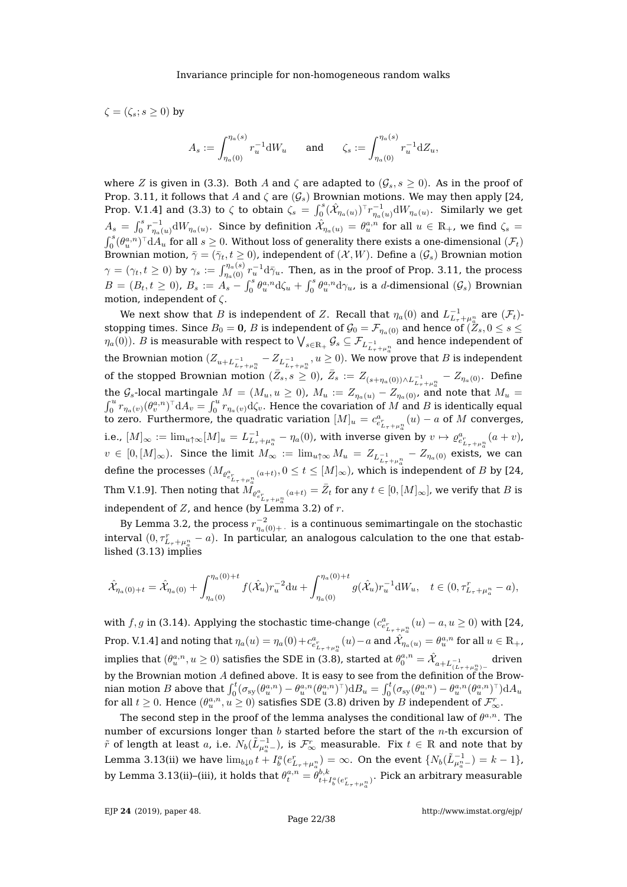$\zeta = (\zeta_s; s > 0)$  by

$$
A_s:=\int_{\eta_a(0)}^{\eta_a(s)}r_u^{-1}{\rm d} W_u\qquad\text{and}\qquad\zeta_s:=\int_{\eta_a(0)}^{\eta_a(s)}r_u^{-1}{\rm d} Z_u,
$$

where Z is given in [\(3.3\)](#page-10-2). Both A and  $\zeta$  are adapted to  $(\mathcal{G}_s, s \ge 0)$ . As in the proof of Prop. [3.11,](#page-15-1) it follows that A and  $\zeta$  are  $(\mathcal{G}_s)$  Brownian motions. We may then apply [\[24,](#page-38-9) Prop. V.1.4] and [\(3.3\)](#page-10-2) to  $\zeta$  to obtain  $\zeta_s = \int_0^s (\hat{X}_{\eta_a(u)})^\top r_{\eta_a(u)}^{-1} dW_{\eta_a(u)}$ . Similarly we get  $A_s = \int_0^s r_{\eta_a(u)}^{-1} dW_{\eta_a(u)}$ . Since by definition  $\hat{\mathcal{X}}_{\eta_a(u)} = \theta_u^{a,n}$  for all  $u \in \mathbb{R}_+$ , we find  $\zeta_s =$  $\int_0^s (\theta_u^{a,n})^\top dA_u$  for all  $s\geq 0$ . Without loss of generality there exists a one-dimensional  $(\mathcal{F}_t)$ Brownian motion,  $\bar{\gamma} = (\bar{\gamma}_t, t \ge 0)$ , independent of  $(\mathcal{X}, W)$ . Define a  $(\mathcal{G}_s)$  Brownian motion  $\gamma=(\gamma_t,t\geq 0)$  by  $\gamma_s:=\int_{\eta_a(0)}^{\eta_a(s)}r_u^{-1}{\rm d}\bar\gamma_u.$  Then, as in the proof of Prop. [3.11,](#page-15-1) the process  $B=(B_t,t\geq 0)$ ,  $B_s:=A_s-\int_0^s\theta_u^{a,n}d\zeta_u+\int_0^s\theta_u^{a,n}d\gamma_u$ , is a d-dimensional  $(\mathcal{G}_s)$  Brownian motion, independent of  $\zeta$ .

We next show that  $B$  is independent of  $Z.$  Recall that  $\eta_a(0)$  and  $L_{L_{\tau}+\mu_a^n}^{-1}$  are  $(\mathcal{F}_t)$ stopping times. Since  $B_0 = 0$ , B is independent of  $\mathcal{G}_0 = \mathcal{F}_{\eta_a(0)}$  and hence of  $(Z_s, 0 \le s \le t)$  $\eta_a(0)$ ).  $B$  is measurable with respect to  $\bigvee_{s\in \mathbb{R}_+} \mathcal{G}_s\subseteq \mathcal{F}_{L_{L_\tau+\mu_a^n}^{-1}}$  and hence independent of the Brownian motion  $(Z_{u+L_{L_{\tau}+\mu_{a}^n}}-Z_{L_{\tau}^{-1}+\mu_{a}^n}, u\geq 0).$  We now prove that  $B$  is independent of the stopped Brownian motion  $(\bar{Z}_s, s \geq 0)$ ,  $\bar{Z}_s := Z_{(s+\eta_a(0)) \wedge L_{L_{\tau}+\mu_a^n}^{-1}} - Z_{\eta_a(0)}$ . Define the  $\mathcal{G}_s$ -local martingale  $M=(M_u,u\geq 0)$ ,  $M_u:=Z_{\eta_a(u)}-Z_{\eta_a(0)}$ , and note that  $M_u=0$  $\int_0^u r_{\eta_a(v)}(\theta_v^{a,n})^\top \mathrm{d}A_v = \int_0^u r_{\eta_a(v)}\mathrm{d}\zeta_v.$  Hence the covariation of  $M$  and  $B$  is identically equal to zero. Furthermore, the quadratic variation  $[M]_u = c_{e_{L_{\tau}+\mu_a}^n}^a(u) - a$  of  $M$  converges, i.e.,  $[M]_\infty:=\lim_{u\uparrow\infty}[M]_u=L^{-1}_{L_\tau+\mu^n_a}-\eta_a(0)$ , with inverse given by  $v\mapsto \varrho^a_{e^r_{L_\tau+\mu^n_a}}(a+v)$ ,  $v \in [0, [M]_{\infty})$ . Since the limit  $M_{\infty} := \lim_{u \uparrow \infty} M_u = Z_{L_{L_{\tau}}^{-1} + \mu_a^n} - Z_{\eta_a(0)}$  exists, we can define the processes  $(M_{\varrho_{e_{L_\tau+h_a}^n}^a(a+t)}, 0\leq t\leq [M]_\infty)$ , which is independent of  $B$  by [\[24,](#page-38-9) Thm V.1.9]. Then noting that  $\tilde{M_{\varrho^a_{e^r_{L_\tau+\mu^n_a}}(a+t)}=\bar{Z}_t$  for any  $t\in[0,[M]_\infty]$ , we verify that  $B$  is independent of  $Z$ , and hence (by Lemma [3.2\)](#page-9-2) of  $r$ .

By Lemma [3.2,](#page-9-2) the process  $r_{\eta_a(0)+}^{-2}$  . is a continuous semimartingale on the stochastic interval  $(0,\tau^r_{L_{\tau}+\mu^n_a}-a).$  In particular, an analogous calculation to the one that established [\(3.13\)](#page-15-2) implies

$$
\hat{\mathcal{X}}_{\eta_a(0)+t} = \hat{\mathcal{X}}_{\eta_a(0)} + \int_{\eta_a(0)}^{\eta_a(0)+t} f(\hat{\mathcal{X}}_u) r_u^{-2} du + \int_{\eta_a(0)}^{\eta_a(0)+t} g(\hat{\mathcal{X}}_u) r_u^{-1} dW_u, \quad t \in (0, \tau_{L_{\tau} + \mu_a^n}^r - a),
$$

with  $f, g$  in [\(3.14\)](#page-15-3). Applying the stochastic time-change  $(c_{e_{L_{\tau}+\mu_a^n}}^a(u)-a,u\geq 0)$  with [\[24,](#page-38-9) Prop. V.1.4] and noting that  $\eta_a(u) = \eta_a(0) + c_{e_{L_\tau+\mu_a^n}^a}^a(u) - a$  and  $\hat{\mathcal{X}}_{\eta_a(u)} = \theta_u^{a,n}$  for all  $u \in \mathbb{R}_+$ , implies that  $(\theta^{a,n}_u,u\geq 0)$  satisfies the SDE in [\(3.8\)](#page-12-2), started at  $\theta^{a,n}_0=\hat{\mathcal{X}}_{a+L_{(L_\tau+\mu^n_a)-}^{-1}}$  driven by the Brownian motion  $A$  defined above. It is easy to see from the definition of the Brownian motion  $B$  above that  $\int_0^t (\sigma_{\rm sy}(\theta_u^{a,n}) - \theta_u^{a,n}(\theta_u^{a,n})^\top) {\rm d}B_u = \int_0^t (\sigma_{\rm sy}(\theta_u^{a,n}) - \theta_u^{a,n}(\theta_u^{a,n})^\top) {\rm d}A_u$ for all  $t\geq 0.$  Hence  $(\theta^{a,n}_u, u\geq 0)$  satisfies SDE [\(3.8\)](#page-12-2) driven by  $B$  independent of  $\mathcal{F}^r_\infty.$ 

The second step in the proof of the lemma analyses the conditional law of  $\theta^{a,n}$ . The number of excursions longer than  $b$  started before the start of the  $n$ -th excursion of  $\tilde{r}$  of length at least  $a$ , i.e.  $N_b(\tilde{L}_{\mu_a^n-}^{-1})$ , is  $\mathcal{F}^r_\infty$  measurable. Fix  $t\in\mathbb{R}$  and note that by Lemma [3.13\(](#page-17-2)[ii\)](#page-17-5) we have  $\lim_{b \downarrow 0} t + I_b^a(e_{L_{\tau} + \mu_a^n}^r) = \infty$ . On the event  $\{N_b(\tilde{L}_{\mu_a^n -}^{-1}) = k - 1\}$ , by Lemma [3.13](#page-17-2)[\(ii\)](#page-17-5)–[\(iii\)](#page-17-3), it holds that  $\theta^{a,n}_t = \theta^{b,k}_{t+1}$  $\frac{t^{\beta,\kappa}}{t+I_{b}^{a}(e_{L_{\tau}+\mu^{n}_{a}}^{x})}.$  Pick an arbitrary measurable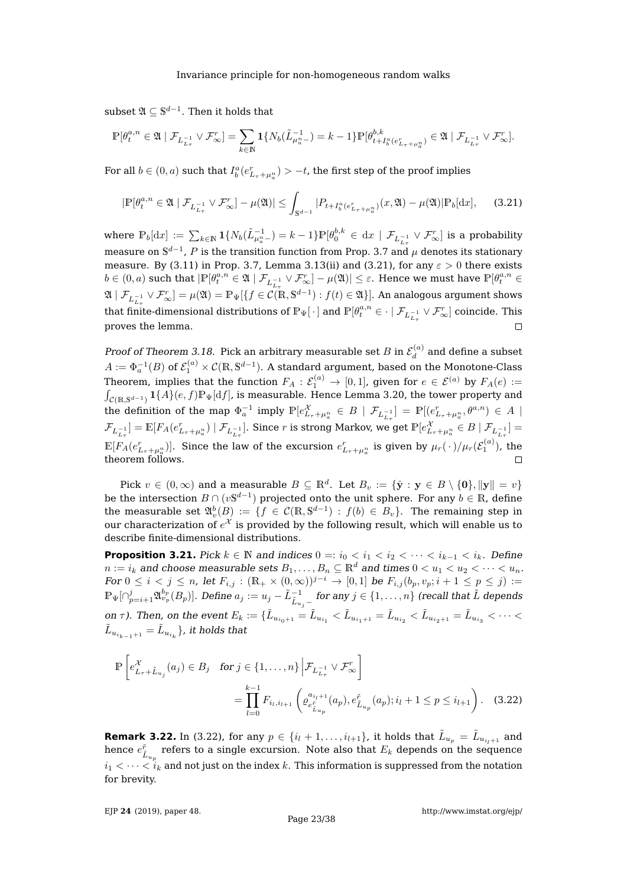$\text{subset } \mathfrak{A} \subseteq \mathbb{S}^{d-1}.$  Then it holds that

$$
\mathbb{P}[\theta^{a,n}_t \in \mathfrak{A} \mid \mathcal{F}_{L^{-1}_{L_\tau}} \vee \mathcal{F}^r_\infty] = \sum_{k \in \mathbb{N}} \mathbf{1}\{N_b(\tilde{L}^{-1}_{\mu_a^{n-}}) = k-1\} \mathbb{P}[\theta^{b,k}_{t+I^a_b(e^r_{L_\tau+\mu^n_a})} \in \mathfrak{A} \mid \mathcal{F}_{L^{-1}_{L_\tau}} \vee \mathcal{F}^r_\infty].
$$

For all  $b \in (0,a)$  such that  $I_b^a(e_{L_{\tau}+\mu_a^n}^r) > -t$ , the first step of the proof implies

<span id="page-23-1"></span>
$$
|\mathbb{P}[\theta_t^{a,n} \in \mathfrak{A} \mid \mathcal{F}_{L_{L_{\tau}}^{-1}} \vee \mathcal{F}_{\infty}^r] - \mu(\mathfrak{A})| \le \int_{\mathbb{S}^{d-1}} |P_{t+I_b^a(e_{L_{\tau}+\mu_a^a})} (x, \mathfrak{A}) - \mu(\mathfrak{A})| \mathbb{P}_b[\mathrm{d}x], \quad (3.21)
$$

where  $\mathbb{P}_b[\mathrm{d}x] := \sum_{k\in \mathbb{N}} \mathbf{1}\{N_b(\tilde{L}_{\mu_a^n-}^{-1}) = k-1\} \mathbb{P}[ \theta_0^{b,k} \in \mathrm{d}x \mid \mathcal{F}_{L_{L_\tau}^{-1}} \vee \mathcal{F}_{\infty}^r]$  is a probability measure on  $\mathbb{S}^{d-1}$ , P is the transition function from Prop. [3.7](#page-13-0) and  $\mu$  denotes its stationary measure. By [\(3.11\)](#page-13-4) in Prop. [3.7,](#page-13-0) Lemma [3.13\(](#page-17-2)[ii\)](#page-17-5) and [\(3.21\)](#page-23-1), for any  $\varepsilon > 0$  there exists  $b\in (0,a)$  such that  $|\mathbb{P}[\theta_t^{a,n}\in \mathfrak{A}\mid \mathcal{F}_{L_{t-1}^{-1}}\vee \mathcal{F}_{\infty}^r]-\mu(\mathfrak{A})|\leq \varepsilon.$  Hence we must have  $\mathbb{P}[\theta_t^{a,n}\in \mathfrak{A}]$  $\mathfrak{A} \mid \mathcal{F}_{L_{\tau_{\tau}}} \vee \mathcal{F}_{\infty}^r] = \mu(\mathfrak{A}) = \mathbb{P}_{\Psi}[\{f \in \mathcal{C}(\mathbb{R}, \mathbb{S}^{d-1}) : f(t) \in \mathfrak{A}\}].$  An analogous argument shows that finite-dimensional distributions of  $\mathbb{P}_{\Psi}[\,\cdot\,]$  and  $\mathbb{P}[\theta^{a,n}_t\in\cdot\mid\mathcal{F}_{L_{L_{\tau}}^{-1}}\vee\mathcal{F}_{\infty}^r]$  coincide. This proves the lemma.  $\Box$ 

Proof of Theorem [3.18.](#page-21-0) Pick an arbitrary measurable set B in  $\mathcal{E}_d^{(a)}$  $d_d^{(u)}$  and define a subset  $A:=\Phi_a^{-1}(B)$  of  $\mathcal{E}_1^{(a)}\times\mathcal{C}(\mathbb{R},\mathbb{S}^{d-1}).$  A standard argument, based on the Monotone-Class Theorem, implies that the function  $F_A:\mathcal{E}^{(a)}_1\to[0,1]$ , given for  $e\in\mathcal{E}^{(a)}$  by  $F_A(e):=$  $\int_{\mathcal{C}(\mathbb{R}, \mathbb{S}^{d-1})} \mathbf{1}\{A\}(e, f) \mathbb{P}_{\Psi}[\mathrm{d} f]$ , is measurable. Hence Lemma [3.20,](#page-21-1) the tower property and the definition of the map  $\Phi_a^{-1}$  imply  $\mathbb{P}[e_{L_{\tau}+\mu_a^n}^{\chi} \in B \mid \mathcal{F}_{L_{L_{\tau}}^{-1}}] = \mathbb{P}[(e_{L_{\tau}+\mu_a^n}^r, \theta^{a,n}) \in A \mid$  $\mathcal{F}_{L_{L_{\tau}}^{-1}}]=\mathbb{E}[F_{A}(e_{L_{\tau}+\mu_{a}^{n}}^{r})\mid \mathcal{F}_{L_{L_{\tau}}^{-1}}].$  Since  $r$  is strong Markov, we get  $\mathbb{P}[e_{L_{\tau}+\mu_{a}^{n}}^{\mathcal{X}}\in B\mid \mathcal{F}_{L_{L_{\tau}}^{-1}}]=$  $\mathbb{E}[F_A(e_{L_{\tau}+\mu_a^n}^r)].$  Since the law of the excursion  $e_{L_{\tau}+\mu_a^n}^r$  is given by  $\mu_r(\,\cdot\,)/\mu_r(\mathcal{E}^{(a)}_1)$ , the theorem follows.

Pick  $v \in (0, \infty)$  and a measurable  $B \subseteq \mathbb{R}^d$ . Let  $B_v := \{\hat{\mathbf{y}} : \mathbf{y} \in B \setminus \{\mathbf{0}\}, \|\mathbf{y}\| = v\}$ be the intersection  $B \cap (v\mathbb{S}^{d-1})$  projected onto the unit sphere. For any  $b \in \mathbb{R}$ , define the measurable set  $\mathfrak{A}_v^b(B) \coloneqq \{f\in \mathcal{C}(\mathbb{R}, \mathbb{S}^{d-1}) \,:\, f(b)\in B_v\}.$  The remaining step in our characterization of  $e^\mathcal{X}$  is provided by the following result, which will enable us to describe finite-dimensional distributions.

<span id="page-23-0"></span>**Proposition 3.21.** Pick  $k \in \mathbb{N}$  and indices  $0 =: i_0 < i_1 < i_2 < \cdots < i_{k-1} < i_k$ . Define  $n := i_k$  and choose measurable sets  $B_1, \ldots, B_n \subseteq \mathbb{R}^d$  and times  $0 < u_1 < u_2 < \cdots < u_n$ . For  $0 \le i < j \le n$ , let  $F_{i,j} : (\mathbb{R}_+ \times (0,\infty))^{j-i} \to [0,1]$  be  $F_{i,j}(b_p, v_p; i+1 \le p \le j) :=$  $\mathbb{P}_\Psi[\cap_{p=i+1}^j \mathfrak{A}^{b_p}_{v_p}(B_p)].$  Define  $a_j:=u_j-\tilde{L}^{-1}_{\tilde{L}_{u_j}-}$  for any  $j\in\{1,\ldots,n\}$  (recall that  $\tilde{L}$  depends on  $\tau$ ). Then, on the event  $E_k := \{\tilde{L}_{u_{i_0+1}} = \tilde{L}_{u_{i_1}} < \tilde{L}_{u_{i_1+1}} = \tilde{L}_{u_{i_2}} < \tilde{L}_{u_{i_2+1}} = \tilde{L}_{u_{i_3}} < \cdots <$  $\tilde{L}_{u_{i_{k-1}+1}}=\tilde{L}_{u_{i_k}}\}$  , it holds that

<span id="page-23-2"></span>
$$
\mathbb{P}\left[e_{L_{\tau}+L_{u_{j}}}^{\mathcal{X}}(a_{j})\in B_{j} \text{ for } j\in\{1,\ldots,n\}\Big| \mathcal{F}_{L_{L_{\tau}}^{-1}}\vee \mathcal{F}_{\infty}^{r}\right]
$$
\n
$$
=\prod_{l=0}^{k-1} F_{i_{l},i_{l+1}}\left(\varrho_{e_{L_{u_{p}}}^{i_{l+1}}}(a_{p}),e_{L_{u_{p}}}^{\tilde{r}}(a_{p});i_{l}+1\leq p\leq i_{l+1}\right). \quad (3.22)
$$

<span id="page-23-3"></span>**Remark 3.22.** In [\(3.22\)](#page-23-2), for any  $p \in \{i_l + 1, \ldots, i_{l+1}\}$ , it holds that  $\tilde{L}_{u_p} = \tilde{L}_{u_{i_l+1}}$  and hence  $e^{\tilde{r}}_{\tilde{L}_{u_p}}$  refers to a single excursion. Note also that  $E_k$  depends on the sequence  $i_1 < \cdots < i_k$  and not just on the index k. This information is suppressed from the notation for brevity.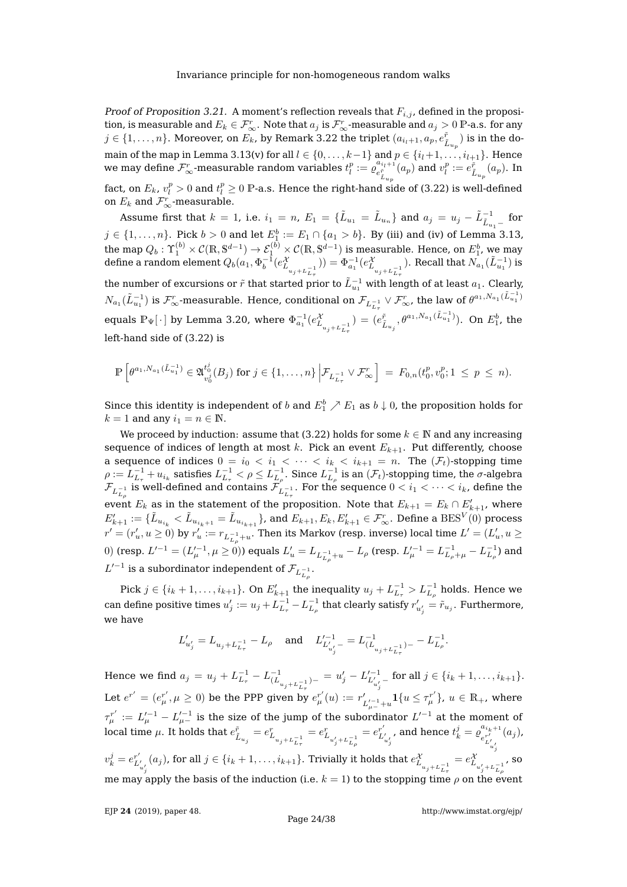Proof of Proposition [3.21.](#page-23-0) A moment's reflection reveals that  $F_{i,j}$ , defined in the proposition, is measurable and  $E_k \in \mathcal{F}_{\infty}^r$ . Note that  $a_j$  is  $\mathcal{F}_{\infty}^r$ -measurable and  $a_j > 0$  P-a.s. for any  $j\in\{1,\ldots,n\}.$  Moreover, on  $E_k$ , by Remark [3.22](#page-23-3) the triplet  $(a_{i_l+1},a_p,e_{\tilde{L}_{u_p}}^{\tilde{r}})$  is in the do-main of the map in Lemma [3.13\(](#page-17-2)[v\)](#page-18-1) for all  $l \in \{0, \ldots, k-1\}$  and  $p \in \{i_l+1, \ldots, i_{l+1}\}.$  Hence we may define  $\mathcal{F}_{\infty}^r$ -measurable random variables  $t_l^p := \varrho_{e_{L_{u_p}}^{\tilde{F}}}^{a_{i_l+1}}(a_p)$  and  $v_l^p := \varrho_{\tilde{L}_{u_p}}^{r}(a_p)$ . In

fact, on  $E_k$ ,  $v_l^p > 0$  and  $t_l^p \geq 0$  P-a.s. Hence the right-hand side of [\(3.22\)](#page-23-2) is well-defined on  $E_k$  and  $\mathcal{F}_{\infty}^r$ -measurable.

Assume first that  $k = 1$ , i.e.  $i_1 = n$ ,  $E_1 = \{\tilde{L}_{u_1} = \tilde{L}_{u_n}\}$  and  $a_j = u_j - \tilde{L}_{\tilde{L}_{u_1} -}^{-1}$  for  $j \in \{1,\ldots,n\}$ . Pick  $b > 0$  and let  $E_1^b := E_1 \cap \{a_1 > b\}$ . By [\(iii\)](#page-17-3) and [\(iv\)](#page-18-0) of Lemma [3.13,](#page-17-2) the map  $Q_b:{\Upsilon}_1^{(b)}\times{\cal C}({\mathbb R},{\mathbb S}^{d-1})\to{\cal E}_1^{(b)}\times{\cal C}({\mathbb R},{\mathbb S}^{d-1})$  is measurable. Hence, on  $E_1^b$ , we may define a random element  $Q_b(a_1,\Phi_b^{-1}(e_{L_{u_j}+L_{L_{\tau}}^{-1}}^{\chi})$ )) =  $\Phi_{a_1}^{-1}(e_{L_{u_j+L_{L_{\tau}}^{-1}}}^{\chi})$ . Recall that  $N_{a_1}(\tilde{L}_{u_1}^{-1})$  is the number of excursions or  $\tilde{r}$  that started prior to  $\tilde{L}_{u_1}^{-1}$  with length of at least  $a_1$ . Clearly,  $N_{a_1}(\tilde{L}_{u_1}^{-1})$  is  $\mathcal{F}_{\infty}^{r}$ -measurable. Hence, conditional on  $\mathcal{F}_{L_{L_{\tau}}^{-1}}\vee \mathcal{F}_{\infty}^{r}$ , the law of  $\theta^{a_1,N_{a_1}(\tilde{L}_{u_1}^{-1})}$ equals  $\mathbb{P}_{\Psi}[\cdot]$  by Lemma [3.20,](#page-21-1) where  $\Phi_{a_1}^{-1}(e_{L_{u_j+L_{L_\tau}}^{-1}}^{\chi}$  $= (e_{\tilde{L}_{u_j}}^{\tilde{r}}, \theta^{a_1, N_{a_1}(\tilde{L}_{u_1}^{-1})}).$  On  $E_1^b$ , the left-hand side of [\(3.22\)](#page-23-2) is

$$
\mathbb{P}\left[\theta^{a_1,N_{a_1}(\tilde{L}_{u_1}^{-1})}\in\mathfrak{A}_{v_0^j}^{t_0^j}(B_j)\text{ for }j\in\{1,\ldots,n\}\bigg|\mathcal{F}_{L_{L_{\tau}}^{-1}}\vee\mathcal{F}_{\infty}^r\right] = F_{0,n}(t_0^p,v_0^p;1\leq p\leq n).
$$

Since this identity is independent of  $b$  and  $E_1^b \nearrow E_1$  as  $b \downarrow 0$ , the proposition holds for  $k = 1$  and any  $i_1 = n \in \mathbb{N}$ .

We proceed by induction: assume that [\(3.22\)](#page-23-2) holds for some  $k \in \mathbb{N}$  and any increasing sequence of indices of length at most k. Pick an event  $E_{k+1}$ . Put differently, choose a sequence of indices  $0 = i_0 < i_1 < \cdots < i_k < i_{k+1} = n$ . The  $(\mathcal{F}_t)$ -stopping time  $\rho:=L_{L_\tau}^{-1}+u_{i_k}$  satisfies  $L_{L_\tau}^{-1}<\rho\le L_{L_\rho}^{-1}.$  Since  $L_{L_\rho}^{-1}$  is an  $(\mathcal F_t)$ -stopping time, the  $\sigma$ -algebra  $\mathcal{F}_{L^{-1}_{L_\rho}}$  is well-defined and contains  $\mathcal{F}_{L^{-1}_{L_\tau}}.$  For the sequence  $0 < i_1 < \cdots < i_k$ , define the event  $E_k$  as in the statement of the proposition. Note that  $E_{k+1} = E_k \cap E'_{k+1}$ , where  $E_{k+1}':=\{\tilde{L}_{u_{i_k}}<\tilde{L}_{u_{i_k+1}}=\tilde{L}_{u_{i_{k+1}}}\}$ , and  $E_{k+1},E_k,E_{k+1}'\in\mathcal{F}_{\infty}^r.$  Define a  $\text{BES}^{V}(0)$  process  $r'=(r'_u,u\geq 0)$  by  $r'_u:=r_{L^{-1}_{L_\rho}+u}.$  Then its Markov (resp. inverse) local time  $L'=(L'_u,u\geq 0)$ 0) (resp.  $L'^{-1}=(L'^{-1}_\mu,\mu\geq 0)$ ) equals  $L'_u=L_{L^{-1}_{L_\rho}+u}-L_\rho$  (resp.  $L'^{-1}_\mu=L^{-1}_{L_\rho+\mu}-L^{-1}_{L_\rho})$  and  $L'^{-1}$  is a subordinator independent of  $\mathcal{F}_{L_{L_{\rho}}^{-1}}.$ 

Pick  $j\in\{i_k+1,\ldots,i_{k+1}\}.$  On  $E'_{k+1}$  the inequality  $u_j+L_{L_{\tau}}^{-1}>L_{L_{\rho}}^{-1}$  holds. Hence we can define positive times  $u'_j:=u_j+L_{L_\tau}^{-1}-L_{L_\rho}^{-1}$  that clearly satisfy  $r'_{u'_j}=\tilde{r}_{u_j}.$  Furthermore, we have

$$
L'_{u'_j} = L_{u_j + L_{L_\tau}^{-1}} - L_\rho \quad \text{ and } \quad L'^{-1}_{L'_{u'_j}-} = L^{-1}_{(L_{u_j + L_{L_\tau}^{-1}}) -} - L^{-1}_{L_\rho}.
$$

Hence we find  $a_j = u_j + L_{L_{\tau}}^{-1} - L_{(L_{u_j + L_{L_{\tau}}^{-1}}^{-1})-}^{-1} = u'_j - L_{L_{u'_j}}^{-1}$  for all  $j \in \{i_k + 1, \ldots, i_{k+1}\}.$ Let  $e^{r'} = (e^{r'}_{\mu}, \mu \ge 0)$  be the PPP given by  $e^{r'}_{\mu}(u) := r'_{\mu}(u)$  $L_{\mu_-^{'}+u}^{'}1\{u\leq \tau_{\mu}^{r'}\},\ u\in\mathbb{R}_+$ , where  $\tau_{\mu}^{r'}:=L_{\mu}^{\prime-1}-L_{\mu-}^{\prime-1}$  is the size of the jump of the subordinator  $L^{\prime-1}$  at the moment of local time  $\mu$ . It holds that  $e_{\tilde{L}_{u_j}}^{\tilde{r}}=e_{L_{u_j+L_{L_{\tau}}^{-1}}}^{\tilde{r}}$  $= e_{L_{u'_j+L_{L_{\rho}}}^{-1}}^r$  $= e^{r'}_{L'_{u'_j}}$ , and hence  $t_{k}^{j} = \varrho_{e^{r'}}^{a_{i_k+1}}$  $e^{r'}_{L_{u'}}$  $v^j_k=e^{r'}_{L^{'}_{u'_j}}(a_j)$ , for all  $j\in\{i_k+1,\ldots,i_{k+1}\}.$  Trivially it holds that  $e^{\mathcal{X}}_{L_{u_j+L^{-1}_{L_\tau}}}=e^{\mathcal{X}}_{L_{u'_j+L^{-1}_{L_\tau}}}$  $(a_j)$ ,  $= e_{L_{u'_j+L_{L_{\rho}}}^{-1}}^{\mathcal{X}}$ , so me may apply the basis of the induction (i.e.  $k = 1$ ) to the stopping time  $\rho$  on the event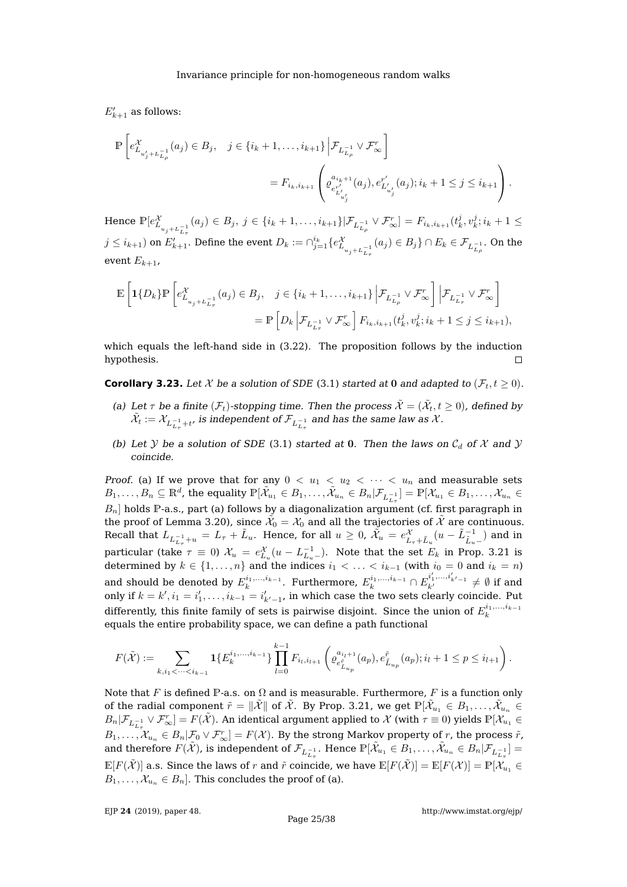$E_{k+1}'$  as follows:

$$
\mathbb{P}\left[e_{L_{u'_{j}+L_{L_{\rho}}^{-1}}^{-1}}^{\chi}(a_{j})\in B_{j}, \quad j\in\{i_{k}+1,\ldots,i_{k+1}\}\Big| \mathcal{F}_{L_{L_{\rho}}^{-1}}\vee \mathcal{F}_{\infty}^{r}\right]
$$
  

$$
=F_{i_{k},i_{k+1}}\left(\varrho_{e_{L_{u'_{j}}'}^{a_{i_{k}+1}}}(a_{j}),e_{L_{u'_{j}}'}^{r'}(a_{j});i_{k}+1\leq j\leq i_{k+1}\right).
$$

Hence  $\mathbb{P}[e_{L_{u_j+L_{L_{\tau}}^{-1}}}^{\chi}(a_j) \in B_j, j \in \{i_k+1,\ldots,i_{k+1}\}|\mathcal{F}_{L_{L_{\rho}}^{-1}} \vee \mathcal{F}_{\infty}^r] = F_{i_k,i_{k+1}}(t_k^j, v_k^j; i_k+1 \leq$  $j\leq i_{k+1})$  on  $E'_{k+1}.$  Define the event  $D_k:=\cap_{j=1}^{i_k}\{e_{L_{u_j+L_{L_\tau}}^{-1}}^{\chi}(a_j)\in B_j\}\cap E_k\in \mathcal{F}_{L_{L_\rho}^{-1}}.$  On the event  $E_{k+1}$ ,

$$
\mathbb{E}\left[\mathbf{1}\{D_{k}\}\mathbb{P}\left[e_{L_{u_{j}+L_{L_{\tau}}^{-1}}^{-1}}^{X}(a_{j})\in B_{j}, \quad j\in\{i_{k}+1,\ldots,i_{k+1}\}\Big|\mathcal{F}_{L_{L_{\rho}}^{-1}}\vee\mathcal{F}_{\infty}^{r}\right]\Big|\mathcal{F}_{L_{L_{\tau}}^{-1}}\vee\mathcal{F}_{\infty}^{r}\right]
$$
\n
$$
=\mathbb{P}\left[D_{k}\left|\mathcal{F}_{L_{L_{\tau}}^{-1}}\vee\mathcal{F}_{\infty}^{r}\right]\mathbb{F}_{i_{k},i_{k+1}}(t_{k}^{j},v_{k}^{j};i_{k}+1\leq j\leq i_{k+1}),\right.
$$

which equals the left-hand side in [\(3.22\)](#page-23-2). The proposition follows by the induction hypothesis.  $\Box$ 

<span id="page-25-0"></span>**Corollary 3.23.** Let X be a solution of SDE [\(3.1\)](#page-9-4) started at 0 and adapted to  $(\mathcal{F}_t, t \geq 0)$ .

- (a) Let  $\tau$  be a finite  $(\mathcal{F}_t)$ -stopping time. Then the process  $\tilde{\mathcal{X}}=(\tilde{\mathcal{X}}_t,t\geq 0)$ , defined by  $\tilde{\mathcal{X}}_t := \mathcal{X}_{L_{L_\tau}^{-1} + t'}$  is independent of  $\mathcal{F}_{L_{L_\tau}^{-1}}$  and has the same law as  $\mathcal{X}.$
- (b) Let Y be a solution of SDE [\(3.1\)](#page-9-4) started at 0. Then the laws on  $C_d$  of X and Y coincide.

Proof. (a) If we prove that for any  $0 < u_1 < u_2 < \cdots < u_n$  and measurable sets  $B_1,\ldots,B_n\subseteq \mathbb{R}^d$ , the equality  $\mathbb{P}[\tilde{\mathcal{X}}_{u_1}\in B_1,\ldots,\tilde{\mathcal{X}}_{u_n}\in B_n | \mathcal{F}_{L_{L_{\tau}}^{-1}}]=\mathbb{P}[\mathcal{X}_{u_1}\in B_1,\ldots,\mathcal{X}_{u_n}\in B_n | \mathcal{F}_{L_{L_{\tau}}^{-1}}]$  $B_n$ ] holds P-a.s., part (a) follows by a diagonalization argument (cf. first paragraph in the proof of Lemma [3.20\)](#page-21-1), since  $\tilde{\mathcal{X}}_0=\mathcal{X}_0$  and all the trajectories of  $\tilde{\mathcal{X}}$  are continuous. Recall that  $L_{L_{L_{\tau}}^{-1}+u}=L_{\tau}+\tilde{L}_{u}.$  Hence, for all  $u\geq0$ ,  $\tilde{\mathcal{X}}_{u}\,=\,e_{L_{\tau}+\tilde{L}_{u}}^{\mathcal{X}}(u-\tilde{L}_{\tilde{L}_{u}-}^{-1})$  and in particular (take  $\tau \equiv 0$ )  $\mathcal{X}_u = e_{L_u}^{\mathcal{X}}(u - L_{L_u}^{-1})$ . Note that the set  $E_k$  in Prop. [3.21](#page-23-0) is determined by  $k \in \{1, \ldots, n\}$  and the indices  $i_1 < \ldots < i_{k-1}$  (with  $i_0 = 0$  and  $i_k = n$ ) and should be denoted by  $E_k^{i_1,...,i_{k-1}}$ . Furthermore,  $E_k^{i_1,...,i_{k-1}}\cap E_{k'}^{i'_1,...,i'_{k'-1}}\neq\emptyset$  if and only if  $k = k', i_1 = i'_1, \ldots, i_{k-1} = i'_{k'-1}$ , in which case the two sets clearly coincide. Put differently, this finite family of sets is pairwise disjoint. Since the union of  $E_k^{i_1,...,i_{k-1}}$ equals the entire probability space, we can define a path functional

$$
F(\tilde{\mathcal{X}}) := \sum_{k,i_1 < \dots < i_{k-1}} \mathbf{1} \{ E_k^{i_1, \dots, i_{k-1}} \} \prod_{l=0}^{k-1} F_{i_l, i_{l+1}} \left( \varrho_{e_{\tilde{L}_{u_p}}^{\tilde{r}}}^{a_{i_l+1}}(a_p), e_{\tilde{L}_{u_p}}^{\tilde{r}}(a_p); i_l + 1 \le p \le i_{l+1} \right).
$$

Note that F is defined P-a.s. on  $\Omega$  and is measurable. Furthermore, F is a function only of the radial component  $\tilde{r}=\|\tilde{\mathcal{X}}\|$  of  $\tilde{\mathcal{X}}$ . By Prop. [3.21,](#page-23-0) we get  $\mathbb{P}[\tilde{\mathcal{X}}_{u_1}\in B_1,\ldots,\tilde{\mathcal{X}}_{u_n}\in$  $B_n|\mathcal{F}_{L_{L_n}^{-1}}\vee \mathcal{F}_{\infty}^r]=F(\tilde{\mathcal{X}}).$  An identical argument applied to  $\mathcal X$  (with  $\tau\equiv 0$ ) yields  $\mathbb P[\mathcal X_{u_1}\in \mathcal X_{u_2}]$  $B_1, \ldots, \mathcal{X}_{u_n} \in B_n | \mathcal{F}_0 \vee \mathcal{F}_{\infty}^r ] = F(\mathcal{X})$ . By the strong Markov property of r, the process  $\tilde{r}$ , and therefore  $F(\tilde{\mathcal{X}})$ , is independent of  $\mathcal{F}_{L_{L_{\tau}}^{-1}}$ . Hence  $\mathbb{P}[\tilde{\mathcal{X}}_{u_1} \in B_1, \ldots, \tilde{\mathcal{X}}_{u_n} \in B_n | \mathcal{F}_{L_{L_{\tau}}^{-1}}] =$  $\mathbb{E}[F(\tilde{\mathcal{X}})]$  a.s. Since the laws of r and  $\tilde{r}$  coincide, we have  $\mathbb{E}[F(\tilde{\mathcal{X}})] = \mathbb{E}[F(\mathcal{X})] = \mathbb{P}[\mathcal{X}_{u_1} \in$  $B_1, \ldots, X_{u_n} \in B_n$ . This concludes the proof of (a).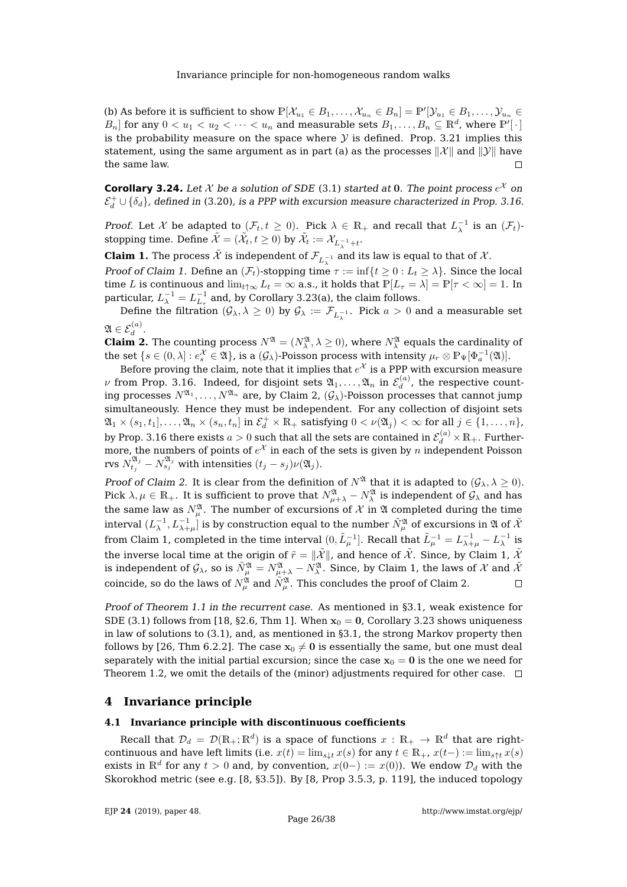(b) As before it is sufficient to show  $\mathbb{P}[\mathcal{X}_{u_1} \in B_1, \ldots, \mathcal{X}_{u_n} \in B_n] = \mathbb{P}'[\mathcal{Y}_{u_1} \in B_1, \ldots, \mathcal{Y}_{u_n} \in B_n]$  $B_n]$  for any  $0 < u_1 < u_2 < \cdots < u_n$  and measurable sets  $B_1, \ldots, B_n \subseteq \mathbb{R}^d$ , where  $\mathbb{P}'[\cdot]$ is the probability measure on the space where  $\mathcal Y$  is defined. Prop. [3.21](#page-23-0) implies this statement, using the same argument as in part (a) as the processes  $\|\mathcal{X}\|$  and  $\|\mathcal{Y}\|$  have the same law.  $\Box$ 

<span id="page-26-0"></span>**Corollary 3.24.** Let  $\mathcal X$  be a solution of SDE [\(3.1\)](#page-9-4) started at 0. The point process  $e^{\mathcal X}$  on  $\mathcal{E}_d^+\cup\{\delta_d\}$ , defined in [\(3.20\)](#page-20-1), is a PPP with excursion measure characterized in Prop. [3.16.](#page-19-1)

Proof. Let X be adapted to  $(\mathcal{F}_t, t \geq 0)$ . Pick  $\lambda \in \mathbb{R}_+$  and recall that  $L_{\lambda}^{-1}$  is an  $(\mathcal{F}_t)$ . stopping time. Define  $\tilde{\mathcal{X}}=(\tilde{\mathcal{X}}_t,t\geq 0)$  by  $\tilde{\mathcal{X}}_t:=\mathcal{X}_{L_{\lambda}^{-1}+t}.$ 

**Claim 1.** The process  $\tilde{\mathcal{X}}$  is independent of  $\mathcal{F}_{L_{\lambda}^{-1}}$  and its law is equal to that of  $\mathcal{X}.$ 

Proof of Claim 1. Define an  $(\mathcal{F}_t)$ -stopping time  $\tau := \inf\{t \geq 0 : L_t \geq \lambda\}$ . Since the local time L is continuous and  $\lim_{t\uparrow\infty}L_t=\infty$  a.s., it holds that  $\mathbb{P}[L_{\tau}=\lambda]=\mathbb{P}[\tau<\infty]=1$ . In particular,  $L_{\lambda}^{-1} = L_{L_{\tau}}^{-1}$  and, by Corollary [3.23\(](#page-25-0)a), the claim follows.

Define the filtration  $(\mathcal{G}_\lambda,\lambda\geq 0)$  by  $\mathcal{G}_\lambda:=\mathcal{F}_{L_{\lambda}^{-1}}.$  Pick  $a>0$  and a measurable set  $\mathfrak{A} \in \mathcal{E}_d^{(a)}$ .

**Claim 2.** The counting process  $N^{\mathfrak{A}} = (N^{\mathfrak{A}}_{\lambda}, \lambda \geq 0)$ , where  $N^{\mathfrak{A}}_{\lambda}$  equals the cardinality of the set  $\{s \in (0, \lambda] : e_s^{\mathcal{X}} \in \mathfrak{A}\}\)$ , is a  $(\mathcal{G}_\lambda)$ -Poisson process with intensity  $\mu_r \otimes \mathbb{P}_{\Psi}[\Phi_a^{-1}(\mathfrak{A})]$ .

Before proving the claim, note that it implies that  $e^\mathcal{X}$  is a PPP with excursion measure  $\nu$  from Prop. [3.16.](#page-19-1) Indeed, for disjoint sets  $\mathfrak{A}_1,\ldots, \mathfrak{A}_n$  in  $\mathcal{E}_d^{(a)}$  $d_d^{(u)}$ , the respective counting processes  $N^{\mathfrak{A}_1}, \ldots, N^{\mathfrak{A}_n}$  are, by Claim 2,  $(\mathcal{G}_\lambda)$ -Poisson processes that cannot jump simultaneously. Hence they must be independent. For any collection of disjoint sets  $\mathfrak{A}_1\times (s_1,t_1],\ldots , \mathfrak{A}_n\times (s_n,t_n]$  in  $\mathcal{E}_d^+\times \mathbb{R}_+$  satisfying  $0<\nu(\mathfrak{A}_j)<\infty$  for all  $j\in\{1,\ldots ,n\},$ by Prop. [3.16](#page-19-1) there exists  $a>0$  such that all the sets are contained in  $\mathcal{E}_d^{(a)}\times\mathbb{R}_+$ . Furthermore, the numbers of points of  $e^\mathcal{X}$  in each of the sets is given by  $n$  independent Poisson rvs  $N_{t_j}^{\mathfrak{A}_j} - N_{s_j}^{\mathfrak{A}_j}$  with intensities  $(t_j - s_j) \nu(\mathfrak{A}_j).$ 

Proof of Claim 2. It is clear from the definition of  $N^{\mathfrak{A}}$  that it is adapted to  $(\mathcal{G}_{\lambda}, \lambda \geq 0)$ . Pick  $\lambda,\mu\in\mathbb R_+$ . It is sufficient to prove that  $N_{\mu+\lambda}^{\frak A}-N_{\lambda}^{\frak A}$  is independent of  $\mathcal G_\lambda$  and has the same law as  $N_\mu^\mathfrak{A}.$  The number of excursions of  $\mathcal X$  in  $\mathfrak A$  completed during the time interval  $(L_\lambda^{-1},L_{\lambda+\mu}^{-1}]$  is by construction equal to the number  $\tilde N_\mu^\mathfrak{A}$  of excursions in  $\mathfrak A$  of  $\tilde{\mathcal X}$ from Claim 1, completed in the time interval  $(0,\tilde{L}_{\mu}^{-1}].$  Recall that  $\tilde{L}_{\mu}^{-1}=L_{\lambda+\mu}^{-1}-L_{\lambda}^{-1}$  is the inverse local time at the origin of  $\tilde{r}=\|\tilde{\mathcal{X}}\|$ , and hence of  $\tilde{\mathcal{X}}$ . Since, by Claim 1,  $\tilde{\mathcal{X}}$ is independent of  $\mathcal{G}_\lambda$ , so is  $\tilde N_\mu^\mathfrak{A}=N_\mu^\mathfrak{A}-N_\lambda^\mathfrak{A}.$  Since, by Claim 1, the laws of  $\mathcal X$  and  $\tilde{\mathcal X}$ coincide, so do the laws of  $N_\mu^\mathfrak{A}$  and  $\tilde N_\mu^\mathfrak{A}$ . This concludes the proof of Claim 2.  $\Box$ 

Proof of Theorem [1.1](#page-2-1) in the recurrent case. As mentioned in [§3.1,](#page-9-1) weak existence for SDE [\(3.1\)](#page-9-4) follows from [\[18,](#page-38-11) §2.6, Thm 1]. When  $x_0 = 0$ , Corollary [3.23](#page-25-0) shows uniqueness in law of solutions to [\(3.1\)](#page-9-4), and, as mentioned in [§3.1,](#page-9-1) the strong Markov property then follows by [\[26,](#page-38-12) Thm 6.2.2]. The case  $x_0 \neq 0$  is essentially the same, but one must deal separately with the initial partial excursion; since the case  $x_0 = 0$  is the one we need for Theorem [1.2,](#page-3-1) we omit the details of the (minor) adjustments required for other case.  $\Box$ 

### <span id="page-26-1"></span>**4 Invariance principle**

## <span id="page-26-2"></span>**4.1 Invariance principle with discontinuous coefficients**

Recall that  $\mathcal{D}_d\,=\,\mathcal{D}(\mathbb{R}_+;\mathbb{R}^d)$  is a space of functions  $x\,:\,\mathbb{R}_+\,\to\,\mathbb{R}^d$  that are rightcontinuous and have left limits (i.e.  $x(t) = \lim_{s \downarrow t} x(s)$  for any  $t \in \mathbb{R}_+$ ,  $x(t-) := \lim_{s \uparrow t} x(s)$ exists in  $\mathbb{R}^d$  for any  $t > 0$  and, by convention,  $x(0-) := x(0)$ ). We endow  $\mathcal{D}_d$  with the Skorokhod metric (see e.g. [\[8,](#page-37-2) §3.5]). By [\[8,](#page-37-2) Prop 3.5.3, p. 119], the induced topology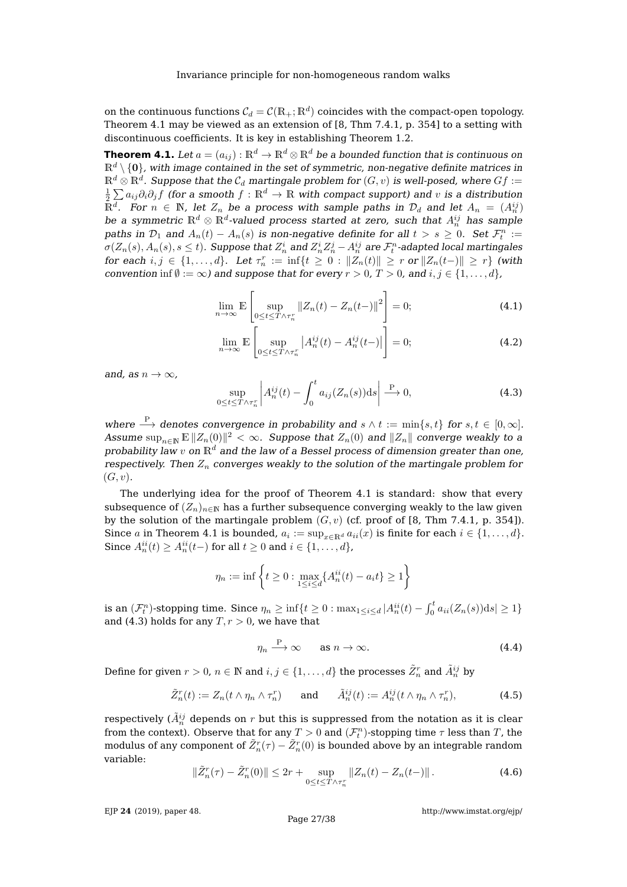on the continuous functions  $\mathcal{C}_d = \mathcal{C}(\mathbb{R}_+;\mathbb{R}^d)$  coincides with the compact-open topology. Theorem [4.1](#page-27-0) may be viewed as an extension of [\[8,](#page-37-2) Thm 7.4.1, p. 354] to a setting with discontinuous coefficients. It is key in establishing Theorem [1.2.](#page-3-1)

<span id="page-27-0"></span>**Theorem 4.1.** Let  $a = (a_{ij}) : \mathbb{R}^d \to \mathbb{R}^d \otimes \mathbb{R}^d$  be a bounded function that is continuous on  $\mathbb{R}^d \setminus \{0\}$ , with image contained in the set of symmetric, non-negative definite matrices in  $\mathbb{R}^d\otimes\mathbb{R}^d$  . Suppose that the  $\mathcal{C}_d$  martingale problem for  $(G,v)$  is well-posed, where  $Gf:=$  $\frac{1}{2}\sum a_{ij}\partial_i\partial_jf$  (for a smooth  $f:\mathbb{R}^d\to\mathbb{R}$  with compact support) and  $v$  is a distribution  $\tilde{\mathbb{R}}^d$ . For  $n \in \mathbb{N}$ , let  $Z_n$  be a process with sample paths in  $\mathcal{D}_d$  and let  $A_n \ = \ (A_n^{ij})$ be a symmetric  $\mathbb{R}^d\otimes\mathbb{R}^d$ -valued process started at zero, such that  $A_n^{ij}$  has sample paths in  $\mathcal{D}_1$  and  $A_n(t) - A_n(s)$  is non-negative definite for all  $t > s \geq 0$ . Set  $\mathcal{F}_t^n :=$  $\sigma(Z_n(s),A_n(s),s\leq t).$  Suppose that  $Z^i_n$  and  $Z^i_nZ^j_n-A^{ij}_n$  are  $\mathcal{F}^n_t$ -adapted local martingales for each  $i, j \in \{1, ..., d\}$ . Let  $\tau_n^r := \inf\{t \geq 0 : ||Z_n(t)|| \geq r \text{ or } ||Z_n(t-)|| \geq r\}$  (with convention inf  $\emptyset := \infty$ ) and suppose that for every  $r > 0$ ,  $T > 0$ , and  $i, j \in \{1, ..., d\}$ ,

$$
\lim_{n \to \infty} \mathbb{E} \left[ \sup_{0 \le t \le T \wedge \tau_n^r} \|Z_n(t) - Z_n(t-)\|^2 \right] = 0; \tag{4.1}
$$

<span id="page-27-3"></span><span id="page-27-2"></span>
$$
\lim_{n \to \infty} \mathbb{E} \left[ \sup_{0 \le t \le T \wedge \tau_n^r} \left| A_n^{ij}(t) - A_n^{ij}(t-) \right| \right] = 0; \tag{4.2}
$$

and, as  $n \to \infty$ ,

<span id="page-27-1"></span>
$$
\sup_{0 \le t \le T \wedge \tau_n^r} \left| A_n^{ij}(t) - \int_0^t a_{ij}(Z_n(s)) \mathrm{d}s \right| \stackrel{\text{P}}{\longrightarrow} 0,\tag{4.3}
$$

where  $\stackrel{\text{P}}{\longrightarrow}$  denotes convergence in probability and  $s \wedge t := \min\{s, t\}$  for  $s, t \in [0, \infty]$ . Assume  $\sup_{n\in \mathbb{N}}\mathbb{E}\, \|Z_n(0)\|^2<\infty.$  Suppose that  $Z_n(0)$  and  $\|Z_n\|$  converge weakly to a probability law  $v$  on  $\mathbb{R}^d$  and the law of a Bessel process of dimension greater than one, respectively. Then  $Z_n$  converges weakly to the solution of the martingale problem for  $(G, v).$ 

The underlying idea for the proof of Theorem [4.1](#page-27-0) is standard: show that every subsequence of  $(Z_n)_{n\in\mathbb{N}}$  has a further subsequence converging weakly to the law given by the solution of the martingale problem  $(G, v)$  (cf. proof of [\[8,](#page-37-2) Thm 7.4.1, p. 354]). Since a in Theorem [4.1](#page-27-0) is bounded,  $a_i := \sup_{x \in \mathbb{R}^d} a_{ii}(x)$  is finite for each  $i \in \{1, \ldots, d\}$ . Since  $A_n^{ii}(t) \geq A_n^{ii}(t-)$  for all  $t \geq 0$  and  $i \in \{1, \ldots, d\}$ ,

$$
\eta_n := \inf \left\{ t \ge 0 : \max_{1 \le i \le d} \{ A_n^{ii}(t) - a_i t \} \ge 1 \right\}
$$

is an  $(\mathcal{F}_t^n)$ -stopping time. Since  $\eta_n \geq \inf\{t \geq 0 : \max_{1 \leq i \leq d} |A_n^{ii}(t) - \int_0^t a_{ii}(Z_n(s)) \mathrm{d}s| \geq 1\}$ and [\(4.3\)](#page-27-1) holds for any  $T, r > 0$ , we have that

<span id="page-27-6"></span>
$$
\eta_n \xrightarrow{\mathcal{P}} \infty \qquad \text{as } n \to \infty. \tag{4.4}
$$

Define for given  $r > 0$ ,  $n \in \mathbb{N}$  and  $i, j \in \{1, ..., d\}$  the processes  $\tilde{Z}^r_n$  and  $\tilde{A}^{ij}_n$  by

<span id="page-27-5"></span>
$$
\tilde{Z}_n^r(t) := Z_n(t \wedge \eta_n \wedge \tau_n^r) \quad \text{and} \quad \tilde{A}_n^{ij}(t) := A_n^{ij}(t \wedge \eta_n \wedge \tau_n^r), \tag{4.5}
$$

respectively ( $\tilde{A}_n^{ij}$  depends on  $r$  but this is suppressed from the notation as it is clear from the context). Observe that for any  $T > 0$  and  $(\mathcal{F}_t^n)$ -stopping time  $\tau$  less than  $T$ , the modulus of any component of  $\tilde Z_n^r(\tau)-\tilde Z_n^r(0)$  is bounded above by an integrable random variable:

<span id="page-27-4"></span>
$$
\|\tilde{Z}_n^r(\tau) - \tilde{Z}_n^r(0)\| \le 2r + \sup_{0 \le t \le T \wedge \tau_n^r} \|Z_n(t) - Z_n(t-)\| \,. \tag{4.6}
$$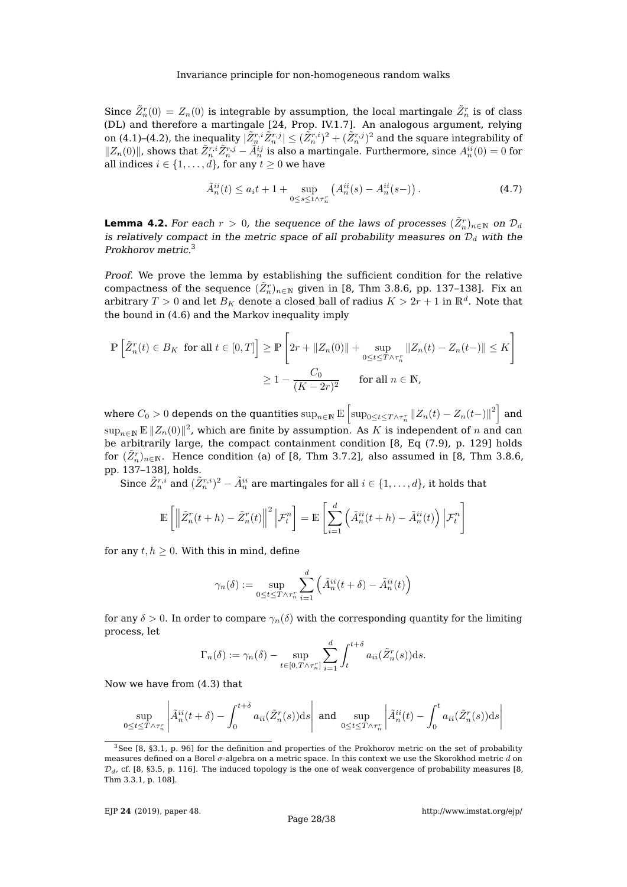Since  $\tilde{Z}_n^r(0) = Z_n(0)$  is integrable by assumption, the local martingale  $\tilde{Z}_n^r$  is of class (DL) and therefore a martingale [\[24,](#page-38-9) Prop. IV.1.7]. An analogous argument, relying on [\(4.1\)](#page-27-2)–[\(4.2\)](#page-27-3), the inequality  $|\tilde{Z}^{r,i}_n\tilde{Z}^{r,j}_n|\leq (\tilde{Z}^{r,i}_n)^2+(\tilde{Z}^{r,j}_n)^2$  and the square integrability of  $||Z_n(0)||$ , shows that  $\tilde{Z}_n^{r,i}\tilde{Z}_n^{r,j} - \tilde{A}_n^{ij}$  is also a martingale. Furthermore, since  $A_n^{ii}(0) = 0$  for all indices  $i \in \{1, ..., d\}$ , for any  $t \ge 0$  we have

<span id="page-28-1"></span>
$$
\tilde{A}_n^{ii}(t) \le a_i t + 1 + \sup_{0 \le s \le t \wedge \tau_n^r} \left( A_n^{ii}(s) - A_n^{ii}(s-) \right). \tag{4.7}
$$

<span id="page-28-2"></span>**Lemma 4.2.** For each  $r > 0$ , the sequence of the laws of processes  $(\tilde{Z}^r_n)_{n \in \mathbb{N}}$  on  $\mathcal{D}_d$ is relatively compact in the metric space of all probability measures on  $\mathcal{D}_d$  with the Prokhorov metric.[3](#page-28-0)

Proof. We prove the lemma by establishing the sufficient condition for the relative compactness of the sequence  $(\tilde{Z}_n^r)_{n\in\mathbb{N}}$  given in [\[8,](#page-37-2) Thm 3.8.6, pp. 137–138]. Fix an arbitrary  $T>0$  and let  $B_K$  denote a closed ball of radius  $K>2r+1$  in  $\mathbb{R}^d.$  Note that the bound in [\(4.6\)](#page-27-4) and the Markov inequality imply

$$
\mathbb{P}\left[\tilde{Z}_n^r(t) \in B_K \text{ for all } t \in [0, T]\right] \ge \mathbb{P}\left[2r + \|Z_n(0)\| + \sup_{0 \le t \le T \wedge \tau_n^r} \|Z_n(t) - Z_n(t-)\| \le K\right]
$$

$$
\ge 1 - \frac{C_0}{(K - 2r)^2} \qquad \text{for all } n \in \mathbb{N},
$$

where  $C_0>0$  depends on the quantities  $\sup_{n\in\mathbb N}\mathbb E\left[\sup_{0\leq t\leq T\wedge\tau_n^r}\|Z_n(t)-Z_n(t-)\|^2\right]$  and  $\sup_{n\in \mathbb{N}}\mathbb{E}\, \|Z_n(0)\|^2$ , which are finite by assumption. As  $K$  is independent of  $n$  and can be arbitrarily large, the compact containment condition [\[8,](#page-37-2) Eq (7.9), p. 129] holds for  $(\tilde Z_n^r)_{n\in \mathbb N}.$  Hence condition (a) of [\[8,](#page-37-2) Thm 3.7.2], also assumed in [8, Thm 3.8.6, pp. 137–138], holds.

Since  $\tilde{Z}^{r,i}_n$  and  $(\tilde{Z}^{r,i}_n)^2 - \tilde{A}^{ii}_n$  are martingales for all  $i \in \{1,\ldots,d\}$ , it holds that

$$
\mathbb{E}\left[\left\|\tilde{Z}_n^r(t+h) - \tilde{Z}_n^r(t)\right\|^2 \Big|\mathcal{F}_t^n\right] = \mathbb{E}\left[\sum_{i=1}^d \left(\tilde{A}_n^{ii}(t+h) - \tilde{A}_n^{ii}(t)\right) \Big|\mathcal{F}_t^n\right]
$$

for any  $t, h \geq 0$ . With this in mind, define

$$
\gamma_n(\delta) := \sup_{0 \le t \le T \wedge \tau_n^r} \sum_{i=1}^d \left( \tilde{A}_n^{ii}(t+\delta) - \tilde{A}_n^{ii}(t) \right)
$$

for any  $\delta > 0$ . In order to compare  $\gamma_n(\delta)$  with the corresponding quantity for the limiting process, let

$$
\Gamma_n(\delta) := \gamma_n(\delta) - \sup_{t \in [0, T \wedge \tau_n^r]} \sum_{i=1}^d \int_t^{t+\delta} a_{ii}(\tilde{Z}_n^r(s)) \mathrm{d} s.
$$

Now we have from [\(4.3\)](#page-27-1) that

$$
\sup_{0 \le t \le T \wedge \tau_n^r} \left| \tilde{A}_n^{ii}(t+\delta) - \int_0^{t+\delta} a_{ii}(\tilde{Z}_n^r(s)) \, ds \right| \text{ and } \sup_{0 \le t \le T \wedge \tau_n^r} \left| \tilde{A}_n^{ii}(t) - \int_0^t a_{ii}(\tilde{Z}_n^r(s)) \, ds \right|
$$

<span id="page-28-0"></span> $3$ See [\[8,](#page-37-2) §3.1, p. 96] for the definition and properties of the Prokhorov metric on the set of probability measures defined on a Borel  $\sigma$ -algebra on a metric space. In this context we use the Skorokhod metric d on  $\mathcal{D}_d$ , cf. [\[8,](#page-37-2) §3.5, p. 116]. The induced topology is the one of weak convergence of probability measures [8, Thm 3.3.1, p. 108].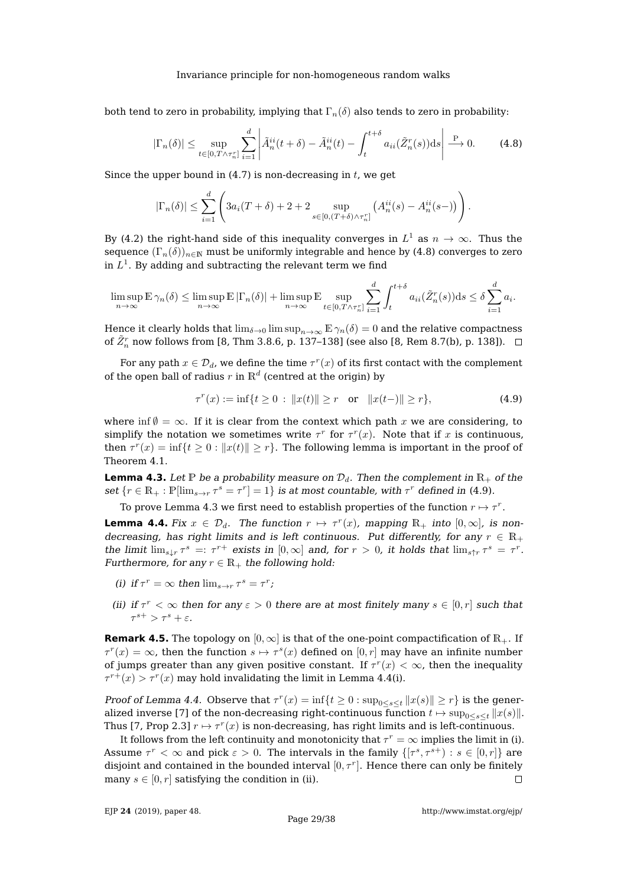both tend to zero in probability, implying that  $\Gamma_n(\delta)$  also tends to zero in probability:

<span id="page-29-1"></span>
$$
|\Gamma_n(\delta)| \le \sup_{t \in [0, T \wedge \tau_n^r]} \sum_{i=1}^d \left| \tilde{A}_n^{ii}(t+\delta) - \tilde{A}_n^{ii}(t) - \int_t^{t+\delta} a_{ii}(\tilde{Z}_n^r(s)) \mathrm{d}s \right| \xrightarrow{\mathrm{P}} 0. \tag{4.8}
$$

Since the upper bound in  $(4.7)$  is non-decreasing in t, we get

$$
|\Gamma_n(\delta)| \leq \sum_{i=1}^d \left(3a_i(T+\delta)+2+2\sup_{s\in[0,(T+\delta)\wedge\tau_n^r]} \left(A_n^{ii}(s)-A_n^{ii}(s-)\right)\right).
$$

By [\(4.2\)](#page-27-3) the right-hand side of this inequality converges in  $L^1$  as  $n\to\infty.$  Thus the sequence  $(\Gamma_n(\delta))_{n\in\mathbb{N}}$  must be uniformly integrable and hence by [\(4.8\)](#page-29-1) converges to zero in  $L^1.$  By adding and subtracting the relevant term we find

$$
\limsup_{n \to \infty} \mathbb{E} \gamma_n(\delta) \le \limsup_{n \to \infty} \mathbb{E} |\Gamma_n(\delta)| + \limsup_{n \to \infty} \mathbb{E} \sup_{t \in [0, T \wedge \tau_n^r]} \sum_{i=1}^d \int_t^{t+\delta} a_{ii}(\tilde{Z}_n^r(s)) ds \le \delta \sum_{i=1}^d a_i.
$$

Hence it clearly holds that  $\lim_{\delta\to 0} \limsup_{n\to\infty} \mathbb{E} \gamma_n(\delta) = 0$  and the relative compactness of  $\tilde{Z}_n^r$  now follows from [\[8,](#page-37-2) Thm 3.8.6, p. 137–138] (see also [8, Rem 8.7(b), p. 138]).

For any path  $x \in \mathcal{D}_d$ , we define the time  $\tau^r(x)$  of its first contact with the complement of the open ball of radius  $r$  in  $\mathbb{R}^d$  (centred at the origin) by

<span id="page-29-0"></span>
$$
\tau^r(x) := \inf\{t \ge 0 \, : \, \|x(t)\| \ge r \quad \text{or} \quad \|x(t-)\| \ge r\},\tag{4.9}
$$

where inf  $\emptyset = \infty$ . If it is clear from the context which path x we are considering, to simplify the notation we sometimes write  $\tau^r$  for  $\tau^r(x)$ . Note that if x is continuous, then  $\tau^r(x) = \inf\{t \geq 0 : ||x(t)|| \geq r\}$ . The following lemma is important in the proof of Theorem [4.1.](#page-27-0)

<span id="page-29-2"></span>**Lemma 4.3.** Let P be a probability measure on  $\mathcal{D}_d$ . Then the complement in  $\mathbb{R}_+$  of the set  $\{r \in \mathbb{R}_+ : \mathbb{P}[\lim_{s \to r} \tau^s = \tau^r] = 1\}$  is at most countable, with  $\tau^r$  defined in [\(4.9\)](#page-29-0).

To prove Lemma [4.3](#page-29-2) we first need to establish properties of the function  $r\mapsto \tau^r.$ 

<span id="page-29-3"></span>**Lemma 4.4.** Fix  $x \in \mathcal{D}_d$ . The function  $r \mapsto \tau^r(x)$ , mapping  $\mathbb{R}_+$  into  $[0, \infty]$ , is nondecreasing, has right limits and is left continuous. Put differently, for any  $r \in \mathbb{R}_+$ the limit  $\lim_{s \downarrow r} \tau^s =: \tau^{r+}$  exists in  $[0, \infty]$  and, for  $r > 0$ , it holds that  $\lim_{s \uparrow r} \tau^s = \tau^r$ . Furthermore, for any  $r \in \mathbb{R}_+$  the following hold:

- (i) if  $\tau^r = \infty$  then  $\lim_{s \to r} \tau^s = \tau^r$ ;
- (ii) if  $\tau^r < \infty$  then for any  $\varepsilon > 0$  there are at most finitely many  $s \in [0, r]$  such that  $\tau^{s+} > \tau^s + \varepsilon.$

**Remark 4.5.** The topology on  $[0, \infty]$  is that of the one-point compactification of  $\mathbb{R}_+$ . If  $\tau^r(x)=\infty$ , then the function  $s\mapsto \tau^s(x)$  defined on  $[0,r]$  may have an infinite number of jumps greater than any given positive constant. If  $\tau^r(x) < \infty$ , then the inequality  $\tau^{r+}(x) > \tau^{r}(x)$  may hold invalidating the limit in Lemma [4.4\(](#page-29-3)i).

Proof of Lemma [4.4.](#page-29-3) Observe that  $\tau^r(x) = \inf\{t \geq 0 : \sup_{0 \leq s \leq t} ||x(s)|| \geq r\}$  is the gener-alized inverse [\[7\]](#page-37-13) of the non-decreasing right-continuous function  $t \mapsto \sup_{0 \le s \le t} ||x(s)||$ . Thus [\[7,](#page-37-13) Prop 2.3]  $r \mapsto \tau^r(x)$  is non-decreasing, has right limits and is left-continuous.

It follows from the left continuity and monotonicity that  $\tau^r = \infty$  implies the limit in (i). Assume  $\tau^r < \infty$  and pick  $\varepsilon > 0$ . The intervals in the family  $\{[\tau^s, \tau^{s+}) : s \in [0, r]\}$  are disjoint and contained in the bounded interval  $[0, \tau^r]$ . Hence there can only be finitely many  $s \in [0, r]$  satisfying the condition in (ii).  $\Box$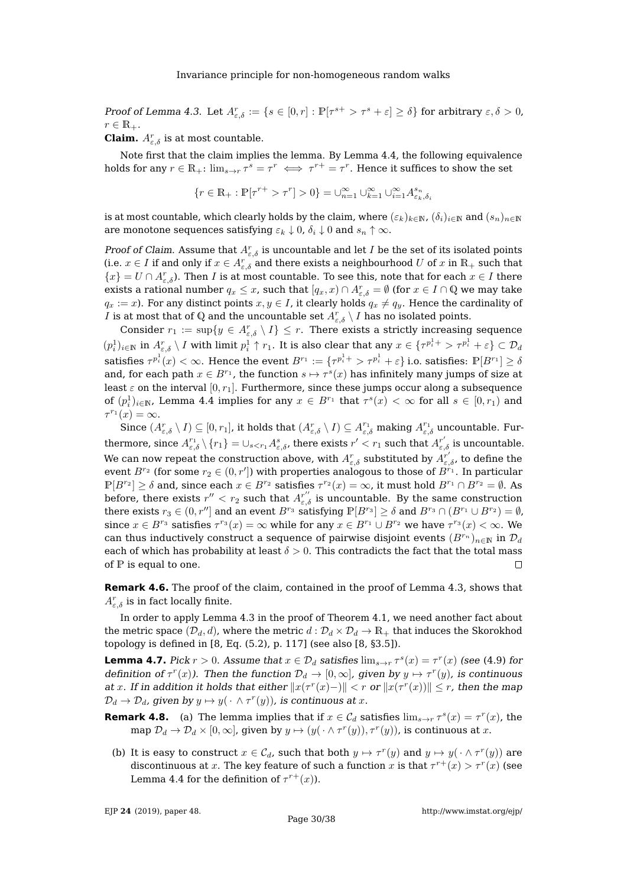Proof of Lemma [4.3.](#page-29-2) Let  $A_{\varepsilon,\delta}^r:=\{s\in[0,r]: \mathbb{P}[\tau^{s+}> \tau^s+\varepsilon]\geq \delta\}$  for arbitrary  $\varepsilon,\delta>0$ ,  $r \in \mathbb{R}_+$ .

**Claim.**  $A_{\varepsilon,\delta}^r$  is at most countable.

Note first that the claim implies the lemma. By Lemma [4.4,](#page-29-3) the following equivalence holds for any  $r \in \mathbb{R}_+$ :  $\lim_{s \to r} \tau^s = \tau^r \iff \tau^{r+} = \tau^r$ . Hence it suffices to show the set

$$
\{r\in\mathbb{R}_+: \mathbb{P}[\tau^{r+}> \tau^r]>0\}=\cup_{n=1}^\infty\cup_{k=1}^\infty\cup_{i=1}^\infty A^{s_n}_{\varepsilon_k,\delta_i}
$$

is at most countable, which clearly holds by the claim, where  $(\varepsilon_k)_{k\in\mathbb{N}}$ ,  $(\delta_i)_{i\in\mathbb{N}}$  and  $(s_n)_{n\in\mathbb{N}}$ are monotone sequences satisfying  $\varepsilon_k \downarrow 0$ ,  $\delta_i \downarrow 0$  and  $s_n \uparrow \infty$ .

Proof of Claim. Assume that  $A_{\varepsilon,\delta}^r$  is uncountable and let I be the set of its isolated points (i.e.  $x \in I$  if and only if  $x \in A_{\varepsilon,\delta}^r$  and there exists a neighbourhood U of x in  $\mathbb{R}_+$  such that  $\{x\} = U \cap A_{\varepsilon,\delta}^r$ ). Then I is at most countable. To see this, note that for each  $x \in I$  there exists a rational number  $q_x \leq x$ , such that  $[q_x, x] \cap A_{\varepsilon,\delta}^r = \emptyset$  (for  $x \in I \cap \mathbb{Q}$  we may take  $q_x := x$ ). For any distinct points  $x, y \in I$ , it clearly holds  $q_x \neq q_y$ . Hence the cardinality of I is at most that of Q and the uncountable set  $A^r_{\varepsilon,\delta} \setminus I$  has no isolated points.

Consider  $r_1 := \sup\{y \in A_{\varepsilon,\delta}^r \setminus I\} \leq r$ . There exists a strictly increasing sequence  $(p_i^1)_{i\in \mathbb N}$  in  $A^r_{\varepsilon, \delta} \setminus I$  with limit  $p_i^1\uparrow r_1.$  It is also clear that any  $x\in \{\tau^{p_i^1+}>\tau^{p_i^1}+\varepsilon\}\subset \mathcal{D}_d$ satisfies  $\tau^{p^1_i}(x)<\infty.$  Hence the event  $B^{r_1}:=\{\tau^{p^1_i+}>\tau^{p^1_i}+\varepsilon\}$  i.o. satisfies:  $\mathbb{P}[B^{r_1}]\geq \delta$ and, for each path  $x \in B^{r_1}$ , the function  $s \mapsto \tau^s(x)$  has infinitely many jumps of size at least  $\varepsilon$  on the interval  $[0, r_1]$ . Furthermore, since these jumps occur along a subsequence of  $(p_i^1)_{i\in\mathbb{N}}$ , Lemma [4.4](#page-29-3) implies for any  $x\in B^{r_1}$  that  $\tau^s(x)<\infty$  for all  $s\in[0,r_1)$  and  $\tau^{r_1}(x) = \infty.$ 

Since  $(A_{\varepsilon,\delta}^r \setminus I) \subseteq [0,r_1]$ , it holds that  $(A_{\varepsilon,\delta}^r \setminus I) \subseteq A_{\varepsilon,\delta}^{r_1}$  making  $A_{\varepsilon,\delta}^{r_1}$  uncountable. Furthermore, since  $A_{\varepsilon,\delta}^{r_1}\setminus \{r_1\}=\cup_{s, there exists  $r'< r_1$  such that  $A_{\varepsilon,\delta}^{r'}$  is uncountable.$ We can now repeat the construction above, with  $A^r_{\varepsilon,\delta}$  substituted by  $A^{r'}_{\varepsilon,\delta}$ , to define the event  $B^{r_2}$  (for some  $r_2\in (0,r']$ ) with properties analogous to those of  $B^{r_1}.$  In particular  $\mathbb{P}[B^{r_2}] \ge \delta$  and, since each  $x \in B^{r_2}$  satisfies  $\tau^{r_2}(x) = \infty$ , it must hold  $B^{r_1} \cap B^{r_2} = \emptyset$ . As before, there exists  $r'' < r_2$  such that  $A^{r''}_{\varepsilon,\delta}$  is uncountable. By the same construction there exists  $r_3 \in (0, r'']$  and an event  $B^{r_3}$  satisfying  $\mathbb{P}[B^{r_3}] \ge \delta$  and  $B^{r_3} \cap (B^{r_1} \cup B^{r_2}) = \emptyset$ , since  $x \in B^{r_3}$  satisfies  $\tau^{r_3}(x) = \infty$  while for any  $x \in B^{r_1} \cup B^{r_2}$  we have  $\tau^{r_3}(x) < \infty$ . We can thus inductively construct a sequence of pairwise disjoint events  $(B^{r_n})_{n\in\mathbb{N}}$  in  $\mathcal{D}_d$ each of which has probability at least  $\delta > 0$ . This contradicts the fact that the total mass of  $P$  is equal to one.  $\Box$ 

**Remark 4.6.** The proof of the claim, contained in the proof of Lemma [4.3,](#page-29-2) shows that  $A^r_{\varepsilon,\delta}$  is in fact locally finite.

In order to apply Lemma [4.3](#page-29-2) in the proof of Theorem [4.1,](#page-27-0) we need another fact about the metric space  $(\mathcal{D}_d, d)$ , where the metric  $d : \mathcal{D}_d \times \mathcal{D}_d \to \mathbb{R}_+$  that induces the Skorokhod topology is defined in [\[8,](#page-37-2) Eq. (5.2), p. 117] (see also [\[8,](#page-37-2) §3.5]).

<span id="page-30-0"></span>**Lemma 4.7.** Pick  $r > 0$ . Assume that  $x \in \mathcal{D}_d$  satisfies  $\lim_{s \to r} \tau^s(x) = \tau^r(x)$  (see [\(4.9\)](#page-29-0) for definition of  $\tau^r(x)$ ). Then the function  $\mathcal{D}_d \to [0,\infty]$ , given by  $y \mapsto \tau^r(y)$ , is continuous at x. If in addition it holds that either  $||x(\tau^r(x)-)|| < r$  or  $||x(\tau^r(x))|| \leq r$ , then the map  $\mathcal{D}_d \to \mathcal{D}_d$ , given by  $y \mapsto y(\cdot \wedge \tau^r(y))$ , is continuous at  $x$ .

- **Remark 4.8.** (a) The lemma implies that if  $x \in C_d$  satisfies  $\lim_{s \to r} \tau^s(x) = \tau^r(x)$ , the map  $\mathcal{D}_d \to \mathcal{D}_d \times [0,\infty]$ , given by  $y \mapsto (y(\cdot \wedge \tau^r(y)), \tau^r(y))$ , is continuous at  $x$ .
- (b) It is easy to construct  $x \in \mathcal{C}_d$ , such that both  $y \mapsto \tau^r(y)$  and  $y \mapsto y(\cdot \wedge \tau^r(y))$  are discontinuous at x. The key feature of such a function x is that  $\tau^{r+}(x) > \tau^{r}(x)$  (see Lemma [4.4](#page-29-3) for the definition of  $\tau^{r+}(x)$ ).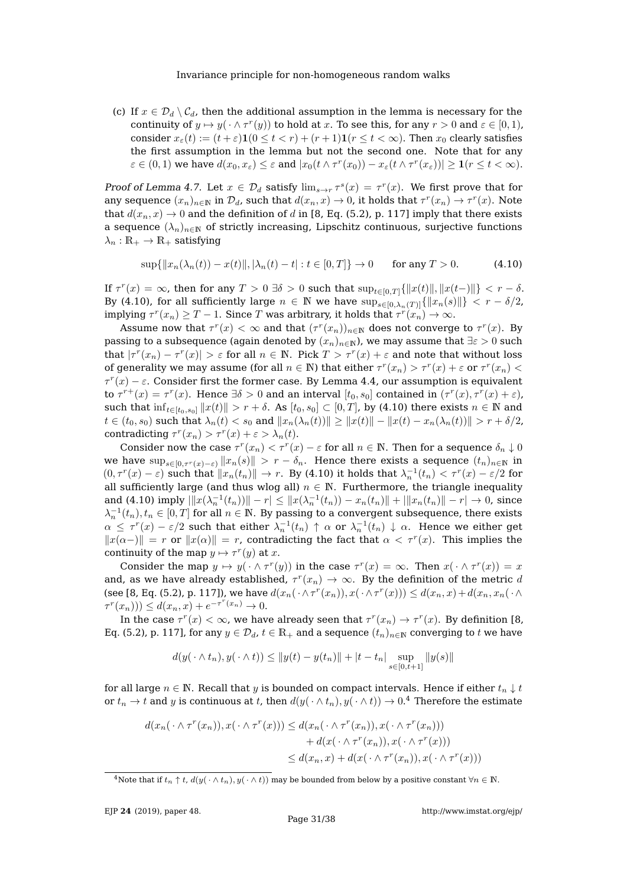(c) If  $x \in \mathcal{D}_d \setminus \mathcal{C}_d$ , then the additional assumption in the lemma is necessary for the continuity of  $y \mapsto y(\cdot \wedge \tau^r(y))$  to hold at x. To see this, for any  $r > 0$  and  $\varepsilon \in [0, 1)$ , consider  $x_{\varepsilon}(t) := (t + \varepsilon) \mathbf{1}(0 \le t < r) + (r + 1)\mathbf{1}(r \le t < \infty)$ . Then  $x_0$  clearly satisfies the first assumption in the lemma but not the second one. Note that for any  $\varepsilon \in (0,1)$  we have  $d(x_0, x_\varepsilon) \leq \varepsilon$  and  $|x_0(t \wedge \tau^r(x_0)) - x_\varepsilon(t \wedge \tau^r(x_\varepsilon))| \geq \mathbf{1}(r \leq t < \infty)$ .

Proof of Lemma [4.7.](#page-30-0) Let  $x \in \mathcal{D}_d$  satisfy  $\lim_{s \to r} \tau^s(x) = \tau^r(x)$ . We first prove that for any sequence  $(x_n)_{n\in\mathbb{N}}$  in  $\mathcal{D}_d$ , such that  $d(x_n, x) \to 0$ , it holds that  $\tau^r(x_n) \to \tau^r(x)$ . Note that  $d(x_n, x) \to 0$  and the definition of d in [\[8,](#page-37-2) Eq. (5.2), p. 117] imply that there exists a sequence  $(\lambda_n)_{n\in\mathbb{N}}$  of strictly increasing, Lipschitz continuous, surjective functions  $\lambda_n:\mathbb{R}_+\to\mathbb{R}_+$  satisfying

<span id="page-31-0"></span>
$$
\sup\{\|x_n(\lambda_n(t)) - x(t)\|, |\lambda_n(t) - t| : t \in [0, T]\} \to 0 \quad \text{for any } T > 0.
$$
 (4.10)

If  $\tau^r(x) = \infty$ , then for any  $T > 0$   $\exists \delta > 0$  such that  $\sup_{t \in [0,T]} \{ ||x(t)||, ||x(t-)|| \} < r - \delta$ . By [\(4.10\)](#page-31-0), for all sufficiently large  $n \in \mathbb{N}$  we have  $\sup_{s \in [0, \lambda_n(T)]} {\|x_n(s)\|} < r - \delta/2$ , implying  $\tau^r(x_n)\geq T-1.$  Since  $T$  was arbitrary, it holds that  $\tau^r(x_n)\rightarrow\infty.$ 

Assume now that  $\tau^r(x) < \infty$  and that  $(\tau^r(x_n))_{n \in \mathbb{N}}$  does not converge to  $\tau^r(x)$ . By passing to a subsequence (again denoted by  $(x_n)_{n\in\mathbb{N}}$ ), we may assume that  $\exists \varepsilon > 0$  such that  $|\tau^r(x_n) - \tau^r(x)| > \varepsilon$  for all  $n \in \mathbb{N}$ . Pick  $T > \tau^r(x) + \varepsilon$  and note that without loss of generality we may assume (for all  $n \in \mathbb{N}$ ) that either  $\tau^r(x_n) > \tau^r(x) + \varepsilon$  or  $\tau^r(x_n) <$  $τ<sup>r</sup>(x) - ε$ . Consider first the former case. By Lemma [4.4,](#page-29-3) our assumption is equivalent to  $\tau^{r+}(x) = \tau^r(x)$ . Hence  $\exists \delta > 0$  and an interval  $[t_0, s_0]$  contained in  $(\tau^r(x), \tau^r(x) + \varepsilon)$ , such that  $\inf_{t\in[t_0,s_0]}\|x(t)\| > r + \delta$ . As  $[t_0,s_0] \subset [0,T]$ , by [\(4.10\)](#page-31-0) there exists  $n \in \mathbb{N}$  and  $t \in (t_0, s_0)$  such that  $\lambda_n(t) < s_0$  and  $||x_n(\lambda_n(t))|| \geq ||x(t)|| - ||x(t) - x_n(\lambda_n(t))|| > r + \delta/2$ , contradicting  $\tau^r(x_n) > \tau^r(x) + \varepsilon > \lambda_n(t)$ .

Consider now the case  $\tau^r(x_n) < \tau^r(x) - \varepsilon$  for all  $n \in \mathbb{N}$ . Then for a sequence  $\delta_n \downarrow 0$ we have  $\sup_{s\in[0,\tau^r(x)-\varepsilon)}||x_n(s)|| > r - \delta_n$ . Hence there exists a sequence  $(t_n)_{n\in\mathbb{N}}$  in  $(0, \tau^r(x) - \varepsilon)$  such that  $||x_n(t_n)|| \to r$ . By [\(4.10\)](#page-31-0) it holds that  $\lambda_n^{-1}(t_n) < \tau^r(x) - \varepsilon/2$  for all sufficiently large (and thus wlog all)  $n \in \mathbb{N}$ . Furthermore, the triangle inequality and [\(4.10\)](#page-31-0) imply  $\|x(\lambda_n^{-1}(t_n))\| - r \| \leq \|x(\lambda_n^{-1}(t_n)) - x_n(t_n)\| + \|x_n(t_n)\| - r \| \to 0$ , since  $\lambda_n^{-1}(t_n), t_n \in [0,T]$  for all  $n \in \mathbb{N}$ . By passing to a convergent subsequence, there exists  $\alpha \leq \tau^r(x) - \varepsilon/2$  such that either  $\lambda_n^{-1}(t_n) \, \uparrow \, \alpha$  or  $\lambda_n^{-1}(t_n) \, \downarrow \, \alpha$ . Hence we either get  $||x(\alpha-)|| = r$  or  $||x(\alpha)|| = r$ , contradicting the fact that  $\alpha < \tau^r(x)$ . This implies the continuity of the map  $y \mapsto \tau^r(y)$  at x.

Consider the map  $y \mapsto y(\cdot \wedge \tau^r(y))$  in the case  $\tau^r(x) = \infty$ . Then  $x(\cdot \wedge \tau^r(x)) = x$ and, as we have already established,  $\tau^r(x_n) \to \infty$ . By the definition of the metric d (see [\[8,](#page-37-2) Eq. (5.2), p. 117]), we have  $d(x_n(\cdot \wedge \tau^r(x_n)), x(\cdot \wedge \tau^r(x))) \leq d(x_n, x) + d(x_n, x_n(\cdot \wedge$  $\tau^{r}(x_{n}))) \leq d(x_{n}, x) + e^{-\tau^{r}(x_{n})} \to 0.$ 

In the case  $\tau^r(x)<\infty$ , we have already seen that  $\tau^r(x_n)\rightarrow \tau^r(x)$ . By definition [\[8,](#page-37-2) Eq. (5.2), p. 117], for any  $y \in \mathcal{D}_d$ ,  $t \in \mathbb{R}_+$  and a sequence  $(t_n)_{n \in \mathbb{N}}$  converging to t we have

$$
d(y(\cdot \wedge t_n), y(\cdot \wedge t)) \le ||y(t) - y(t_n)|| + |t - t_n| \sup_{s \in [0, t+1]} ||y(s)||
$$

for all large  $n \in \mathbb{N}$ . Recall that y is bounded on compact intervals. Hence if either  $t_n \downarrow t$ or  $t_n\to t$  and  $y$  is continuous at  $t$ , then  $d(y(\,\cdot\wedge t_n),y(\,\cdot\wedge t))\to 0.^4$  $d(y(\,\cdot\wedge t_n),y(\,\cdot\wedge t))\to 0.^4$  Therefore the estimate

$$
d(x_n(\cdot \wedge \tau^r(x_n)), x(\cdot \wedge \tau^r(x))) \leq d(x_n(\cdot \wedge \tau^r(x_n)), x(\cdot \wedge \tau^r(x_n)))
$$
  
+ 
$$
d(x(\cdot \wedge \tau^r(x_n)), x(\cdot \wedge \tau^r(x)))
$$
  

$$
\leq d(x_n, x) + d(x(\cdot \wedge \tau^r(x_n)), x(\cdot \wedge \tau^r(x)))
$$

<span id="page-31-1"></span><sup>&</sup>lt;sup>4</sup>Note that if  $t_n \uparrow t$ ,  $d(y(\cdot \wedge t_n), y(\cdot \wedge t))$  may be bounded from below by a positive constant  $\forall n \in \mathbb{N}$ .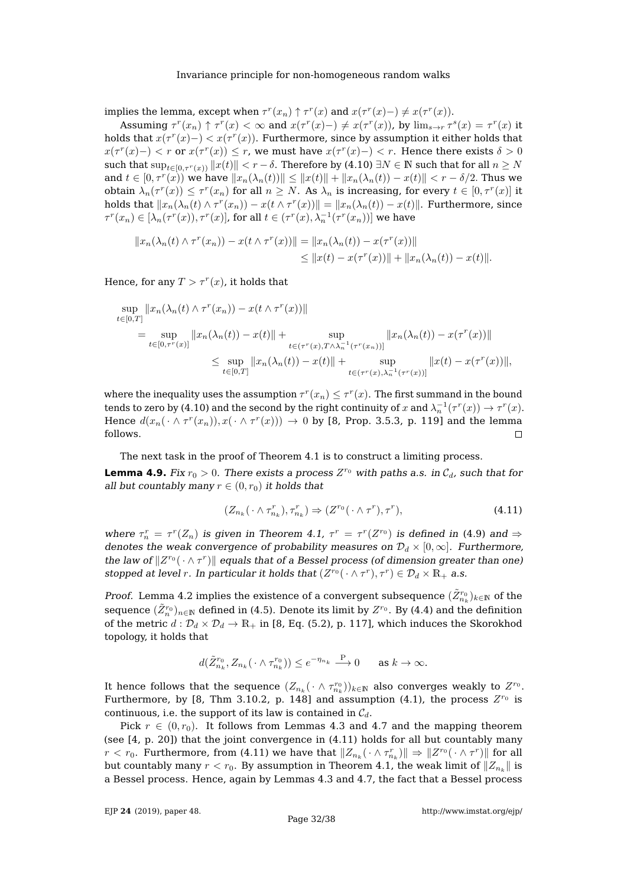implies the lemma, except when  $\tau^r(x_n) \uparrow \tau^r(x)$  and  $x(\tau^r(x) - ) \neq x(\tau^r(x))$ .

Assuming  $\tau^r(x_n) \uparrow \tau^r(x) < \infty$  and  $x(\tau^r(x) -) \neq x(\tau^r(x))$ , by  $\lim_{s \to r} \tau^s(x) = \tau^r(x)$  it holds that  $x(\tau^r(x)-) < x(\tau^r(x))$ . Furthermore, since by assumption it either holds that  $x(\tau^r(x)-) < r$  or  $x(\tau^r(x)) \leq r$ , we must have  $x(\tau^r(x)-) < r$ . Hence there exists  $\delta > 0$ such that  $\sup_{t\in[0,\tau^r(x))}||x(t)|| < r - \delta$ . Therefore by [\(4.10\)](#page-31-0)  $\exists N \in \mathbb{N}$  such that for all  $n \geq N$ and  $t\in [0,\tau^r(x))$  we have  $\|x_n(\lambda_n(t))\|\leq \|x(t)\|+\|x_n(\lambda_n(t))-x(t)\| < r-\delta/2.$  Thus we obtain  $\lambda_n(\tau^r(x)) \leq \tau^r(x_n)$  for all  $n \geq N$ . As  $\lambda_n$  is increasing, for every  $t \in [0, \tau^r(x)]$  it holds that  $||x_n(\lambda_n(t) \wedge \tau^r(x_n)) - x(t \wedge \tau^r(x))|| = ||x_n(\lambda_n(t)) - x(t)||$ . Furthermore, since  $\tau^r(x_n) \in [\lambda_n(\tau^r(x)), \tau^r(x)]$ , for all  $t \in (\tau^r(x), \lambda_n^{-1}(\tau^r(x_n))]$  we have

$$
||x_n(\lambda_n(t) \wedge \tau^r(x_n)) - x(t \wedge \tau^r(x))|| = ||x_n(\lambda_n(t)) - x(\tau^r(x))||
$$
  

$$
\le ||x(t) - x(\tau^r(x))|| + ||x_n(\lambda_n(t)) - x(t)||.
$$

Hence, for any  $T > \tau^r(x)$ , it holds that

$$
\sup_{t \in [0,T]} \|x_n(\lambda_n(t) \wedge \tau^r(x_n)) - x(t \wedge \tau^r(x))\|
$$
\n
$$
= \sup_{t \in [0,\tau^r(x)]} \|x_n(\lambda_n(t)) - x(t)\| + \sup_{t \in (\tau^r(x), T \wedge \lambda_n^{-1}(\tau^r(x_n)))} \|x_n(\lambda_n(t)) - x(\tau^r(x))\|
$$
\n
$$
\leq \sup_{t \in [0,T]} \|x_n(\lambda_n(t)) - x(t)\| + \sup_{t \in (\tau^r(x), \lambda_n^{-1}(\tau^r(x)))} \|x(t) - x(\tau^r(x))\|,
$$

where the inequality uses the assumption  $\tau^r(x_n) \leq \tau^r(x).$  The first summand in the bound tends to zero by [\(4.10\)](#page-31-0) and the second by the right continuity of  $x$  and  $\lambda_n^{-1}(\tau^r(x)) \to \tau^r(x)$ . Hence  $d(x_n(\cdot \wedge \tau^r(x_n)), x(\cdot \wedge \tau^r(x))) \rightarrow 0$  by [\[8,](#page-37-2) Prop. 3.5.3, p. 119] and the lemma follows.  $\Box$ 

The next task in the proof of Theorem [4.1](#page-27-0) is to construct a limiting process.

<span id="page-32-1"></span>**Lemma 4.9.** Fix  $r_0 > 0$ . There exists a process  $Z^{r_0}$  with paths a.s. in  $C_d$ , such that for all but countably many  $r \in (0, r_0)$  it holds that

<span id="page-32-0"></span>
$$
(Z_{n_k}(\cdot \wedge \tau_{n_k}^r), \tau_{n_k}^r) \Rightarrow (Z^{r_0}(\cdot \wedge \tau^r), \tau^r), \tag{4.11}
$$

where  $\tau_n^r = \tau^r(Z_n)$  is given in Theorem [4.1,](#page-27-0)  $\tau^r = \tau^r(Z^{r_0})$  is defined in [\(4.9\)](#page-29-0) and  $\Rightarrow$ denotes the weak convergence of probability measures on  $\mathcal{D}_d \times [0,\infty]$ . Furthermore, the law of  $\|Z^{r_0}(\cdot \wedge \tau^r)\|$  equals that of a Bessel process (of dimension greater than one) stopped at level r. In particular it holds that  $(Z^{r_0}(\cdot \wedge \tau^r), \tau^r) \in \mathcal{D}_d \times \mathbb{R}_+$  a.s.

*Proof.* Lemma [4.2](#page-28-2) implies the existence of a convergent subsequence  $(\tilde{Z}^{r_0}_{n_k})_{k\in\mathbb{N}}$  of the sequence  $(\tilde Z_n^{r_0})_{n\in \mathbb N}$  defined in [\(4.5\)](#page-27-5). Denote its limit by  $Z^{r_0}.$  By [\(4.4\)](#page-27-6) and the definition of the metric  $d: \mathcal{D}_d \times \mathcal{D}_d \to \mathbb{R}_+$  in [\[8,](#page-37-2) Eq. (5.2), p. 117], which induces the Skorokhod topology, it holds that

$$
d(\tilde{Z}_{n_k}^{r_0},Z_{n_k}(\,\cdot\wedge\tau_{n_k}^{r_0}))\leq e^{-\eta_{n_k}}\stackrel{\mathbf{P}}{\longrightarrow} 0\qquad\text{as }k\to\infty.
$$

It hence follows that the sequence  $(Z_{n_k}(\cdot \wedge \tau_{n_k}^{r_0}))_{k \in \mathbb{N}}$  also converges weakly to  $Z^{r_0}$ . Furthermore, by [\[8,](#page-37-2) Thm 3.10.2, p. 148] and assumption [\(4.1\)](#page-27-2), the process  $Z^{r_0}$  is continuous, i.e. the support of its law is contained in  $C_d$ .

Pick  $r \in (0, r_0)$ . It follows from Lemmas [4.3](#page-29-2) and [4.7](#page-30-0) and the mapping theorem (see [\[4,](#page-37-8) p. 20]) that the joint convergence in [\(4.11\)](#page-32-0) holds for all but countably many  $r < r_0$ . Furthermore, from [\(4.11\)](#page-32-0) we have that  $\|Z_{n_k}(\,\cdot\wedge \tau_{n_k}^r)\| \Rightarrow \|Z^{r_0}(\,\cdot\wedge \tau^r)\|$  for all but countably many  $r < r_0.$  By assumption in Theorem [4.1,](#page-27-0) the weak limit of  $\|Z_{n_k}\|$  is a Bessel process. Hence, again by Lemmas [4.3](#page-29-2) and [4.7,](#page-30-0) the fact that a Bessel process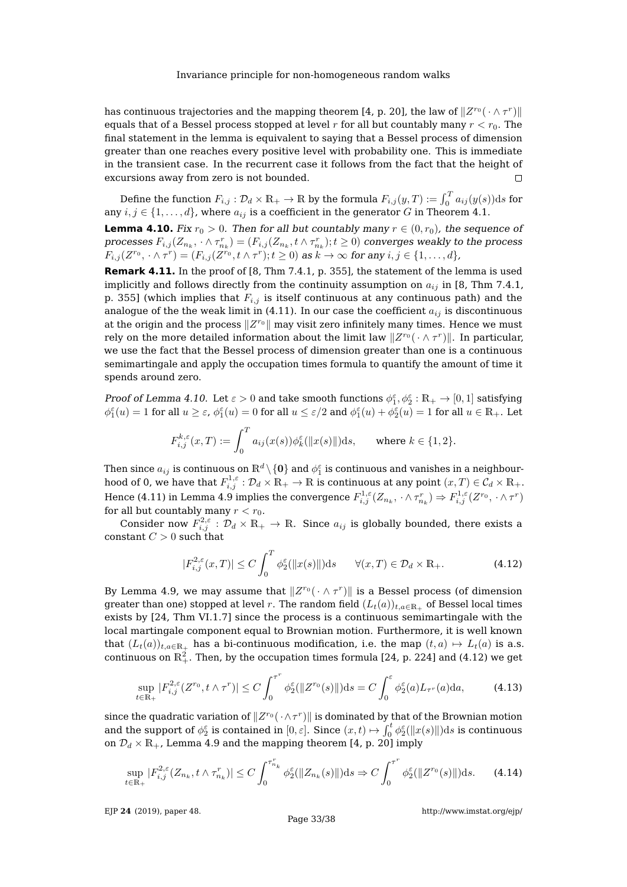has continuous trajectories and the mapping theorem [\[4,](#page-37-8) p. 20], the law of  $\|Z^{r_0}(\,\cdot\wedge \tau^r)\|$ equals that of a Bessel process stopped at level r for all but countably many  $r < r_0$ . The final statement in the lemma is equivalent to saying that a Bessel process of dimension greater than one reaches every positive level with probability one. This is immediate in the transient case. In the recurrent case it follows from the fact that the height of excursions away from zero is not bounded.  $\Box$ 

Define the function  $F_{i,j}:\mathcal{D}_d\times\mathbb{R}_+\to\mathbb{R}$  by the formula  $F_{i,j}(y,T):=\int_0^Ta_{ij}(y(s))\mathrm{d}s$  for any  $i, j \in \{1, \ldots, d\}$ , where  $a_{ij}$  is a coefficient in the generator  $G$  in Theorem [4.1.](#page-27-0)

<span id="page-33-0"></span>**Lemma 4.10.** Fix  $r_0 > 0$ . Then for all but countably many  $r \in (0, r_0)$ , the sequence of processes  $F_{i,j}(Z_{n_k},\,\cdot\wedge \tau^r_{n_k})=(F_{i,j}(Z_{n_k},t\wedge \tau^r_{n_k});t\geq 0)$  converges weakly to the process  $F_{i,j}(Z^{r_0},\cdot \wedge \tau^r)=(F_{i,j}(Z^{r_0},t\wedge \tau^r);t\geq 0)$  as  $k\rightarrow \infty$  for any  $i,j\in \{1,\ldots, d\}$ ,

**Remark 4.11.** In the proof of [\[8,](#page-37-2) Thm 7.4.1, p. 355], the statement of the lemma is used implicitly and follows directly from the continuity assumption on  $a_{ij}$  in [\[8,](#page-37-2) Thm 7.4.1, p. 355] (which implies that  $F_{i,j}$  is itself continuous at any continuous path) and the analogue of the the weak limit in [\(4.11\)](#page-32-0). In our case the coefficient  $a_{ij}$  is discontinuous at the origin and the process  $\|Z^{r_0}\|$  may visit zero infinitely many times. Hence we must rely on the more detailed information about the limit law  $\|Z^{r_0}(\,\cdot\wedge \tau^r)\|.$  In particular, we use the fact that the Bessel process of dimension greater than one is a continuous semimartingale and apply the occupation times formula to quantify the amount of time it spends around zero.

Proof of Lemma [4.10.](#page-33-0) Let  $\varepsilon > 0$  and take smooth functions  $\phi_1^{\varepsilon}, \phi_2^{\varepsilon} : \mathbb{R}_+ \to [0,1]$  satisfying  $\phi_1^{\varepsilon}(u) = 1$  for all  $u \geq \varepsilon$ ,  $\phi_1^{\varepsilon}(u) = 0$  for all  $u \leq \varepsilon/2$  and  $\phi_1^{\varepsilon}(u) + \phi_2^{\varepsilon}(u) = 1$  for all  $u \in \mathbb{R}_+$ . Let

$$
F_{i,j}^{k,\varepsilon}(x,T) := \int_0^T a_{ij}(x(s))\phi_k^{\varepsilon}(\|x(s)\|)ds, \quad \text{where } k \in \{1,2\}.
$$

Then since  $a_{ij}$  is continuous on  $\mathbb{R}^d\backslash\{\mathbf{0}\}$  and  $\phi_1^\varepsilon$  is continuous and vanishes in a neighbourhood of 0, we have that  $F_{i,j}^{1,\varepsilon}:\mathcal{D}_d\times \mathbb{R}_+\to \mathbb{R}$  is continuous at any point  $(x,T)\in \mathcal{C}_d\times \mathbb{R}_+.$ Hence [\(4.11\)](#page-32-0) in Lemma [4.9](#page-32-1) implies the convergence  $F_{i,j}^{1,\varepsilon}(Z_{n_k},\,\cdot\wedge\tau_{n_k}^r)\Rightarrow F_{i,j}^{1,\varepsilon}(Z^{r_0},\,\cdot\wedge\tau^r)$ for all but countably many  $r < r_0$ .

Consider now  $F_{i,j}^{2,\varepsilon}:\mathcal{D}_d\times\mathbb{R}_+\to\mathbb{R}.$  Since  $a_{ij}$  is globally bounded, there exists a constant  $C > 0$  such that

<span id="page-33-1"></span>
$$
|F_{i,j}^{2,\varepsilon}(x,T)| \le C \int_0^T \phi_2^{\varepsilon}(\|x(s)\|) \mathrm{d}s \qquad \forall (x,T) \in \mathcal{D}_d \times \mathbb{R}_+.
$$
 (4.12)

By Lemma [4.9,](#page-32-1) we may assume that  $\|Z^{r_0}(\cdot \wedge \tau^r)\|$  is a Bessel process (of dimension greater than one) stopped at level r. The random field  $(L_t(a))_{t,a\in\mathbb{R}_+}$  of Bessel local times exists by [\[24,](#page-38-9) Thm VI.1.7] since the process is a continuous semimartingale with the local martingale component equal to Brownian motion. Furthermore, it is well known that  $(L_t(a))_{t,a\in\mathbb{R}_+}$  has a bi-continuous modification, i.e. the map  $(t,a)\mapsto L_t(a)$  is a.s. continuous on  $\mathbb{R}^2_+$ . Then, by the occupation times formula [\[24,](#page-38-9) p. 224] and [\(4.12\)](#page-33-1) we get

<span id="page-33-2"></span>
$$
\sup_{t \in \mathbb{R}_+} |F_{i,j}^{2,\varepsilon}(Z^{r_0}, t \wedge \tau^r)| \le C \int_0^{\tau^r} \phi_2^{\varepsilon}(\|Z^{r_0}(s)\|) ds = C \int_0^{\varepsilon} \phi_2^{\varepsilon}(a) L_{\tau^r}(a) da,\tag{4.13}
$$

since the quadratic variation of  $\|Z^{r_0}(\,\cdot\wedge\tau^r)\|$  is dominated by that of the Brownian motion and the support of  $\phi_2^{\varepsilon}$  is contained in  $[0, \varepsilon]$ . Since  $(x, t) \mapsto \int_0^t \phi_2^{\varepsilon}(\|x(s)\|) ds$  is continuous on  $\mathcal{D}_d \times \mathbb{R}_+$ , Lemma [4.9](#page-32-1) and the mapping theorem [\[4,](#page-37-8) p. 20] imply

<span id="page-33-3"></span>
$$
\sup_{t \in \mathbb{R}_+} |F_{i,j}^{2,\varepsilon}(Z_{n_k}, t \wedge \tau_{n_k}^r)| \le C \int_0^{\tau_{n_k}^r} \phi_2^{\varepsilon}(\|Z_{n_k}(s)\|) ds \Rightarrow C \int_0^{\tau^r} \phi_2^{\varepsilon}(\|Z^{r_0}(s)\|) ds. \tag{4.14}
$$

EJP **24** [\(2019\), paper 48.](https://doi.org/10.1214/19-EJP302)

<http://www.imstat.org/ejp/>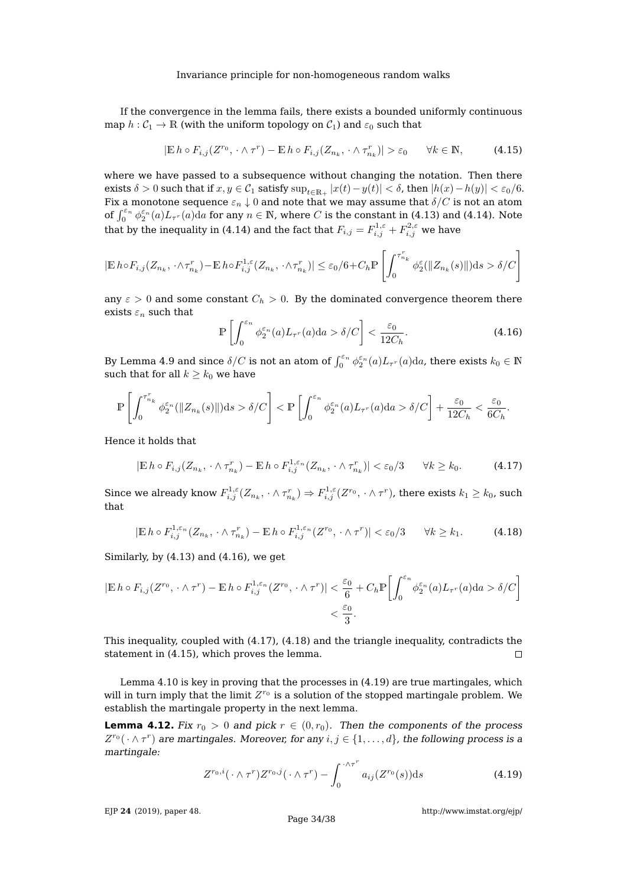If the convergence in the lemma fails, there exists a bounded uniformly continuous map  $h: \mathcal{C}_1 \to \mathbb{R}$  (with the uniform topology on  $\mathcal{C}_1$ ) and  $\varepsilon_0$  such that

<span id="page-34-3"></span>
$$
|\mathbb{E} h \circ F_{i,j}(Z^{r_0}, \cdot \wedge \tau^r) - \mathbb{E} h \circ F_{i,j}(Z_{n_k}, \cdot \wedge \tau_{n_k}^r)| > \varepsilon_0 \qquad \forall k \in \mathbb{N},\tag{4.15}
$$

where we have passed to a subsequence without changing the notation. Then there exists  $\delta > 0$  such that if  $x, y \in C_1$  satisfy  $\sup_{t \in \mathbb{R}_+} |x(t) - y(t)| < \delta$ , then  $|h(x) - h(y)| < \varepsilon_0/6$ . Fix a monotone sequence  $\varepsilon_n \downarrow 0$  and note that we may assume that  $\delta/C$  is not an atom of  $\int_0^{\varepsilon_n} \phi_2^{\varepsilon_n}(a) L_{\tau^n}(a) da$  for any  $n \in \mathbb{N}$ , where C is the constant in [\(4.13\)](#page-33-2) and [\(4.14\)](#page-33-3). Note that by the inequality in [\(4.14\)](#page-33-3) and the fact that  $F_{i,j} = F_{i,j}^{1,\varepsilon} + F_{i,j}^{2,\varepsilon}$  we have

$$
|\mathbb{E}\, h\circ F_{i,j}(Z_{n_k},\cdot\wedge\tau_{n_k}^r)-\mathbb{E}\, h\circ F_{i,j}^{1,\varepsilon}(Z_{n_k},\cdot\wedge\tau_{n_k}^r)|\leq\varepsilon_0/6+C_h\mathbb{P}\left[\int_0^{\tau_{n_k}^r}\phi_2^\varepsilon(\|Z_{n_k}(s)\|)\mathrm{d} s>\delta/C\right]
$$

any  $\varepsilon > 0$  and some constant  $C_h > 0$ . By the dominated convergence theorem there exists  $\varepsilon_n$  such that

<span id="page-34-0"></span>
$$
\mathbb{P}\left[\int_0^{\varepsilon_n} \phi_2^{\varepsilon_n}(a) L_{\tau^r}(a) da > \delta/C\right] < \frac{\varepsilon_0}{12C_h}.\tag{4.16}
$$

By Lemma [4.9](#page-32-1) and since  $\delta/C$  is not an atom of  $\int_0^{\varepsilon_n} \phi_2^{\varepsilon_n}(a) L_{\tau^r}(a) da$ , there exists  $k_0 \in \mathbb{N}$ such that for all  $k \geq k_0$  we have

$$
\mathbb{P}\left[\int_0^{\tau_{n_k}^r} \phi_2^{\varepsilon_n}(\|Z_{n_k}(s)\|)ds > \delta/C\right] < \mathbb{P}\left[\int_0^{\varepsilon_n} \phi_2^{\varepsilon_n}(a) L_{\tau^r}(a)da > \delta/C\right] + \frac{\varepsilon_0}{12C_h} < \frac{\varepsilon_0}{6C_h}.
$$

Hence it holds that

<span id="page-34-1"></span>
$$
|\mathbb{E}\,h\circ F_{i,j}(Z_{n_k},\cdot\wedge\tau_{n_k}^r)-\mathbb{E}\,h\circ F_{i,j}^{1,\varepsilon_n}(Z_{n_k},\cdot\wedge\tau_{n_k}^r)|<\varepsilon_0/3\qquad\forall k\geq k_0.\tag{4.17}
$$

Since we already know  $F_{i,j}^{1,\varepsilon}(Z_{n_k},\,\cdot\wedge \tau_{n_k}^r)\Rightarrow F_{i,j}^{1,\varepsilon}(Z^{r_0},\,\cdot\wedge \tau^r)$ , there exists  $k_1\geq k_0$ , such that

<span id="page-34-2"></span>
$$
|\mathbb{E}\,h\circ F_{i,j}^{1,\varepsilon_n}(Z_{n_k},\cdot\wedge\tau_{n_k}^r)-\mathbb{E}\,h\circ F_{i,j}^{1,\varepsilon_n}(Z^{r_0},\cdot\wedge\tau^r)|<\varepsilon_0/3\qquad\forall k\geq k_1.\tag{4.18}
$$

Similarly, by [\(4.13\)](#page-33-2) and [\(4.16\)](#page-34-0), we get

$$
|\mathbb{E} h \circ F_{i,j}(Z^{r_0}, \cdot \wedge \tau^r) - \mathbb{E} h \circ F_{i,j}^{1,\varepsilon_n}(Z^{r_0}, \cdot \wedge \tau^r)| < \frac{\varepsilon_0}{6} + C_h \mathbb{P}\bigg[\int_0^{\varepsilon_n} \phi_2^{\varepsilon_n}(a) L_{\tau^r}(a) \mathrm{d}a > \delta/C\bigg] \\
&< \frac{\varepsilon_0}{3}.
$$

This inequality, coupled with [\(4.17\)](#page-34-1), [\(4.18\)](#page-34-2) and the triangle inequality, contradicts the statement in [\(4.15\)](#page-34-3), which proves the lemma.  $\Box$ 

Lemma [4.10](#page-33-0) is key in proving that the processes in [\(4.19\)](#page-34-4) are true martingales, which will in turn imply that the limit  $Z^{r_0}$  is a solution of the stopped martingale problem. We establish the martingale property in the next lemma.

<span id="page-34-5"></span>**Lemma 4.12.** Fix  $r_0 > 0$  and pick  $r \in (0, r_0)$ . Then the components of the process  $Z^{r_0}(\cdot \wedge \tau^r)$  are martingales. Moreover, for any  $i, j \in \{1, \ldots, d\}$ , the following process is a martingale:

<span id="page-34-4"></span>
$$
Z^{r_0,i}(\cdot \wedge \tau^r)Z^{r_0,j}(\cdot \wedge \tau^r) - \int_0^{\cdot \wedge \tau^r} a_{ij}(Z^{r_0}(s)) \mathrm{d} s \tag{4.19}
$$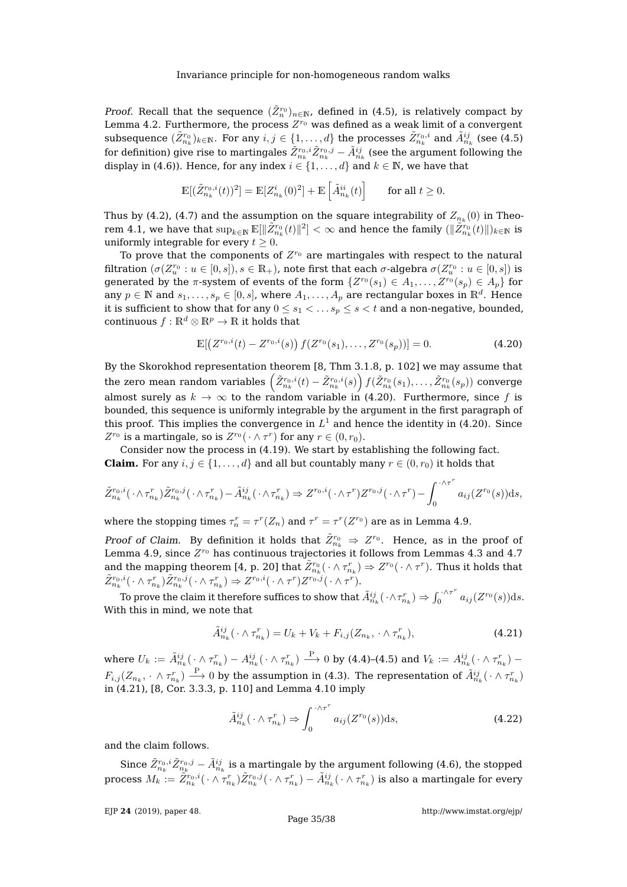*Proof.* Recall that the sequence  $(\tilde{Z}_n^{r_0})_{n \in \mathbb{N}}$ , defined in [\(4.5\)](#page-27-5), is relatively compact by Lemma [4.2.](#page-28-2) Furthermore, the process  $Z^{r_0}$  was defined as a weak limit of a convergent subsequence  $(\tilde Z_{n_k}^{r_0})_{k\in\mathbb N}.$  For any  $i,j\in\{1,\ldots,d\}$  the processes  $\tilde Z_{n_k}^{r_0,i}$  and  $\tilde A_{n_k}^{ij}$  (see [\(4.5\)](#page-27-5) for definition) give rise to martingales  $\tilde Z_{n_k}^{r_0,i}\tilde Z_{n_k}^{r_0,j}-\tilde A_{n_k}^{ij}$  (see the argument following the display in [\(4.6\)](#page-27-4)). Hence, for any index  $i \in \{1, \ldots, d\}$  and  $k \in \mathbb{N}$ , we have that

$$
\mathbb{E}[(\tilde{Z}_{n_k}^{r_0,i}(t))^2] = \mathbb{E}[Z_{n_k}^i(0)^2] + \mathbb{E}\left[\tilde{A}_{n_k}^{ii}(t)\right] \qquad \text{for all } t \ge 0.
$$

Thus by [\(4.2\)](#page-27-3), [\(4.7\)](#page-28-1) and the assumption on the square integrability of  $Z_{n_k}(0)$  in Theo-rem [4.1,](#page-27-0) we have that  $\sup_{k\in\mathbb N}\mathbb E[\|\tilde Z^{r_0}_{n_k}(t)\|^2]<\infty$  and hence the family  $(\|\tilde Z^{r_0}_{n_k}(t)\|)_{k\in\mathbb N}$  is uniformly integrable for every  $t \geq 0$ .

To prove that the components of  $Z^{r_0}$  are martingales with respect to the natural filtration  $(\sigma(Z_u^{r_0} : u \in [0, s]), s \in \mathbb{R}_+)$ , note first that each  $\sigma$ -algebra  $\sigma(Z_u^{r_0} : u \in [0, s])$  is generated by the  $\pi$ -system of events of the form  $\{Z^{r_0}(s_1) \in A_1, \ldots, Z^{r_0}(s_p) \in A_p\}$  for any  $p \in \mathbb{N}$  and  $s_1, \ldots, s_p \in [0, s]$ , where  $A_1, \ldots, A_p$  are rectangular boxes in  $\mathbb{R}^d$ . Hence it is sufficient to show that for any  $0 \leq s_1 < \ldots s_p \leq s < t$  and a non-negative, bounded, continuous  $f : \mathbb{R}^d \otimes \mathbb{R}^p \to \mathbb{R}$  it holds that

<span id="page-35-0"></span>
$$
\mathbb{E}[(Z^{r_0,i}(t) - Z^{r_0,i}(s)) f(Z^{r_0}(s_1), \dots, Z^{r_0}(s_p))] = 0.
$$
\n(4.20)

By the Skorokhod representation theorem [\[8,](#page-37-2) Thm 3.1.8, p. 102] we may assume that the zero mean random variables  $\left(\tilde Z_{n_k}^{r_0,i}(t)-\tilde Z_{n_k}^{r_0,i}(s)\right)f(\tilde Z_{n_k}^{r_0}(s_1),\ldots,\tilde Z_{n_k}^{r_0}(s_p))$  converge almost surely as  $k \to \infty$  to the random variable in [\(4.20\)](#page-35-0). Furthermore, since f is bounded, this sequence is uniformly integrable by the argument in the first paragraph of this proof. This implies the convergence in  $L^1$  and hence the identity in [\(4.20\)](#page-35-0). Since  $Z^{r_0}$  is a martingale, so is  $Z^{r_0}(\cdot \wedge \tau^r)$  for any  $r \in (0,r_0)$ .

Consider now the process in [\(4.19\)](#page-34-4). We start by establishing the following fact. **Claim.** For any  $i, j \in \{1, ..., d\}$  and all but countably many  $r \in (0, r_0)$  it holds that

$$
\tilde{Z}_{n_k}^{r_0,i}(\cdot \wedge \tau_{n_k}^r) \tilde{Z}_{n_k}^{r_0,j}(\cdot \wedge \tau_{n_k}^r) - \tilde{A}_{n_k}^{ij}(\cdot \wedge \tau_{n_k}^r) \Rightarrow Z^{r_0,i}(\cdot \wedge \tau^r) Z^{r_0,j}(\cdot \wedge \tau^r) - \int_0^{\cdot \wedge \tau^r} a_{ij}(Z^{r_0}(s)) \mathrm{d}s,
$$

where the stopping times  $\tau_n^r = \tau^r(Z_n)$  and  $\tau^r = \tau^r(Z^{r_0})$  are as in Lemma [4.9.](#page-32-1)

Proof of Claim. By definition it holds that  $\tilde{Z}_{n_k}^{r_0} \Rightarrow Z^{r_0}$ . Hence, as in the proof of Lemma [4.9,](#page-32-1) since  $Z^{r_0}$  has continuous trajectories it follows from Lemmas [4.3](#page-29-2) and [4.7](#page-30-0) and the mapping theorem [\[4,](#page-37-8) p. 20] that  $\tilde Z_{n_k}^{r_0}(\,\cdot \wedge \tau_{n_k}^r) \Rightarrow Z^{r_0}(\,\cdot \wedge \tau^r).$  Thus it holds that  $\tilde{Z}^{r_0,i}_{n_k}(\cdot \wedge \tau_{n_k}^r) \tilde{Z}^{r_0,j}_{n_k}(\cdot \wedge \tau_{n_k}^r) \Rightarrow Z^{r_0,i}(\cdot \wedge \tau^r) Z^{r_0,j}(\cdot \wedge \tau^r).$ 

To prove the claim it therefore suffices to show that  $\tilde{A}^{ij}_{n_k}(\,\cdot \wedge \tau^r_{n_k}) \Rightarrow \int_0^{\cdot \wedge \tau^r}$  $\int_0^{\cdot \wedge \tau^*} a_{ij}(Z^{r_0}(s)) \mathrm{d} s.$ With this in mind, we note that

<span id="page-35-1"></span>
$$
\tilde{A}_{n_k}^{ij}(\cdot \wedge \tau_{n_k}^r) = U_k + V_k + F_{i,j}(Z_{n_k}, \cdot \wedge \tau_{n_k}^r),
$$
\n(4.21)

where  $U_k:=\tilde{A}_{n_k}^{ij}(\,\cdot\wedge\tau_{n_k}^r)-A_{n_k}^{ij}(\,\cdot\wedge\tau_{n_k}^r)\stackrel{\rm P}{\longrightarrow}0$  by [\(4.4\)](#page-27-6)–[\(4.5\)](#page-27-5) and  $V_k:=A_{n_k}^{ij}(\,\cdot\wedge\tau_{n_k}^r) F_{i,j}(Z_{n_k},\, \cdot \, \wedge \, \tau^n_{n_k}) \stackrel{\mathrm{P}}{\longrightarrow} 0$  by the assumption in [\(4.3\)](#page-27-1). The representation of  $\tilde{A}^{ij}_{n_k}(\, \cdot \wedge \tau^n_{n_k})$ in [\(4.21\)](#page-35-1), [\[8,](#page-37-2) Cor. 3.3.3, p. 110] and Lemma [4.10](#page-33-0) imply

$$
\tilde{A}_{n_k}^{ij}(\cdot \wedge \tau_{n_k}^r) \Rightarrow \int_0^{\cdot \wedge \tau^r} a_{ij}(Z^{r_0}(s)) \mathrm{d} s,\tag{4.22}
$$

and the claim follows.

Since  $\tilde Z_{n_k}^{r_0,i}\tilde Z_{n_k}^{r_0,j}-\tilde A_{n_k}^{ij}$  is a martingale by the argument following [\(4.6\)](#page-27-4), the stopped process  $M_k:=\tilde{Z}_{n_k}^{r_0,i}(\,\cdot \wedge \tau_{n_k}^r)\tilde{Z}_{n_k}^{r_0,j}(\,\cdot \wedge \tau_{n_k}^r)-\tilde{A}_{n_k}^{ij}(\,\cdot \wedge \tau_{n_k}^r)$  is also a martingale for every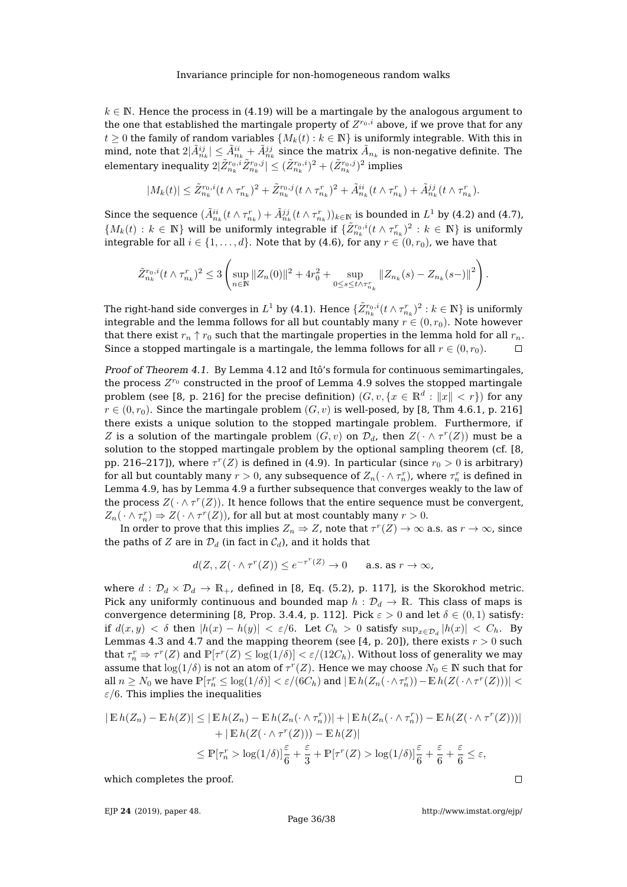$k \in \mathbb{N}$ . Hence the process in [\(4.19\)](#page-34-4) will be a martingale by the analogous argument to the one that established the martingale property of  $Z^{r_0,i}$  above, if we prove that for any  $t \geq 0$  the family of random variables  $\{M_k(t) : k \in \mathbb{N}\}\$ is uniformly integrable. With this in mind, note that  $2|\tilde{A}_{n_k}^{ij}|\leq \tilde{A}_{n_k}^{ii}+\tilde{A}_{n_k}^{jj}$  since the matrix  $\tilde{A}_{n_k}$  is non-negative definite. The elementary inequality  $2|\tilde{Z}^{r_0,i}_{n_k}\tilde{Z}^{r_0,j}_{n_k}| \leq (\tilde{Z}^{r_0,i}_{n_k})^2+(\tilde{Z}^{r_0,j}_{n_k})^2$  implies

$$
|M_k(t)| \leq \tilde{Z}_{n_k}^{r_0,i}(t \wedge \tau_{n_k}^r)^2 + \tilde{Z}_{n_k}^{r_0,j}(t \wedge \tau_{n_k}^r)^2 + \tilde{A}_{n_k}^{ii}(t \wedge \tau_{n_k}^r) + \tilde{A}_{n_k}^{jj}(t \wedge \tau_{n_k}^r).
$$

Since the sequence  $(\tilde{A}_{n_k}^{ii}(t\wedge\tau_{n_k}^r)+\tilde{A}_{n_k}^{jj}(t\wedge\tau_{n_k}^r))_{k\in\mathbb{N}}$  is bounded in  $L^1$  by [\(4.2\)](#page-27-3) and [\(4.7\)](#page-28-1),  $\{M_k(t): k \in \mathbb{N}\}\$  will be uniformly integrable if  $\{\tilde{Z}_{n_k}^{r_0,i}(t\wedge \tau_{n_k}^r)^2: k \in \mathbb{N}\}\$  is uniformly integrable for all  $i \in \{1, ..., d\}$ . Note that by [\(4.6\)](#page-27-4), for any  $r \in (0, r_0)$ , we have that

$$
\tilde{Z}_{n_k}^{r_0,i}(t \wedge \tau_{n_k}^r)^2 \leq 3 \left( \sup_{n \in \mathbb{N}} \|Z_n(0)\|^2 + 4r_0^2 + \sup_{0 \leq s \leq t \wedge \tau_{n_k}^r} \|Z_{n_k}(s) - Z_{n_k}(s-)\|^2 \right).
$$

The right-hand side converges in  $L^1$  by [\(4.1\)](#page-27-2). Hence  $\{\tilde{Z}_{n_k}^{r_0,i}(t\wedge\tau_{n_k}^r)^2:k\in\mathbb N\}$  is uniformly integrable and the lemma follows for all but countably many  $r \in (0, r_0)$ . Note however that there exist  $r_n \uparrow r_0$  such that the martingale properties in the lemma hold for all  $r_n$ . Since a stopped martingale is a martingale, the lemma follows for all  $r \in (0, r_0)$ .  $\Box$ 

Proof of Theorem [4.1.](#page-27-0) By Lemma [4.12](#page-34-5) and Itô's formula for continuous semimartingales, the process  $Z^{r_0}$  constructed in the proof of Lemma [4.9](#page-32-1) solves the stopped martingale problem (see [\[8,](#page-37-2) p. 216] for the precise definition)  $(G, v, \{x \in \mathbb{R}^d : \|x\| < r\})$  for any  $r \in (0, r_0)$ . Since the martingale problem  $(G, v)$  is well-posed, by [\[8,](#page-37-2) Thm 4.6.1, p. 216] there exists a unique solution to the stopped martingale problem. Furthermore, if Z is a solution of the martingale problem  $(G, v)$  on  $\mathcal{D}_d$ , then  $Z(\cdot \wedge \tau^r(Z))$  must be a solution to the stopped martingale problem by the optional sampling theorem (cf. [\[8,](#page-37-2) pp. 216–217]), where  $\tau^r(Z)$  is defined in [\(4.9\)](#page-29-0). In particular (since  $r_0 > 0$  is arbitrary) for all but countably many  $r>0$ , any subsequence of  $Z_n(\,\cdot \wedge \tau_n^r)$ , where  $\tau_n^r$  is defined in Lemma [4.9,](#page-32-1) has by Lemma [4.9](#page-32-1) a further subsequence that converges weakly to the law of the process  $Z(\cdot \wedge \tau^r(Z))$ . It hence follows that the entire sequence must be convergent,  $Z_n(\cdot \wedge \tau_n^r) \Rightarrow Z(\cdot \wedge \tau^r(Z))$ , for all but at most countably many  $r > 0$ .

In order to prove that this implies  $Z_n \Rightarrow Z$ , note that  $\tau^r(Z) \to \infty$  a.s. as  $r \to \infty$ , since the paths of Z are in  $\mathcal{D}_d$  (in fact in  $\mathcal{C}_d$ ), and it holds that

$$
d(Z, Z(\cdot \wedge \tau^r(Z)) \le e^{-\tau^r(Z)} \to 0 \quad \text{a.s. as } r \to \infty,
$$

where  $d : \mathcal{D}_d \times \mathcal{D}_d \to \mathbb{R}_+$ , defined in [\[8,](#page-37-2) Eq. (5.2), p. 117], is the Skorokhod metric. Pick any uniformly continuous and bounded map  $h : \mathcal{D}_d \to \mathbb{R}$ . This class of maps is convergence determining [\[8,](#page-37-2) Prop. 3.4.4, p. 112]. Pick  $\varepsilon > 0$  and let  $\delta \in (0,1)$  satisfy: if  $d(x, y) < \delta$  then  $|h(x) - h(y)| < \varepsilon/6$ . Let  $C_h > 0$  satisfy  $\sup_{x \in \mathcal{D}_d} |h(x)| < C_h$ . By Lemmas [4.3](#page-29-2) and [4.7](#page-30-0) and the mapping theorem (see [\[4,](#page-37-8) p. 20]), there exists  $r > 0$  such that  $\tau_n^r \Rightarrow \tau^r(Z)$  and  $\mathbb{P}[\tau^r(Z) \leq \log(1/\delta)] < \varepsilon/(12 C_h)$ . Without loss of generality we may assume that  $\log(1/\delta)$  is not an atom of  $\tau^r(Z)$ . Hence we may choose  $N_0\in\mathbb{N}$  such that for all  $n \geq N_0$  we have  $\mathbb{P}[\tau_n^r \leq \log(1/\delta)] < \varepsilon/(6C_h)$  and  $|\mathbb{E}_n h(Z_n(\cdot \wedge \tau_n^r)) - \mathbb{E}_n h(Z(\cdot \wedge \tau^r(Z)))| <$  $\varepsilon/6$ . This implies the inequalities

$$
|\operatorname{\mathbb{E}} h(Z_n) - \operatorname{\mathbb{E}} h(Z)| \le |\operatorname{\mathbb{E}} h(Z_n) - \operatorname{\mathbb{E}} h(Z_n(\cdot \wedge \tau_n^r))| + |\operatorname{\mathbb{E}} h(Z_n(\cdot \wedge \tau_n^r)) - \operatorname{\mathbb{E}} h(Z(\cdot \wedge \tau^r(Z)))|
$$
  
+  $|\operatorname{\mathbb{E}} h(Z(\cdot \wedge \tau^r(Z))) - \operatorname{\mathbb{E}} h(Z)|$   

$$
\le \operatorname{\mathbb{P}}[\tau_n^r > \log(1/\delta)] \frac{\varepsilon}{6} + \frac{\varepsilon}{3} + \operatorname{\mathbb{P}}[\tau^r(Z) > \log(1/\delta)] \frac{\varepsilon}{6} + \frac{\varepsilon}{6} + \frac{\varepsilon}{6} \le \varepsilon,
$$

which completes the proof.

EJP **24** [\(2019\), paper 48.](https://doi.org/10.1214/19-EJP302)

Page 36[/38](#page-38-0)

<http://www.imstat.org/ejp/>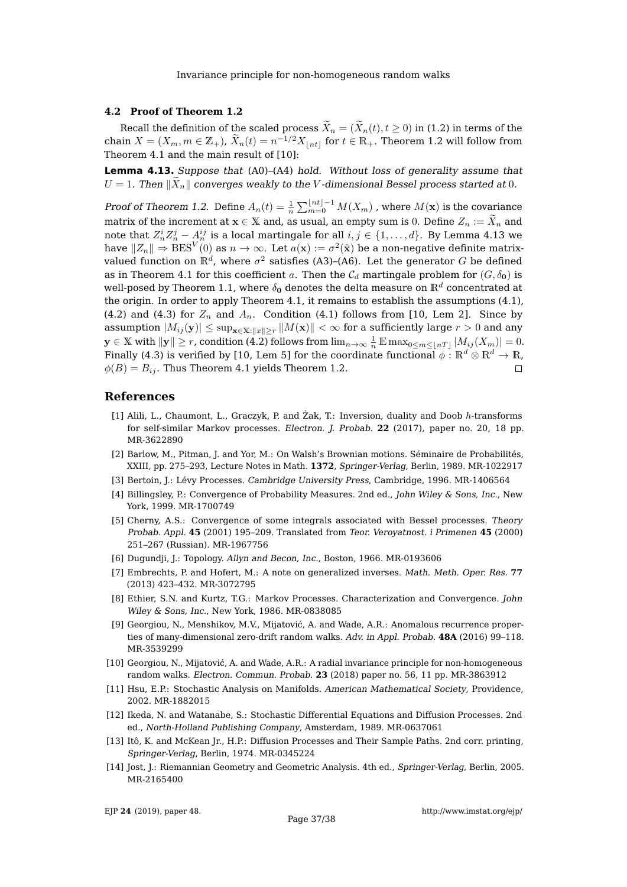### **4.2 Proof of Theorem [1.2](#page-3-1)**

Recall the definition of the scaled process  $\widetilde{X}_n = (\widetilde{X}_n(t), t \ge 0)$  in [\(1.2\)](#page-3-2) in terms of the chain  $X = (X_m, m \in \mathbb{Z}_+)$ ,  $\widetilde{X}_n(t) = n^{-1/2} X_{\lfloor nt \rfloor}$  for  $t \in \mathbb{R}_+$ . Theorem [1.2](#page-3-1) will follow from Theorem [4.1](#page-27-0) and the main result of [\[10\]](#page-37-3):

<span id="page-37-14"></span>**Lemma 4.13.** Suppose that [\(A0\)](#page-7-0)–[\(A4\)](#page-8-3) hold. Without loss of generality assume that  $U = 1$ . Then  $\|\bar{X}_n\|$  converges weakly to the V-dimensional Bessel process started at 0.

Proof of Theorem [1.2.](#page-3-1) Define  $A_n(t) = \frac{1}{n} \sum_{m=0}^{\lfloor nt \rfloor - 1} M(X_m)$  , where  $M(\mathbf{x})$  is the covariance matrix of the increment at  $x \in X$  and, as usual, an empty sum is 0. Define  $Z_n := \tilde{X}_n$  and note that  $Z_n^iZ_n^j-\dot{A}_n^{ij}$  is a local martingale for all  $i,j\in\{1,\ldots,d\}.$  By Lemma [4.13](#page-37-14) we have  $\|Z_n\|\Rightarrow \text{BES}^V(0)$  as  $n\to\infty.$  Let  $a(\mathbf{x}):=\sigma^2(\hat{\mathbf{x}})$  be a non-negative definite matrixvalued function on  $\mathbb{R}^d$ , where  $\sigma^2$  satisfies [\(A3\)](#page-8-2)–[\(A6\)](#page-8-4). Let the generator  $G$  be defined as in Theorem [4.1](#page-27-0) for this coefficient a. Then the  $C_d$  martingale problem for  $(G, \delta_0)$  is well-posed by Theorem [1.1,](#page-2-1) where  $\delta_0$  denotes the delta measure on  $\mathbb{R}^d$  concentrated at the origin. In order to apply Theorem [4.1,](#page-27-0) it remains to establish the assumptions [\(4.1\)](#page-27-2), [\(4.2\)](#page-27-3) and [\(4.3\)](#page-27-1) for  $Z_n$  and  $A_n$ . Condition [\(4.1\)](#page-27-2) follows from [\[10,](#page-37-3) Lem 2]. Since by assumption  $|M_{ij}(y)| \le \sup_{\mathbf{x} \in \mathbb{X}:||x|| > r} ||M(\mathbf{x})|| < \infty$  for a sufficiently large  $r > 0$  and any  $\mathbf{y}\in\mathbb{X}$  with  $\|\mathbf{y}\|\geq r$ , condition [\(4.2\)](#page-27-3) follows from  $\lim_{n\to\infty}\frac{1}{n}\mathbb{E}\max_{0\leq m\leq \lfloor nT\rfloor}|M_{ij}(X_m)|=0.$ Finally [\(4.3\)](#page-27-1) is verified by [\[10,](#page-37-3) Lem 5] for the coordinate functional  $\phi : \mathbb{R}^d \otimes \mathbb{R}^d \to \mathbb{R}$ ,  $\phi(B) = B_{ij}$ . Thus Theorem [4.1](#page-27-0) yields Theorem [1.2.](#page-3-1)  $\Box$ 

## **References**

- <span id="page-37-6"></span>[1] Alili, L., Chaumont, L., Graczyk, P. and  $\overline{Z}$ ak, T.: Inversion, duality and Doob  $h$ -transforms for self-similar Markov processes. Electron. J. Probab. **22** (2017), paper no. 20, 18 pp. [MR-3622890](http://www.ams.org/mathscinet-getitem?mr=3622890)
- <span id="page-37-7"></span>[2] Barlow, M., Pitman, J. and Yor, M.: On Walsh's Brownian motions. Séminaire de Probabilités, XXIII, pp. 275–293, Lecture Notes in Math. **1372**, Springer-Verlag, Berlin, 1989. [MR-1022917](http://www.ams.org/mathscinet-getitem?mr=1022917)
- <span id="page-37-12"></span>[3] Bertoin, J.: Lévy Processes. Cambridge University Press, Cambridge, 1996. [MR-1406564](http://www.ams.org/mathscinet-getitem?mr=1406564)
- <span id="page-37-8"></span>[4] Billingsley, P.: Convergence of Probability Measures. 2nd ed., John Wiley & Sons, Inc., New York, 1999. [MR-1700749](http://www.ams.org/mathscinet-getitem?mr=1700749)
- <span id="page-37-11"></span>[5] Cherny, A.S.: Convergence of some integrals associated with Bessel processes. Theory Probab. Appl. **45** (2001) 195–209. Translated from Teor. Veroyatnost. i Primenen **45** (2000) 251–267 (Russian). [MR-1967756](http://www.ams.org/mathscinet-getitem?mr=1967756)
- <span id="page-37-10"></span>[6] Dugundji, J.: Topology. Allyn and Becon, Inc., Boston, 1966. [MR-0193606](http://www.ams.org/mathscinet-getitem?mr=0193606)
- <span id="page-37-13"></span>[7] Embrechts, P. and Hofert, M.: A note on generalized inverses. Math. Meth. Oper. Res. **77** (2013) 423–432. [MR-3072795](http://www.ams.org/mathscinet-getitem?mr=3072795)
- <span id="page-37-2"></span>[8] Ethier, S.N. and Kurtz, T.G.: Markov Processes. Characterization and Convergence. John Wiley & Sons, Inc., New York, 1986. [MR-0838085](http://www.ams.org/mathscinet-getitem?mr=0838085)
- <span id="page-37-0"></span>[9] Georgiou, N., Menshikov, M.V., Mijatović, A. and Wade, A.R.: Anomalous recurrence properties of many-dimensional zero-drift random walks. Adv. in Appl. Probab. **48A** (2016) 99–118. [MR-3539299](http://www.ams.org/mathscinet-getitem?mr=3539299)
- <span id="page-37-3"></span>[10] Georgiou, N., Mijatovic, A. and Wade, A.R.: A radial invariance principle for non-homogeneous ´ random walks. Electron. Commun. Probab. **23** (2018) paper no. 56, 11 pp. [MR-3863912](http://www.ams.org/mathscinet-getitem?mr=3863912)
- <span id="page-37-1"></span>[11] Hsu, E.P.: Stochastic Analysis on Manifolds. American Mathematical Society, Providence, 2002. [MR-1882015](http://www.ams.org/mathscinet-getitem?mr=1882015)
- <span id="page-37-4"></span>[12] Ikeda, N. and Watanabe, S.: Stochastic Differential Equations and Diffusion Processes. 2nd ed., North-Holland Publishing Company, Amsterdam, 1989. [MR-0637061](http://www.ams.org/mathscinet-getitem?mr=0637061)
- <span id="page-37-5"></span>[13] Itô, K. and McKean Jr., H.P.: Diffusion Processes and Their Sample Paths. 2nd corr. printing, Springer-Verlag, Berlin, 1974. [MR-0345224](http://www.ams.org/mathscinet-getitem?mr=0345224)
- <span id="page-37-9"></span>[14] Jost, J.: Riemannian Geometry and Geometric Analysis. 4th ed., Springer-Verlag, Berlin, 2005. [MR-2165400](http://www.ams.org/mathscinet-getitem?mr=2165400)